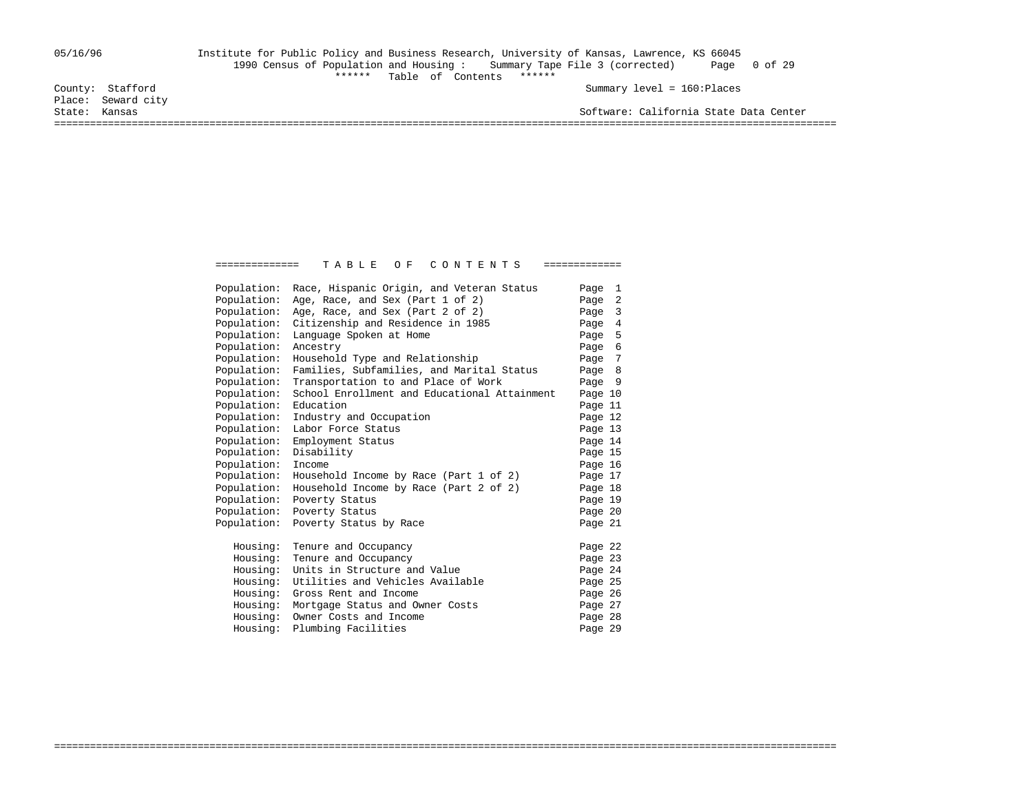### 05/16/96 Institute for Public Policy and Business Research, University of Kansas, Lawrence, KS 66045 1990 Census of Population and Housing : Summary Tape File 3 (corrected) Page 0 of 29 Table of Contents \*\*\*\*\*\*<br>County: Stafford Summary level = 160:Places

Place: Seward city

State: Kansas Software: California State Data Center ===================================================================================================================================

> Population: Race, Hispanic Origin, and Veteran Status Page 1<br>Population: Age, Race, and Sex (Part 1 of 2) Page 2 Population: Age, Race, and Sex (Part  $1$  of  $2$ ) Population: Age, Race, and Sex (Part 2 of 2) Page 3<br>Population: Citizenship and Residence in 1985 Page 4 Population: Citizenship and Residence in 1985 Page 4<br>Population: Language Spoken at Home Page 5 Population: Language Spoken at Home<br>Population: Ancestry Page 6 Population: Ancestry<br>Population: Household Type and Relationship<br>Page 7 Population: Household Type and Relationship Population: Families, Subfamilies, and Marital Status Page 8<br>Population: Transportation to and Place of Work Page 9 Population: Transportation to and Place of Work Page 9<br>Population: School Enrollment and Educational Attainment Page 10 Population: School Enrollment and Educational Attainment Population: Education **Page 11** Population: Industry and Occupation Page 12<br>Population: Labor Force Status Page 13 Population: Labor Force Status 1999 13<br>Population: Employment Status 1999 14 Population: Employment Status Population: Disability<br>Population: Income Page 16 Population: Income Population: Household Income by Race (Part 1 of 2) Page 17 Population: Household Income by Race (Part 2 of 2) Page 18<br>Population: Poverty Status Page 19 Population: Poverty Status Population: Poverty Status<br>Population: Poverty Status by Race<br>Page 21 Population: Poverty Status by Race Housing: Tenure and Occupancy<br>
> Housing: Tenure and Occupancy<br>
> Page 23 Housing: Tenure and Occupancy Housing: Units in Structure and Value 1998 24<br>Housing: Utilities and Vehicles Available 1999 25 Housing: Utilities and Vehicles Available Housing: Gross Rent and Income Page 26 Housing: Mortgage Status and Owner Costs 27<br>Housing: Owner Costs and Income 28 Housing: Owner Costs and Income Form and Page 28 and Page 29 and Page 29 and Page 29 and Page 29 Housing: Plumbing Facilities

===================================================================================================================================

============== T A B L E O F C O N T E N T S =============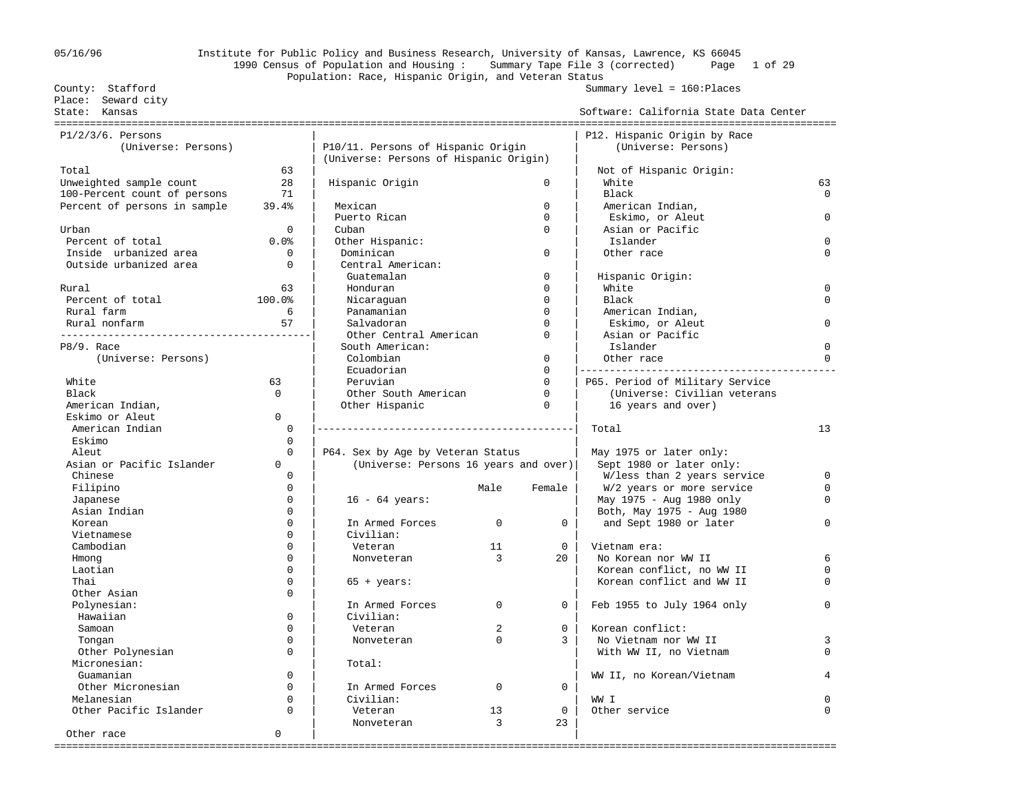### 05/16/96 Institute for Public Policy and Business Research, University of Kansas, Lawrence, KS 66045 1990 Census of Population and Housing : Summary Tape File 3 (corrected) Page 1 of 29 Population: Race, Hispanic Origin, and Veteran Status County: Stafford Summary level = 160:Places

 Place: Seward city State: Kansas Software: California State Data Center =================================================================================================================================== P1/2/3/6. Persons  $\vert$  |  $\vert$  |  $\vert$  |  $\vert$  |  $\vert$  |  $\vert$  |  $\vert$  |  $\vert$  |  $\vert$  |  $\vert$  |  $\vert$  |  $\vert$  |  $\vert$  |  $\vert$  |  $\vert$  |  $\vert$  |  $\vert$  |  $\vert$  |  $\vert$  |  $\vert$  |  $\vert$  |  $\vert$  |  $\vert$  |  $\vert$  |  $\vert$  |  $\vert$  |  $\vert$  |  $\vert$  |  $\vert$  | (Universe: Persons) | P10/11. Persons of Hispanic Origin | (Universe: Persons) | (Universe: Persons of Hispanic Origin) | Total 63 | | Not of Hispanic Origin: Unweighted sample count 28 | Hispanic Origin 0 | White 63<br>100-Percent count of persons 21 | 20 | Hispanic Origin | Rlack 0 | Rlack 0 | Charlot 0 | Charlot 0 | Charlot 0 100-Percent count of persons  $\begin{array}{ccc} 71 & | \end{array}$  | Black 0 Percent of persons in sample 39.4% | Mexican 1 | 1990 | American Indian, | Puerto Rican 0 | Eskimo, or Aleut 0 Urban 0 | Cuban 0 | Asian or Pacific Percent of total 0.0% | Other Hispanic: | Islander 0 Inside urbanized area 0 | Dominican 0 | Other race 0 Outside urbanized area  $\qquad \qquad 0$  | Guatemalan 0 | Hispanic Origin: Rural 63 | Honduran 0 | White 0 Percent of total  $100.0$ % | Nicaraguan  $0$  | Black 0 0 |  $0$  Rural farm 6 | Panamanian 0 | American Indian, Rural nonfarm 57 | Salvadoran 0 | Eskimo, or Aleut 0 ------------------------------------------| Other Central American 0 | Asian or Pacific P8/9. Race | South American: | Islander 0 (Universe: Persons) | Colombian 0 | Other race 0 | Ecuadorian 0 |------------------------------------------- White 63 | Peruvian 0 | P65. Period of Military Service Black 0 | Other South American 0 | (Universe: Civilian veterans American Indian,  $\vert$  Other Hispanic 0 | 16 years and over) Eskimo or Aleut 0<br>American Indian American Indian 0 |-------------------------------------------| Total 13  $\texttt{Estimo}$  0 |  $\texttt{Skimo}$ Aleut 1975 or later only:<br>Asian or Pacific Islander 1980 or 10 (Universe: Persons 16 years and over) Sept 1980 or later only: 0 | (Universe: Persons 16 years and over) Chinese 0 | | W/less than 2 years service 0 Filipino 1980 of the Community of the Male Female Network Wale Female Network of May 1975 - Aug 1980 only the C<br>1990 only 0 degree the Community of the Community of the Community of the Community of the Community of the Co Japanese 1980 only 16 - 64 years: 1980 only 1975 - Aug 1980 only 1980 only 1980 only 1980 only 1980 only 1980 only 1980 only 1980 only 1980 only 1980 only 1980 only 1980 only 1980 only 1980 only 1980 only 1980 only 1980 on Asian Indian 0 | | Both, May 1975 - Aug 1980 Korean 0 | In Armed Forces 0 0 | and Sept 1980 or later 0 Civilian: Cambodian 0 | Veteran 11 0 | Vietnam era: Hmong 0 | Nonveteran 3 20 | No Korean nor WW II 6 Laotian 0 | | Korean conflict, no WW II 0 65 + years:  $\qquad \qquad$  Korean conflict and WW II 0 Other Asian 0 Polynesian: | In Armed Forces 0 0 | Feb 1955 to July 1964 only 0 Hawaiian 0 | Civilian: | Samoan 0 | Veteran 2 0 | Korean conflict: Tongan 0 | Nonveteran 0 3 | No Vietnam nor WW II 3 Other Polynesian 0 | | With WW II, no Vietnam 0 Micronesian: Guamanian 0 | | WW II, no Korean/Vietnam 4 Other Micronesian 0 | In Armed Forces 0 0 | Melanesian 0 | Civilian: | WW I 0 Other Pacific Islander 0 | Veteran 13 0 | Other service 0 Nonveteran 3 23 Other race  $\begin{array}{ccc} & 0 & | & \end{array}$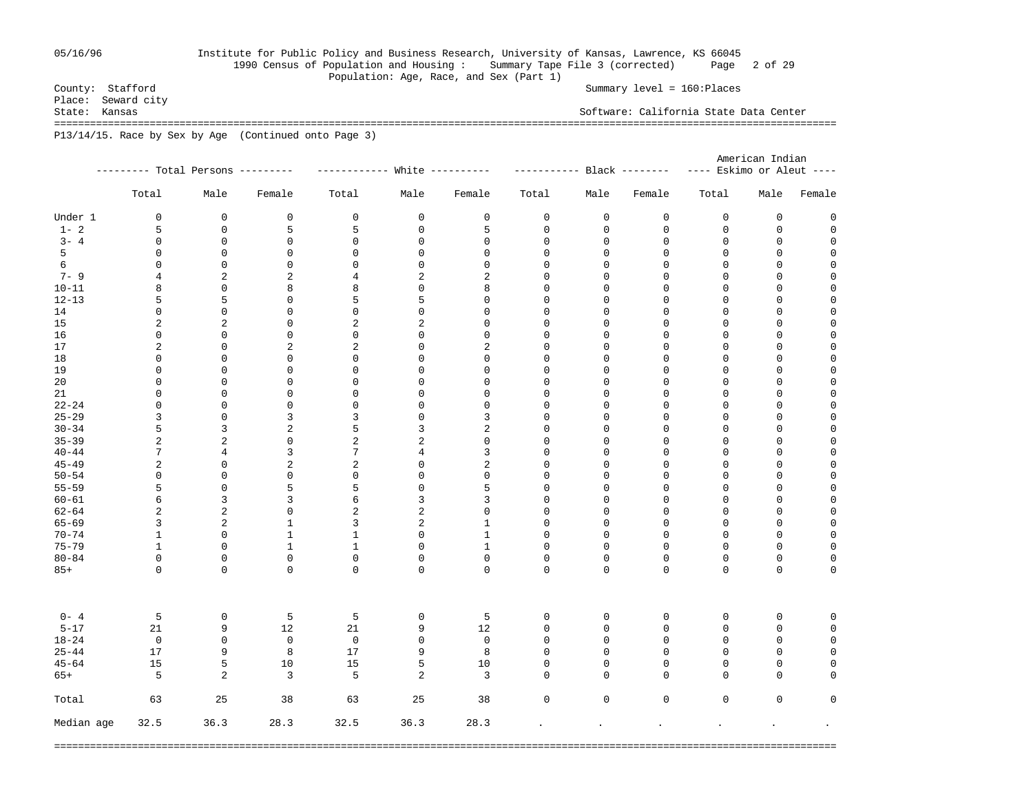## 05/16/96 Institute for Public Policy and Business Research, University of Kansas, Lawrence, KS 66045 1990 Census of Population and Housing : Summary Tape File 3 (corrected) Page 2 of 29

Summary level = 160:Places

Population: Age, Race, and Sex (Part 1)<br>County: Stafford Place: Seward city<br>State: Kansas Software: California State Data Center =================================================================================================================================== P13/14/15. Race by Sex by Age (Continued onto Page 3)

|            |                |                                   |                |                             |                  |                |              |                            |             | American Indian           |             |             |  |  |
|------------|----------------|-----------------------------------|----------------|-----------------------------|------------------|----------------|--------------|----------------------------|-------------|---------------------------|-------------|-------------|--|--|
|            |                | --------- Total Persons --------- |                | ----------- White --------- |                  |                |              | ----------- Black -------- |             | ---- Eskimo or Aleut ---- |             |             |  |  |
|            | Total          | Male                              | Female         | Total                       | Male             | Female         | Total        | Male                       | Female      | Total                     | Male        | Female      |  |  |
| Under 1    | $\mathbf 0$    | $\mathbf 0$                       | $\mathsf{O}$   | $\mathbf 0$                 | $\mathbf 0$      | 0              | $\mathsf 0$  | $\mathsf{O}$               | 0           | $\mathbf 0$               | $\mathbf 0$ | $\mathbf 0$ |  |  |
| $1 - 2$    | 5              | $\mathbf 0$                       | 5              | 5                           | $\mathbf 0$      | 5              | $\mathsf 0$  | 0                          | 0           | $\mathbf 0$               | $\mathbf 0$ | $\mathbf 0$ |  |  |
| $3 - 4$    | 0              | 0                                 | 0              | 0                           | 0                | 0              | 0            | 0                          | 0           | 0                         | 0           | $\mathbf 0$ |  |  |
| 5          | 0              | 0                                 | 0              | 0                           | 0                | 0              | 0            | 0                          | 0           | 0                         | 0           | 0           |  |  |
| 6          | 0              | 0                                 | 0              | 0                           | 0                | $\mathsf 0$    | 0            | 0                          | 0           | $\mathsf 0$               | 0           | 0           |  |  |
| $7 - 9$    | $\overline{4}$ | $\overline{a}$                    | 2              | 4                           | 2                | $\overline{2}$ | $\mathbf 0$  | $\mathbf 0$                | $\mathbf 0$ | $\mathbf{0}$              | $\mathbf 0$ | $\mathbf 0$ |  |  |
| $10 - 11$  | 8              | $\mathbf 0$                       | 8              | 8                           | 0                | 8              | $\mathbf 0$  | 0                          | $\mathbf 0$ | $\mathbf{0}$              | $\mathbf 0$ | $\mathbf 0$ |  |  |
| $12 - 13$  | 5              | 5                                 | $\mathbf{0}$   | 5                           | 5                | $\mathbf 0$    | $\mathbf 0$  | $\mathbf 0$                | $\mathbf 0$ | $\mathbf{0}$              | $\mathbf 0$ | $\mathbf 0$ |  |  |
| 14         | $\mathbf 0$    | $\mathbf 0$                       | $\mathbf 0$    | $\mathbf 0$                 | $\mathbf 0$      | $\mathbf 0$    | $\mathbf 0$  | $\mathbf 0$                | $\mathbf 0$ | $\mathbf 0$               | $\mathbf 0$ | $\mathbf 0$ |  |  |
| 15         | 2              | 2                                 | $\mathbf 0$    | 2                           | 2                | $\mathbf 0$    | 0            | $\mathbf 0$                | $\mathbf 0$ | $\mathbf 0$               | $\mathbf 0$ | $\mathbf 0$ |  |  |
| 16         | $\mathbf 0$    | 0                                 | $\mathbf 0$    | $\mathbf 0$                 | 0                | $\mathbf 0$    | $\mathbf 0$  | 0                          | 0           | $\mathbf 0$               | $\mathbf 0$ | $\mathbf 0$ |  |  |
| 17         | 2              | $\mathbf 0$                       | 2              | 2                           | $\mathbf 0$      | 2              | 0            | $\mathbf 0$                | 0           | $\mathbf 0$               | 0           | $\mathbf 0$ |  |  |
| 18         | $\mathbf 0$    | 0                                 | $\mathbf 0$    | 0                           | 0                | $\mathbf 0$    | 0            | 0                          | 0           | $\mathbf 0$               | 0           | $\mathbf 0$ |  |  |
| 19         | $\mathbf 0$    | 0                                 | $\mathbf 0$    | 0                           | 0                | $\mathbf 0$    | 0            | 0                          | 0           | $\mathbf 0$               | 0           | $\mathbf 0$ |  |  |
| 20         | $\mathsf 0$    | 0                                 | $\mathbf 0$    | 0                           | 0                | 0              | 0            | 0                          | 0           | $\mathbf 0$               | 0           | 0           |  |  |
| 21         | $\mathbf 0$    | $\Omega$                          | $\mathbf{0}$   | $\Omega$                    | 0                | $\mathbf{0}$   | $\mathbf 0$  | $\mathbf 0$                | $\mathbf 0$ | $\mathbf{0}$              | $\mathbf 0$ | $\mathbf 0$ |  |  |
| $22 - 24$  | $\mathbf 0$    | $\Omega$                          | $\mathbf{0}$   | $\Omega$                    | 0                | $\mathbf{0}$   | $\mathbf 0$  | $\mathbf 0$                | $\mathbf 0$ | $\mathbf 0$               | $\mathbf 0$ | $\mathbf 0$ |  |  |
| $25 - 29$  | 3              | $\Omega$                          | 3              | 3                           | 0                | $\overline{3}$ | $\mathbf 0$  | $\mathbf 0$                | $\mathbf 0$ | $\mathbf{0}$              | $\mathbf 0$ | $\mathbf 0$ |  |  |
| $30 - 34$  | 5              | 3                                 | $\sqrt{2}$     | 5                           | 3                | 2              | $\mathbf 0$  | 0                          | $\mathbf 0$ | $\mathbf 0$               | $\mathbf 0$ | $\mathbf 0$ |  |  |
| $35 - 39$  | 2              | 2                                 | $\mathbf 0$    | 2                           | 2                | $\mathsf 0$    | $\mathbf 0$  | $\mathbf 0$                | $\mathbf 0$ | $\mathbf 0$               | $\mathbf 0$ | $\mathbf 0$ |  |  |
| $40 - 44$  | 7              | 4                                 | 3              | 7                           | 4                | $\mathbf{3}$   | $\mathbf 0$  | 0                          | $\mathsf 0$ | $\mathbf 0$               | $\mathbf 0$ | $\mathbf 0$ |  |  |
| $45 - 49$  | $\overline{c}$ | $\mathbf 0$                       | $\overline{a}$ | 2                           | 0                | 2              | 0            | $\mathbf 0$                | 0           | $\mathbf 0$               | 0           | $\mathbf 0$ |  |  |
| $50 - 54$  | $\mathbf 0$    | 0                                 | $\mathbf 0$    | 0                           | 0                | $\mathbf 0$    | 0            | 0                          | 0           | $\mathbf 0$               | 0           | $\mathbf 0$ |  |  |
| $55 - 59$  | 5              | $\mathbf 0$                       | 5              | 5                           | 0                | 5              | 0            | $\mathbf 0$                | 0           | $\mathbf 0$               | 0           | $\mathbf 0$ |  |  |
| $60 - 61$  | 6              | 3                                 | 3              | 6                           | 3                | 3              | 0            | 0                          | 0           | $\mathbf 0$               | 0           | $\mathbf 0$ |  |  |
| $62 - 64$  | $\overline{c}$ | $\overline{c}$                    | $\mathbf{0}$   | 2                           | 2                | $\mathbf 0$    | $\mathbf 0$  | $\mathbf 0$                | $\mathbf 0$ | $\mathbf{0}$              | $\mathbf 0$ | $\mathbf 0$ |  |  |
| $65 - 69$  | 3              | 2                                 | $\mathbf{1}$   | 3                           | 2                | $\mathbf{1}$   | $\mathbf 0$  | $\mathbf 0$                | $\mathbf 0$ | $\mathbf{0}$              | $\mathbf 0$ | $\mathbf 0$ |  |  |
| $70 - 74$  | $\mathbf{1}$   | $\mathbf 0$                       | $\mathbf{1}$   | $\mathbf{1}$                | 0                | $\mathbf{1}$   | $\mathbf 0$  | $\mathbf 0$                | $\mathbf 0$ | $\mathbf 0$               | $\mathbf 0$ | $\mathsf 0$ |  |  |
| $75 - 79$  | $\mathbf{1}$   | $\Omega$                          | $\mathbf{1}$   | $\mathbf{1}$                |                  | $\mathbf{1}$   | 0            | 0                          | $\mathbf 0$ | $\mathsf 0$               | $\mathbf 0$ | $\mathbf 0$ |  |  |
|            | $\mathbf 0$    | $\mathbf 0$                       | $\mathbf 0$    | 0                           | 0                | $\mathsf 0$    | 0            | 0                          | $\mathsf 0$ | $\mathsf 0$               | $\mathbf 0$ | $\mathbf 0$ |  |  |
| $80 - 84$  | $\mathbf 0$    | $\mathbf 0$                       | $\mathbf{0}$   | $\Omega$                    | 0<br>$\mathbf 0$ | $\mathbf 0$    | $\mathbf 0$  | $\mathbf 0$                | $\mathbf 0$ | $\mathbf 0$               | $\mathbf 0$ | $\mathbf 0$ |  |  |
| $85+$      |                |                                   |                |                             |                  |                |              |                            |             |                           |             |             |  |  |
| $0 - 4$    | 5              | 0                                 | 5              | 5                           | 0                | 5              | 0            | 0                          | 0           | 0                         | 0           | 0           |  |  |
| $5 - 17$   | 21             | 9                                 | 12             | 21                          | 9                | 12             | $\mathbf 0$  | 0                          | $\mathsf 0$ | $\mathbf 0$               | $\mathbf 0$ | $\mathbf 0$ |  |  |
| $18 - 24$  | $\mathbf 0$    | $\mathbf 0$                       | $\mathbf 0$    | $\overline{0}$              | 0                | $\mathbf 0$    | $\mathbf 0$  | $\mathbf 0$                | $\mathbf 0$ | $\mathbf 0$               | $\mathbf 0$ | $\mathbf 0$ |  |  |
| $25 - 44$  | 17             | 9                                 | 8              | 17                          | 9                | 8              | $\mathbf 0$  | $\mathbf 0$                | $\mathbf 0$ | $\mathbf 0$               | $\mathbf 0$ | $\mathsf 0$ |  |  |
| $45 - 64$  | 15             | 5                                 | 10             | 15                          | 5                | 10             | 0            | 0                          | $\mathbf 0$ | $\mathbf 0$               | $\mathbf 0$ | 0           |  |  |
| $65+$      | 5              | $\overline{a}$                    | 3              | 5                           | 2                | 3              | 0            | 0                          | 0           | $\mathbf 0$               | $\mathbf 0$ | $\mathbf 0$ |  |  |
| Total      | 63             | 25                                | 38             | 63                          | 25               | 38             | 0            | 0                          | 0           | $\mathsf 0$               | $\mathbf 0$ | $\mathbf 0$ |  |  |
| Median age | 32.5           | 36.3                              | 28.3           | 32.5                        | 36.3             | 28.3           | $\mathbf{r}$ |                            | $\bullet$   |                           |             | $\bullet$   |  |  |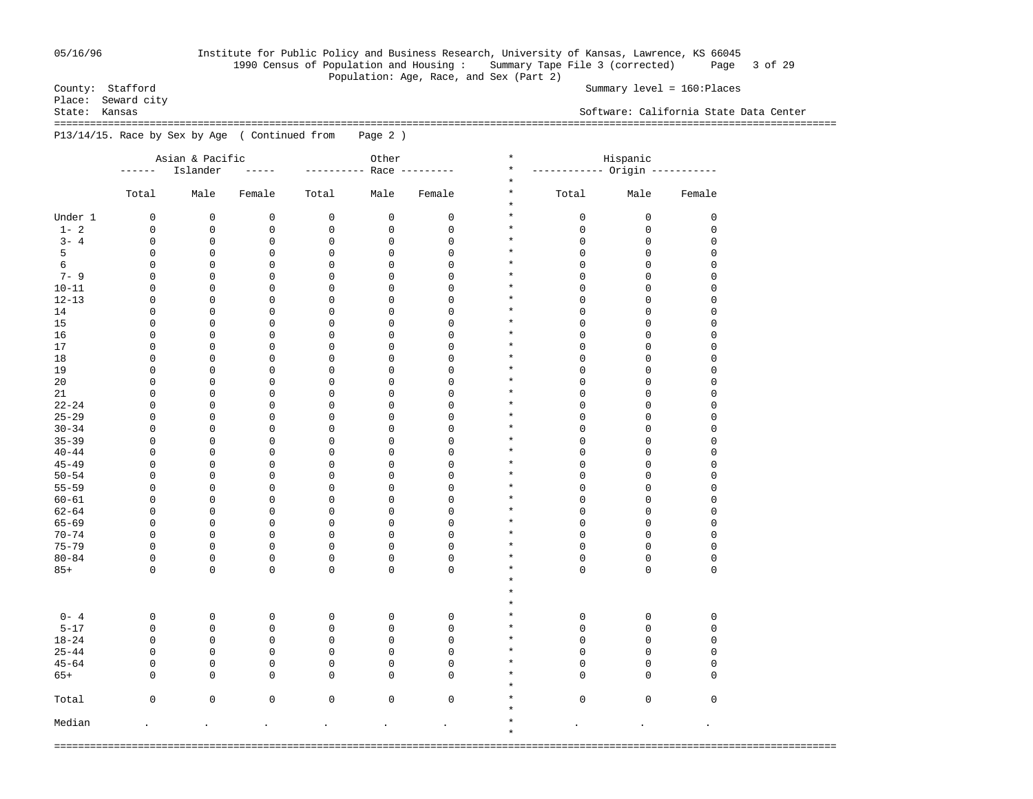## 05/16/96 Institute for Public Policy and Business Research, University of Kansas, Lawrence, KS 66045 1990 Census of Population and Housing : Summary Tape File 3 (corrected) Page 3 of 29 Population: Age, Race, and Sex (Part 2)<br>County: Stafford

Summary level = 160:Places

Place: Seward city<br>State: Kansas Software: California State Data Center =================================================================================================================================== P13/14/15. Race by Sex by Age ( Continued from Page 2 )

|           | Asian & Pacific<br>Other |             |               | $\star$<br>Hispanic |             |                |                               |                               |             |             |
|-----------|--------------------------|-------------|---------------|---------------------|-------------|----------------|-------------------------------|-------------------------------|-------------|-------------|
|           | ------                   | Islander    | $\frac{1}{2}$ | -----------         |             | Race --------- | $\star$                       | ----------- Origin ---------- |             |             |
|           | Total                    | Male        | Female        | Total               | Male        | Female         | $\star$<br>$\star$<br>$\star$ | Total                         | Male        | Female      |
| Under 1   | 0                        | $\mathsf 0$ | 0             | $\mathsf 0$         | $\mathsf 0$ | $\mathsf 0$    | $\star$                       | $\mathsf 0$                   | $\mathsf 0$ | 0           |
| $1 - 2$   | 0                        | 0           | 0             | 0                   | $\mathsf 0$ | 0              | $\star$                       | $\mathbf 0$                   | 0           | 0           |
| $3 - 4$   | 0                        | 0           | 0             | $\mathsf 0$         | $\mathsf 0$ | $\mathsf 0$    | $\star$                       | $\mathbf 0$                   | 0           | 0           |
| 5         | 0                        | 0           | 0             | $\mathbf 0$         | $\mathbf 0$ | $\mathsf 0$    | $\star$                       | $\mathbf 0$                   | $\mathbf 0$ | 0           |
| 6         | 0                        | 0           | 0             | 0                   | $\mathsf 0$ | $\mathsf 0$    | $\star$                       | $\mathbf 0$                   | 0           | 0           |
| $7 - 9$   | 0                        | 0           | 0             | $\mathbf 0$         | $\mathbf 0$ | $\mathsf 0$    | $\star$                       | 0                             | $\mathbf 0$ | 0           |
| $10 - 11$ | 0                        | 0           | 0             | 0                   | $\mathsf 0$ | $\mathsf 0$    | $\star$                       | $\mathbf 0$                   | 0           | 0           |
| $12 - 13$ | 0                        | 0           | 0             | 0                   | $\mathsf 0$ | $\mathsf 0$    | $\star$                       | 0                             | 0           | 0           |
| 14        | 0                        | 0           | 0             | 0                   | $\mathsf 0$ | $\mathsf 0$    | $\star$                       | $\mathbf 0$                   | 0           | 0           |
| 15        | 0                        | 0           | 0             | 0                   | $\mathsf 0$ | $\mathsf 0$    | $\star$                       | 0                             | 0           | 0           |
| 16        | 0                        | 0           | 0             | 0                   | $\mathsf 0$ | $\mathsf 0$    | $\star$                       | $\mathbf 0$                   | 0           | 0           |
| 17        | 0                        | $\mathbf 0$ | $\mathbf 0$   | $\mathbf 0$         | $\mathbf 0$ | $\mathbf 0$    | $\star$                       | $\mathbf 0$                   | $\mathbf 0$ | 0           |
| 18        | 0                        | 0           | 0             | $\mathbf 0$         | $\mathbf 0$ | $\mathbf 0$    | $\star$                       | $\mathbf 0$                   | $\mathbf 0$ | $\mathbf 0$ |
| 19        | $\mathbf 0$              | 0           | $\mathbf 0$   | $\mathbf 0$         | $\mathbf 0$ | $\mathbf 0$    | $\star$                       | $\mathbf 0$                   | $\mathbf 0$ | 0           |
| 20        | 0                        | 0           | 0             | $\mathbf 0$         | $\mathbf 0$ | $\mathbf 0$    | $\star$                       | $\mathbf 0$                   | $\mathbf 0$ | 0           |
| 21        | 0                        | 0           | 0             | $\mathbf 0$         | $\mathbf 0$ | $\mathbf 0$    | $\star$                       | $\mathbf 0$                   | $\mathbf 0$ | 0           |
| $22 - 24$ | 0                        | 0           | $\mathbf 0$   | $\mathbf 0$         | $\mathbf 0$ | $\mathbf 0$    | $\star$                       | $\mathbf 0$                   | $\mathbf 0$ | 0           |
| $25 - 29$ | $\mathbf 0$              | 0           | $\mathbf 0$   | $\mathbf 0$         | $\mathbf 0$ | $\mathbf 0$    | $\star$                       | $\mathbf 0$                   | $\mathbf 0$ | 0           |
| $30 - 34$ | $\mathbf 0$              | 0           | 0             | $\mathbf 0$         | $\mathbf 0$ | $\mathbf 0$    | $\star$                       | $\mathbf 0$                   | 0           | 0           |
| $35 - 39$ | $\mathbf 0$              | 0           | 0             | $\mathbf 0$         | $\mathbf 0$ | $\mathbf 0$    | $\star$                       | $\mathbf 0$                   | $\mathbf 0$ | 0           |
| $40 - 44$ | 0                        | 0           | 0             | $\mathbf 0$         | $\mathsf 0$ | $\mathsf 0$    | $\star$                       | $\mathbf 0$                   | $\mathbf 0$ | 0           |
| $45 - 49$ | 0                        | $\mathsf 0$ | 0             | $\mathbf 0$         | $\mathbf 0$ | $\mathsf 0$    | $\star$                       | $\mathbf 0$                   | $\mathbf 0$ | 0           |
| $50 - 54$ | 0                        | 0           | 0             | $\mathbf 0$         | $\mathsf 0$ | $\mathsf 0$    | $\star$                       | $\mathbf 0$                   | 0           | 0           |
| $55 - 59$ | 0                        | 0           | 0             | $\mathbf 0$         | $\mathsf 0$ | $\mathsf 0$    | $\star$                       | $\mathbf 0$                   | 0           | 0           |
| $60 - 61$ | 0                        | 0           | 0             | $\mathbf 0$         | $\mathbf 0$ | $\mathsf 0$    | $^\star$                      | $\mathbf 0$                   | 0           | 0           |
| $62 - 64$ | 0                        | 0           | 0             | $\mathbf 0$         | $\mathsf 0$ | $\mathsf 0$    | $\star$                       | $\mathbf 0$                   | $\mathbf 0$ | 0           |
| $65 - 69$ | 0                        | 0           | 0             | $\mathbf 0$         | $\mathsf 0$ | $\mathsf 0$    | $\star$                       | $\mathbf 0$                   | 0           | 0           |
| $70 - 74$ | 0                        | 0           | 0             | 0                   | $\mathsf 0$ | $\mathsf 0$    | $\star$                       | $\mathbf 0$                   | 0           | 0           |
| $75 - 79$ | $\mathbf 0$              | $\mathbf 0$ | $\mathbf 0$   | $\mathbf 0$         | $\mathbf 0$ | $\mathbf 0$    | $^\star$                      | $\mathbf 0$                   | $\mathbf 0$ | 0           |
| $80 - 84$ | 0                        | 0           | $\mathbf 0$   | $\mathbf 0$         | $\mathbf 0$ | $\mathbf 0$    | $\star$                       | $\mathsf 0$                   | $\mathbf 0$ | 0           |
| $85+$     | $\Omega$                 | 0           | $\mathbf 0$   | $\mathbf 0$         | $\Omega$    | $\mathbf 0$    | $\star$                       | $\mathbf 0$                   | $\mathbf 0$ | 0           |
|           |                          |             |               |                     |             |                | $\star$                       |                               |             |             |
|           |                          |             |               |                     |             |                | $\star$                       |                               |             |             |
|           |                          |             |               |                     |             |                | $\star$                       |                               |             |             |
| $0 - 4$   | 0                        | $\mathbf 0$ | 0             | $\mathbf 0$         | $\mathsf 0$ | $\mathsf 0$    | $\star$                       | $\mathbf 0$                   | $\mathbf 0$ | $\mathsf 0$ |
| $5 - 17$  | $\mathbf 0$              | 0           | 0             | $\mathbf 0$         | $\mathsf 0$ | $\mathsf 0$    | $\star$                       | $\mathsf 0$                   | $\mathbf 0$ | 0           |
| $18 - 24$ | $\mathsf 0$              | $\mathsf 0$ | $\mathbf 0$   | $\mathbf 0$         | $\mathbf 0$ | $\mathbf 0$    | $\star$                       | $\mathbf 0$                   | $\mathbf 0$ |             |
| $25 - 44$ | $\mathbf 0$              | 0           | 0             | $\mathbf 0$         | $\mathbf 0$ | $\mathbf 0$    | $\star$                       | $\mathbf 0$                   | $\mathbf 0$ | 0<br>0      |
|           |                          |             |               |                     |             |                | $\star$                       |                               |             |             |
| $45 - 64$ | 0                        | 0           | 0             | $\mathsf 0$         | $\mathsf 0$ | $\mathsf 0$    | $\star$                       | $\mathbf 0$                   | 0           | 0           |
| $65+$     | $\mathbf 0$              | 0           | $\mathbf 0$   | $\mathsf 0$         | $\mathbf 0$ | $\mathbf 0$    | $\star$                       | $\mathbf 0$                   | $\mathbf 0$ | 0           |
| Total     | 0                        | $\mathsf 0$ | $\mathbf 0$   | $\mathsf 0$         | $\mathsf 0$ | $\mathbf 0$    | $\star$                       | $\mathsf 0$                   | $\mathsf 0$ | 0           |
|           |                          |             |               |                     |             |                | $\star$                       |                               |             |             |
| Median    | $\ddot{\phantom{0}}$     |             | $\bullet$     |                     |             |                | $\star$                       |                               |             | $\bullet$   |
|           |                          |             |               |                     |             |                | $\star$                       |                               |             |             |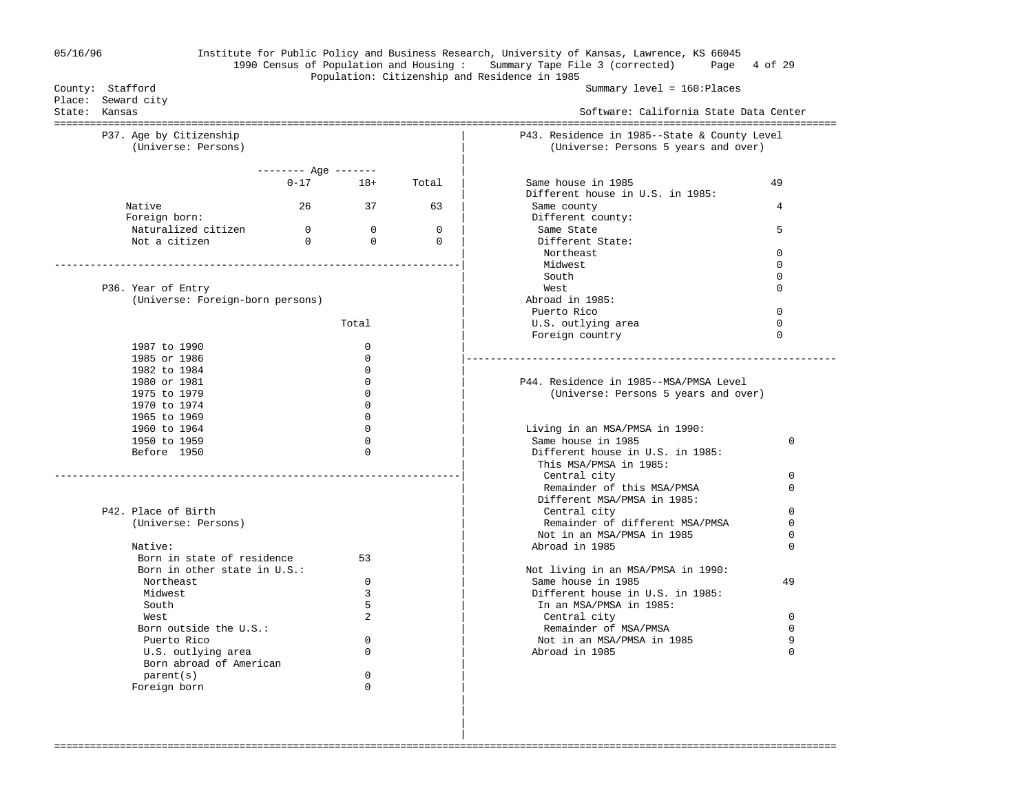| 05/16/96 |  |  |
|----------|--|--|
|----------|--|--|

## 05/16/96 Institute for Public Policy and Business Research, University of Kansas, Lawrence, KS 66045 1990 Census of Population and Housing : Summary Tape File 3 (corrected) Page 4 of 29

 | |

# Population: Citizenship and Residence in 1985

Summary level = 160:Places

| Place: Seward city<br>State: Kansas            |                    |                |          | Software: California State Data Center                                               |               |  |  |  |
|------------------------------------------------|--------------------|----------------|----------|--------------------------------------------------------------------------------------|---------------|--|--|--|
| P37. Age by Citizenship<br>(Universe: Persons) |                    |                |          | P43. Residence in 1985--State & County Level<br>(Universe: Persons 5 years and over) |               |  |  |  |
|                                                | $------$ Age $---$ |                |          |                                                                                      |               |  |  |  |
|                                                | $0 - 17$           | $18+$          | Total    | Same house in 1985                                                                   | 49            |  |  |  |
|                                                |                    |                |          | Different house in U.S. in 1985:                                                     |               |  |  |  |
| Native                                         | 26                 | 37             | 63       | Same county                                                                          | 4             |  |  |  |
| Foreign born:                                  |                    |                |          | Different county:                                                                    |               |  |  |  |
| Naturalized citizen                            | $\overline{0}$     | $\bigcirc$     | $\Omega$ | Same State                                                                           | 5             |  |  |  |
| Not a citizen                                  | $\Omega$           | $\Omega$       | $\Omega$ | Different State:                                                                     |               |  |  |  |
|                                                |                    |                |          | Northeast                                                                            | $\Omega$      |  |  |  |
|                                                |                    |                |          | Midwest                                                                              | $\Omega$      |  |  |  |
|                                                |                    |                |          | South                                                                                | 0             |  |  |  |
| P36. Year of Entry                             |                    |                |          | West                                                                                 | $\Omega$      |  |  |  |
| (Universe: Foreign-born persons)               |                    |                |          | Abroad in 1985:                                                                      |               |  |  |  |
|                                                |                    |                |          | Puerto Rico                                                                          | $\mathbf 0$   |  |  |  |
|                                                |                    | Total          |          | U.S. outlying area                                                                   | $\Omega$      |  |  |  |
|                                                |                    |                |          | Foreign country                                                                      | $\Omega$      |  |  |  |
| 1987 to 1990                                   |                    | $\mathbf 0$    |          |                                                                                      |               |  |  |  |
| 1985 or 1986                                   |                    | $\Omega$       |          |                                                                                      |               |  |  |  |
| 1982 to 1984                                   |                    | $\Omega$       |          |                                                                                      |               |  |  |  |
| 1980 or 1981                                   |                    | 0              |          | P44. Residence in 1985--MSA/PMSA Level                                               |               |  |  |  |
| 1975 to 1979                                   |                    | $\Omega$       |          | (Universe: Persons 5 years and over)                                                 |               |  |  |  |
| 1970 to 1974                                   |                    | $\Omega$       |          |                                                                                      |               |  |  |  |
| 1965 to 1969                                   |                    | 0              |          |                                                                                      |               |  |  |  |
| 1960 to 1964                                   |                    | $\Omega$       |          | Living in an MSA/PMSA in 1990:                                                       |               |  |  |  |
| 1950 to 1959                                   |                    | $\Omega$       |          | Same house in 1985                                                                   | $\Omega$      |  |  |  |
| Before 1950                                    |                    | $\Omega$       |          | Different house in U.S. in 1985:                                                     |               |  |  |  |
|                                                |                    |                |          | This MSA/PMSA in 1985:                                                               |               |  |  |  |
|                                                |                    |                |          | Central city                                                                         | $\Omega$      |  |  |  |
|                                                |                    |                |          | Remainder of this MSA/PMSA                                                           | $\Omega$      |  |  |  |
|                                                |                    |                |          | Different MSA/PMSA in 1985:                                                          |               |  |  |  |
| P42. Place of Birth                            |                    |                |          | Central city                                                                         | $\Omega$      |  |  |  |
| (Universe: Persons)                            |                    |                |          | Remainder of different MSA/PMSA                                                      | $\Omega$      |  |  |  |
| Native:                                        |                    |                |          | Not in an MSA/PMSA in 1985                                                           | 0<br>$\Omega$ |  |  |  |
|                                                |                    |                |          | Abroad in 1985                                                                       |               |  |  |  |
| Born in state of residence                     |                    | 53             |          |                                                                                      |               |  |  |  |
| Born in other state in U.S.:                   |                    | $\Omega$       |          | Not living in an MSA/PMSA in 1990:<br>Same house in 1985                             | 49            |  |  |  |
| Northeast                                      |                    | 3              |          |                                                                                      |               |  |  |  |
| Midwest<br>South                               |                    | 5              |          | Different house in U.S. in 1985:                                                     |               |  |  |  |
| West.                                          |                    | $\mathfrak{D}$ |          | In an MSA/PMSA in 1985:                                                              | $\Omega$      |  |  |  |
| Born outside the U.S.:                         |                    |                |          | Central city<br>Remainder of MSA/PMSA                                                | 0             |  |  |  |
| Puerto Rico                                    |                    | $\Omega$       |          | Not in an MSA/PMSA in 1985                                                           | 9             |  |  |  |
|                                                |                    | 0              |          | Abroad in 1985                                                                       | 0             |  |  |  |
| U.S. outlying area<br>Born abroad of American  |                    |                |          |                                                                                      |               |  |  |  |
| parent(s)                                      |                    | 0<br>0         |          |                                                                                      |               |  |  |  |
| Foreign born                                   |                    |                |          |                                                                                      |               |  |  |  |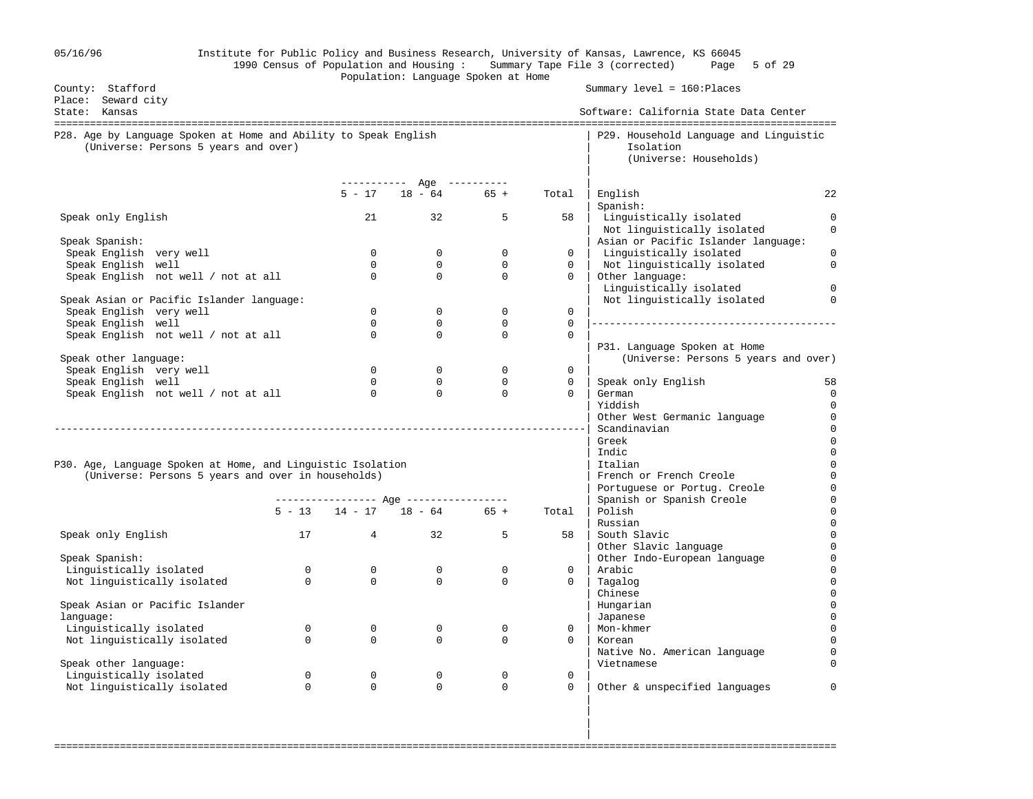| 05/16/96                                                                                                 | Institute for Public Policy and Business Research, University of Kansas, Lawrence, KS 66045<br>1990 Census of Population and Housing: Summary Tape File 3 (corrected) Page 5 of 29<br>Population: Language Spoken at Home |                         |                                     |                         |                            |                                                                               |                              |  |  |  |  |
|----------------------------------------------------------------------------------------------------------|---------------------------------------------------------------------------------------------------------------------------------------------------------------------------------------------------------------------------|-------------------------|-------------------------------------|-------------------------|----------------------------|-------------------------------------------------------------------------------|------------------------------|--|--|--|--|
| County: Stafford<br>Place: Seward city                                                                   |                                                                                                                                                                                                                           |                         |                                     |                         |                            | Summary $level = 160:ə$ Places                                                |                              |  |  |  |  |
| State: Kansas                                                                                            |                                                                                                                                                                                                                           |                         |                                     |                         |                            | Software: California State Data Center                                        |                              |  |  |  |  |
| P28. Age by Language Spoken at Home and Ability to Speak English<br>(Universe: Persons 5 years and over) |                                                                                                                                                                                                                           |                         |                                     |                         |                            | P29. Household Language and Linguistic<br>Isolation<br>(Universe: Households) |                              |  |  |  |  |
|                                                                                                          |                                                                                                                                                                                                                           |                         | ---------- Age ----------           |                         |                            |                                                                               |                              |  |  |  |  |
|                                                                                                          |                                                                                                                                                                                                                           |                         | $5 - 17$ 18 - 64 65 +               |                         | Total                      | English<br>Spanish:                                                           | 22                           |  |  |  |  |
| Speak only English                                                                                       |                                                                                                                                                                                                                           |                         |                                     | 32 5                    | 58                         | Linguistically isolated<br>Not linguistically isolated                        | $\mathbf{0}$<br>$\mathbf{0}$ |  |  |  |  |
| Speak Spanish:                                                                                           |                                                                                                                                                                                                                           |                         |                                     |                         |                            | Asian or Pacific Islander language:                                           | $\Omega$                     |  |  |  |  |
| Speak English very well<br>Speak English well                                                            |                                                                                                                                                                                                                           | $\Omega$<br>$\Omega$    | $\mathbf 0$<br>$\Omega$             | $\mathbf 0$<br>$\Omega$ | $\mathbf{0}$<br>$\Omega$   | Linguistically isolated<br>Not linguistically isolated                        | $\mathbf{0}$                 |  |  |  |  |
| Speak English not well / not at all                                                                      |                                                                                                                                                                                                                           | $\Omega$                | $\Omega$                            | $\Omega$                | $\Omega$                   | Other language:<br>Linguistically isolated                                    | $\Omega$                     |  |  |  |  |
| Speak Asian or Pacific Islander language:                                                                |                                                                                                                                                                                                                           |                         |                                     |                         |                            | Not linguistically isolated                                                   | $\Omega$                     |  |  |  |  |
| Speak English very well                                                                                  |                                                                                                                                                                                                                           | $\Omega$                | $\Omega$                            | $\Omega$                | $\Omega$                   |                                                                               |                              |  |  |  |  |
| Speak English well                                                                                       |                                                                                                                                                                                                                           | $\Omega$<br>$\mathbf 0$ | $\Omega$<br>$\mathbf 0$             | $\Omega$<br>$\mathbf 0$ | $\Omega$<br>$\overline{0}$ |                                                                               |                              |  |  |  |  |
| Speak English not well / not at all                                                                      |                                                                                                                                                                                                                           |                         |                                     |                         |                            | P31. Language Spoken at Home                                                  |                              |  |  |  |  |
| Speak other language:                                                                                    |                                                                                                                                                                                                                           |                         |                                     |                         |                            | (Universe: Persons 5 years and over)                                          |                              |  |  |  |  |
| Speak English very well                                                                                  |                                                                                                                                                                                                                           | $\overline{0}$          | $\overline{0}$                      | $\mathbf 0$             | $\mathbf{0}$               |                                                                               |                              |  |  |  |  |
| Speak English well                                                                                       |                                                                                                                                                                                                                           | $\Omega$                | $\Omega$                            | $\overline{0}$          | $\mathbf{0}$               | Speak only English                                                            | 58                           |  |  |  |  |
| Speak English not well / not at all                                                                      |                                                                                                                                                                                                                           | $\overline{0}$          | $\overline{0}$                      | $\overline{0}$          | $\Omega$                   | German                                                                        | $\mathbf 0$                  |  |  |  |  |
|                                                                                                          |                                                                                                                                                                                                                           |                         |                                     |                         |                            | Yiddish                                                                       | $\Omega$                     |  |  |  |  |
|                                                                                                          |                                                                                                                                                                                                                           |                         |                                     |                         |                            | Other West Germanic language                                                  | $\mathbf 0$<br>$\mathbf 0$   |  |  |  |  |
|                                                                                                          |                                                                                                                                                                                                                           |                         |                                     |                         |                            | Scandinavian<br>Greek                                                         | $\mathbf 0$                  |  |  |  |  |
|                                                                                                          |                                                                                                                                                                                                                           |                         |                                     |                         |                            | Indic                                                                         | $\Omega$                     |  |  |  |  |
| P30. Age, Language Spoken at Home, and Linguistic Isolation                                              |                                                                                                                                                                                                                           |                         |                                     |                         |                            | Italian                                                                       | $\Omega$                     |  |  |  |  |
| (Universe: Persons 5 years and over in households)                                                       |                                                                                                                                                                                                                           |                         |                                     |                         |                            | French or French Creole                                                       | $\Omega$                     |  |  |  |  |
|                                                                                                          |                                                                                                                                                                                                                           |                         |                                     |                         |                            | Portuguese or Portug. Creole                                                  | $\mathsf{O}\xspace$          |  |  |  |  |
|                                                                                                          |                                                                                                                                                                                                                           |                         |                                     |                         |                            | Spanish or Spanish Creole                                                     | $\mathbf 0$                  |  |  |  |  |
|                                                                                                          |                                                                                                                                                                                                                           |                         | $5 - 13$ $14 - 17$ $18 - 64$ $65 +$ |                         | Total                      | Polish                                                                        | $\mathbf 0$                  |  |  |  |  |
| Speak only English                                                                                       | 17                                                                                                                                                                                                                        |                         | 32                                  | 5                       | 58                         | Russian<br>South Slavic                                                       | $\mathsf 0$<br>$\mathbf 0$   |  |  |  |  |
|                                                                                                          |                                                                                                                                                                                                                           |                         |                                     |                         |                            | Other Slavic language                                                         | $\mathbf 0$                  |  |  |  |  |
| Speak Spanish:                                                                                           |                                                                                                                                                                                                                           |                         |                                     |                         |                            | Other Indo-European language                                                  | $\mathbf 0$                  |  |  |  |  |
| Linguistically isolated                                                                                  | $\Omega$                                                                                                                                                                                                                  | $\Omega$                | $\overline{0}$                      | $\mathbf 0$             | $\overline{0}$             | Arabic                                                                        | $\mathbf 0$                  |  |  |  |  |
| Not linguistically isolated                                                                              | $\overline{0}$                                                                                                                                                                                                            | $\Omega$                | $\Omega$                            | $\Omega$                | $\overline{0}$             | Tagalog                                                                       | $\mathbf{0}$                 |  |  |  |  |
|                                                                                                          |                                                                                                                                                                                                                           |                         |                                     |                         |                            | Chinese                                                                       | $\mathbf{0}$                 |  |  |  |  |
| Speak Asian or Pacific Islander                                                                          |                                                                                                                                                                                                                           |                         |                                     |                         |                            | Hungarian                                                                     | $\mathbf{0}$                 |  |  |  |  |
| language:                                                                                                | $\mathbf{0}$                                                                                                                                                                                                              | $\mathbf 0$             | $\mathbf 0$                         | $\mathbf 0$             | $\Omega$                   | Japanese<br>Mon-khmer                                                         | $\mathbf 0$<br>$\Omega$      |  |  |  |  |
| Linguistically isolated<br>Not linguistically isolated                                                   | $\Omega$                                                                                                                                                                                                                  | $\Omega$                | $\Omega$                            | $\Omega$                | $\Omega$                   | Korean                                                                        | $\Omega$                     |  |  |  |  |
|                                                                                                          |                                                                                                                                                                                                                           |                         |                                     |                         |                            | Native No. American language                                                  | $\Omega$                     |  |  |  |  |
| Speak other language:                                                                                    |                                                                                                                                                                                                                           |                         |                                     |                         |                            | Vietnamese                                                                    | $\Omega$                     |  |  |  |  |
| Linguistically isolated                                                                                  | $\mathbf 0$                                                                                                                                                                                                               | $\mathsf{O}$            | $\mathsf{O}$                        | 0                       | $\mathsf{O}$               |                                                                               |                              |  |  |  |  |
| Not linguistically isolated                                                                              | $\Omega$                                                                                                                                                                                                                  | $\Omega$                | $\Omega$                            | $\Omega$                | $\mathbf{0}$               | Other & unspecified languages                                                 | 0                            |  |  |  |  |
|                                                                                                          |                                                                                                                                                                                                                           |                         |                                     |                         |                            |                                                                               |                              |  |  |  |  |

===================================================================================================================================

in the contract of the contract of the contract of the contract of the contract of the contract of the contract in the contract of the contract of the contract of the contract of the contract of the contract of the contract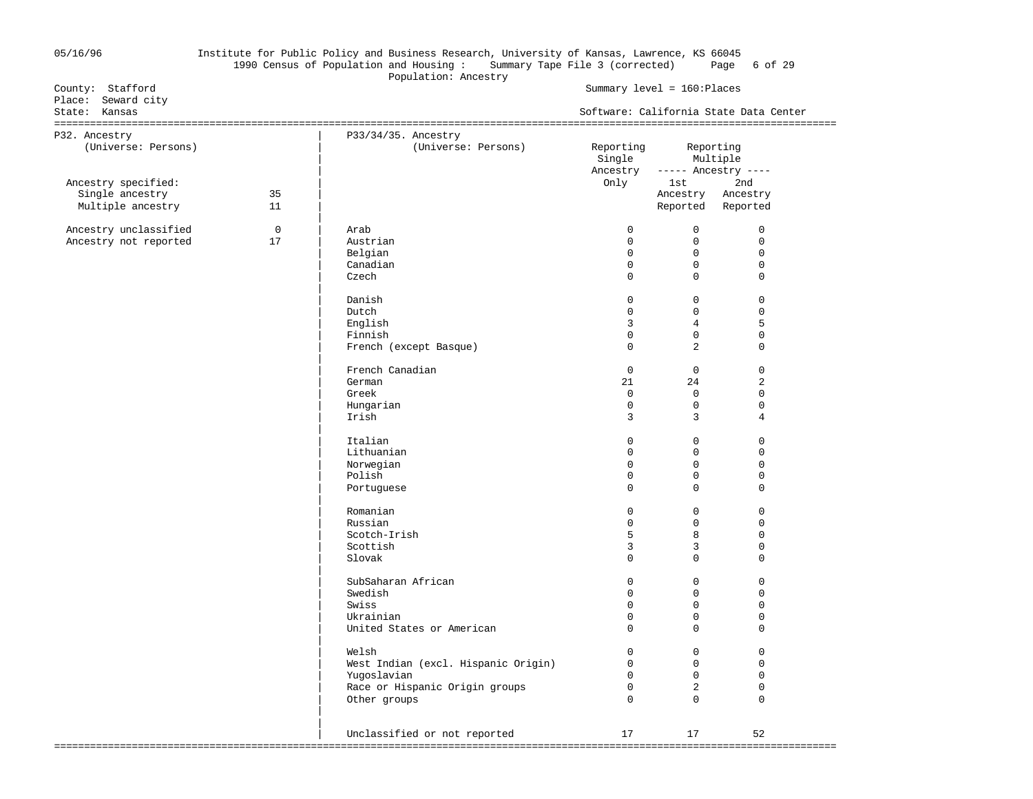## 05/16/96 Institute for Public Policy and Business Research, University of Kansas, Lawrence, KS 66045 1990 Census of Population and Housing : Summary Tape File 3 (corrected) Page 6 of 29 Population: Ancestry<br>
County: Stafford<br>
Population: Ancestry

## Summary level = 160:Places

| Place: Seward city<br>State: Kansas    |                |                                            |                                                                                          |                | Software: California State Data Center |  |
|----------------------------------------|----------------|--------------------------------------------|------------------------------------------------------------------------------------------|----------------|----------------------------------------|--|
| P32. Ancestry<br>(Universe: Persons)   |                | P33/34/35. Ancestry<br>(Universe: Persons) | Reporting Reporting<br>Single<br>Multiple<br>Ancestry ----- Ancestry ----<br>Only<br>1st |                |                                        |  |
| Ancestry specified:<br>Single ancestry | 35<br>11       |                                            |                                                                                          |                | 2nd<br>Ancestry Ancestry               |  |
| Multiple ancestry                      |                |                                            |                                                                                          |                | Reported Reported                      |  |
| Ancestry unclassified                  | $\overline{0}$ | Arab                                       | $\mathbf 0$                                                                              | $\overline{0}$ | $\mathbf 0$                            |  |
| Ancestry not reported                  | 17             | Austrian                                   | $\mathbf 0$                                                                              | $\overline{0}$ | $\mathbf 0$                            |  |
|                                        |                | Belgian                                    | $\Omega$                                                                                 | $\overline{0}$ | $\mathbf 0$                            |  |
|                                        |                | Canadian                                   | $\mathbf 0$                                                                              | $\overline{0}$ | $\mathbf 0$                            |  |
|                                        |                | Czech                                      | $\Omega$                                                                                 | $\overline{0}$ | $\mathbf 0$                            |  |
|                                        |                | Danish                                     | $\Omega$                                                                                 | $\overline{0}$ | $\mathbf 0$                            |  |
|                                        |                | Dutch                                      | $\Omega$                                                                                 | $\overline{0}$ | $\mathbf 0$                            |  |
|                                        |                | English                                    | $\overline{3}$                                                                           | $4\degree$     | 5                                      |  |
|                                        |                | Finnish                                    | $\Omega$                                                                                 | $\Omega$       | $\mathbf 0$                            |  |
|                                        |                | French (except Basque)                     | $\Omega$                                                                                 | 2              | $\Omega$                               |  |
|                                        |                | French Canadian                            | $\mathbf{0}$                                                                             | $\overline{0}$ | $\mathbf 0$                            |  |
|                                        |                | German                                     | 21                                                                                       | 24             | 2                                      |  |
|                                        |                | Greek                                      | $\Omega$                                                                                 | $\overline{0}$ | $\mathbf 0$                            |  |
|                                        |                |                                            | $\mathbf 0$                                                                              | $\overline{0}$ | $\mathbf 0$                            |  |
|                                        |                | Hungarian<br>Irish                         | 3                                                                                        | $\overline{3}$ | $\overline{4}$                         |  |
|                                        |                | Italian                                    | $\Omega$                                                                                 | $\overline{0}$ | $\mathbf 0$                            |  |
|                                        |                | Lithuanian                                 | $\mathbf 0$                                                                              | $\circ$        | $\mathbf 0$                            |  |
|                                        |                |                                            | $\mathbf 0$                                                                              | $\overline{0}$ | $\mathbf 0$                            |  |
|                                        |                | Norwegian                                  | $\Omega$                                                                                 |                |                                        |  |
|                                        |                | Polish                                     |                                                                                          | $\Omega$       | $\mathbf 0$                            |  |
|                                        |                | Portuguese                                 | $\Omega$                                                                                 | $\Omega$       | $\mathbf 0$                            |  |
|                                        |                | Romanian                                   | $\mathbf 0$                                                                              | $\circ$        | $\mathbf 0$                            |  |
|                                        |                | Russian                                    | $\Omega$                                                                                 | $\overline{0}$ | $\mathbf 0$                            |  |
|                                        |                | Scotch-Irish                               | 5                                                                                        | 8              | $\mathbf 0$                            |  |
|                                        |                | Scottish                                   | 3                                                                                        | 3              | $\mathbf 0$                            |  |
|                                        |                | Slovak                                     | $\Omega$                                                                                 | $\overline{0}$ | $\mathbf 0$                            |  |
|                                        |                | SubSaharan African                         | $\Omega$                                                                                 | $\Omega$       | $\mathbf 0$                            |  |
|                                        |                | Swedish                                    | $\mathbf 0$                                                                              | $\circ$        | $\mathbf 0$                            |  |
|                                        |                | Swiss                                      | $\mathbf{0}$                                                                             | $\overline{0}$ | $\mathbf 0$                            |  |
|                                        |                | Ukrainian                                  | $\Omega$                                                                                 | $\Omega$       | $\Omega$                               |  |
|                                        |                | United States or American                  | $\Omega$                                                                                 | $\Omega$       | $\mathbf 0$                            |  |
|                                        |                | Welsh                                      | $\overline{0}$                                                                           | $\overline{0}$ | $\mathbf 0$                            |  |
|                                        |                | West Indian (excl. Hispanic Origin)        | 0                                                                                        | $\overline{0}$ | $\mathbf 0$                            |  |
|                                        |                | Yugoslavian                                | 0                                                                                        | $\overline{0}$ | $\mathbf 0$                            |  |
|                                        |                | Race or Hispanic Origin groups             | $\Omega$                                                                                 | 2              | $\mathbf 0$                            |  |
|                                        |                | Other groups                               | $\Omega$                                                                                 | $\mathbf 0$    | $\mathbf 0$                            |  |
|                                        |                |                                            |                                                                                          |                |                                        |  |
|                                        |                | Unclassified or not reported               | 17                                                                                       | 17             | 52                                     |  |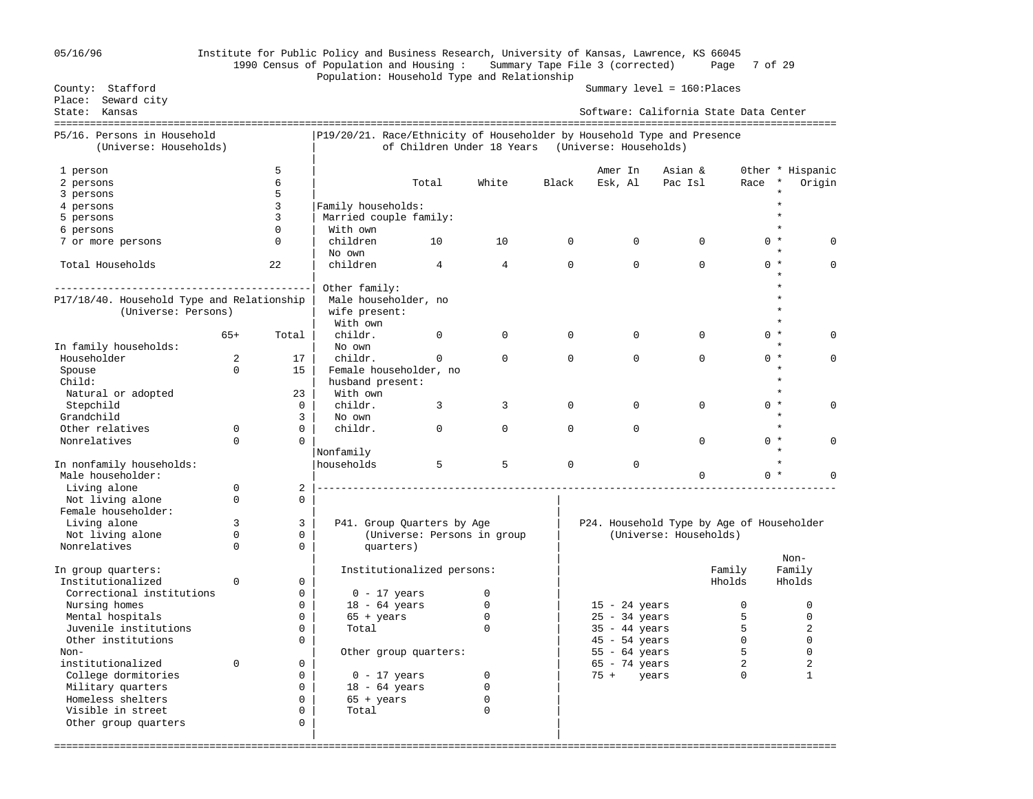### 05/16/96 Institute for Public Policy and Business Research, University of Kansas, Lawrence, KS 66045 1990 Census of Population and Housing : Summary Tape File 3 (corrected) Page 7 of 29 Population: Household Type and Relationship Population: Household Type and Relationship<br>Summary level = 160:Places Summary level = 160:Places

| County: Stafford                           |             |                |                                                                         |                                                   |                |                | $Summary$ $level = 160$ : $PIaces$        |                        |             |                  |                  |
|--------------------------------------------|-------------|----------------|-------------------------------------------------------------------------|---------------------------------------------------|----------------|----------------|-------------------------------------------|------------------------|-------------|------------------|------------------|
| Place: Seward city                         |             |                |                                                                         |                                                   |                |                | Software: California State Data Center    |                        |             |                  |                  |
| State: Kansas                              |             |                |                                                                         |                                                   |                |                |                                           |                        |             |                  |                  |
| P5/16. Persons in Household                |             |                | P19/20/21. Race/Ethnicity of Householder by Household Type and Presence |                                                   |                |                |                                           |                        |             |                  |                  |
| (Universe: Households)                     |             |                |                                                                         | of Children Under 18 Years (Universe: Households) |                |                |                                           |                        |             |                  |                  |
|                                            |             |                |                                                                         |                                                   |                |                |                                           |                        |             |                  |                  |
| 1 person                                   |             | 5              |                                                                         |                                                   |                |                | Amer In                                   | Asian &                |             |                  | Other * Hispanic |
| 2 persons                                  |             | 6              |                                                                         | Total                                             | White          | Black          | Esk, Al                                   | Pac Isl                | Race        | $^\star$         | Origin           |
| 3 persons                                  |             | 5              |                                                                         |                                                   |                |                |                                           |                        |             |                  |                  |
| 4 persons                                  |             | 3              | Family households:                                                      |                                                   |                |                |                                           |                        |             |                  |                  |
| 5 persons                                  |             | $\overline{3}$ | Married couple family:                                                  |                                                   |                |                |                                           |                        |             | $\star$          |                  |
| 6 persons                                  |             | $\Omega$       | With own                                                                |                                                   |                |                |                                           |                        |             |                  |                  |
| 7 or more persons                          |             | $\Omega$       | children                                                                | 10                                                | 10             | $\overline{0}$ | $\mathbf{0}$                              | $\mathbf 0$            |             | $0 *$            | 0                |
|                                            |             |                | No own                                                                  |                                                   |                |                |                                           |                        |             |                  |                  |
| Total Households                           |             | 22             | children                                                                | $\overline{4}$                                    | $\overline{4}$ | $\mathsf{O}$   | $\Omega$                                  | $\Omega$               |             | $0 *$            | 0                |
|                                            |             |                |                                                                         |                                                   |                |                |                                           |                        |             |                  |                  |
|                                            |             |                | Other family:                                                           |                                                   |                |                |                                           |                        |             |                  |                  |
| P17/18/40. Household Type and Relationship |             |                | Male householder, no                                                    |                                                   |                |                |                                           |                        |             |                  |                  |
| (Universe: Persons)                        |             |                | wife present:                                                           |                                                   |                |                |                                           |                        |             |                  |                  |
|                                            |             |                | With own                                                                |                                                   |                |                |                                           |                        |             |                  |                  |
|                                            | $65+$       | Total          | childr.                                                                 | $\mathbf 0$                                       | 0              | $\Omega$       | $\Omega$                                  | $\mathbf 0$            |             | $0 *$            |                  |
| In family households:                      |             |                | No own                                                                  |                                                   |                |                |                                           |                        |             |                  |                  |
| Householder                                | 2           | 17             | childr.                                                                 | $\Omega$                                          | $\Omega$       | $\Omega$       | $\Omega$                                  | $\Omega$               |             | $0 *$<br>$\star$ | U                |
| Spouse                                     | $\Omega$    | 15             | Female householder, no                                                  |                                                   |                |                |                                           |                        |             | $\star$          |                  |
| Child:                                     |             | 23             | husband present:<br>With own                                            |                                                   |                |                |                                           |                        |             |                  |                  |
| Natural or adopted                         |             | $\Omega$       | childr.                                                                 | 3                                                 | 3              | $\Omega$       | $\Omega$                                  | $\Omega$               |             | $0 *$            | O                |
| Stepchild<br>Grandchild                    |             | $\overline{3}$ | No own                                                                  |                                                   |                |                |                                           |                        |             |                  |                  |
| Other relatives                            | 0           | $\Omega$       | childr.                                                                 | $\Omega$                                          | $\Omega$       | $\Omega$       | $\Omega$                                  |                        |             | $\star$          |                  |
| Nonrelatives                               | $\Omega$    | $\Omega$       |                                                                         |                                                   |                |                |                                           | $\Omega$               |             | $0 *$            | $\Omega$         |
|                                            |             |                | Nonfamily                                                               |                                                   |                |                |                                           |                        |             |                  |                  |
| In nonfamily households:                   |             |                | households                                                              | 5                                                 | 5              | $\mathbf 0$    | $\Omega$                                  |                        |             | $\star$          |                  |
| Male householder:                          |             |                |                                                                         |                                                   |                |                |                                           | $\Omega$               |             | $0 *$            |                  |
| Living alone                               | $\mathbf 0$ | 2 <sup>1</sup> |                                                                         |                                                   |                |                |                                           |                        |             |                  |                  |
| Not living alone                           | $\Omega$    | $\Omega$       |                                                                         |                                                   |                |                |                                           |                        |             |                  |                  |
| Female householder:                        |             |                |                                                                         |                                                   |                |                |                                           |                        |             |                  |                  |
| Living alone                               | 3           | $\overline{3}$ |                                                                         | P41. Group Quarters by Age                        |                |                | P24. Household Type by Age of Householder |                        |             |                  |                  |
| Not living alone                           | $\mathbf 0$ | $\mathbf 0$    |                                                                         | (Universe: Persons in group                       |                |                |                                           | (Universe: Households) |             |                  |                  |
| Nonrelatives                               | $\Omega$    | $\mathbf 0$    | quarters)                                                               |                                                   |                |                |                                           |                        |             |                  |                  |
|                                            |             |                |                                                                         |                                                   |                |                |                                           |                        |             | Non-             |                  |
| In group quarters:                         |             |                |                                                                         | Institutionalized persons:                        |                |                |                                           |                        | Family      | Family           |                  |
| Institutionalized                          | $\Omega$    | $\Omega$       |                                                                         |                                                   |                |                |                                           |                        | Hholds      | Hholds           |                  |
| Correctional institutions                  |             | $\Omega$       | $0 - 17$ years                                                          |                                                   | $\Omega$       |                |                                           |                        |             |                  |                  |
| Nursing homes                              |             | 0              | $18 - 64 \text{ years}$                                                 |                                                   | $\mathbf 0$    |                | $15 - 24$ years                           |                        | $\Omega$    |                  | 0                |
| Mental hospitals                           |             | $\mathbf 0$    | $65 + \text{years}$                                                     |                                                   | $\mathbf 0$    |                | $25 - 34$ years                           |                        | 5           |                  | $\mathbf 0$      |
| Juvenile institutions                      |             | $\Omega$       | Total                                                                   |                                                   | $\Omega$       |                | $35 - 44$ years                           |                        | 5           |                  | $\overline{a}$   |
| Other institutions                         |             | $\mathbf 0$    |                                                                         |                                                   |                |                | $45 - 54$ years                           |                        | $\mathbf 0$ |                  | $\mathsf 0$      |
| $Non-$                                     |             |                |                                                                         | Other group quarters:                             |                |                | $55 - 64 \text{ years}$                   |                        | 5           |                  | $\Omega$         |
| institutionalized                          | $\Omega$    | $\Omega$       |                                                                         |                                                   |                |                | $65 - 74$ years                           |                        | 2           |                  | 2                |
| College dormitories                        |             | $\Omega$       | $0 - 17$ years                                                          |                                                   | $\mathbf 0$    |                | $75 + \text{years}$                       |                        | $\Omega$    |                  | $\mathbf{1}$     |
| Military quarters                          |             | $\mathbf 0$    | $18 - 64 \text{ years}$                                                 |                                                   | $\mathbf 0$    |                |                                           |                        |             |                  |                  |
| Homeless shelters                          |             | $\Omega$       | $65 + \text{years}$                                                     |                                                   | $\mathbf 0$    |                |                                           |                        |             |                  |                  |
| Visible in street                          |             | $\mathbf 0$    | Total                                                                   |                                                   | $\mathbf 0$    |                |                                           |                        |             |                  |                  |
| Other group quarters                       |             | $\Omega$       |                                                                         |                                                   |                |                |                                           |                        |             |                  |                  |
|                                            |             |                |                                                                         |                                                   |                |                |                                           |                        |             |                  |                  |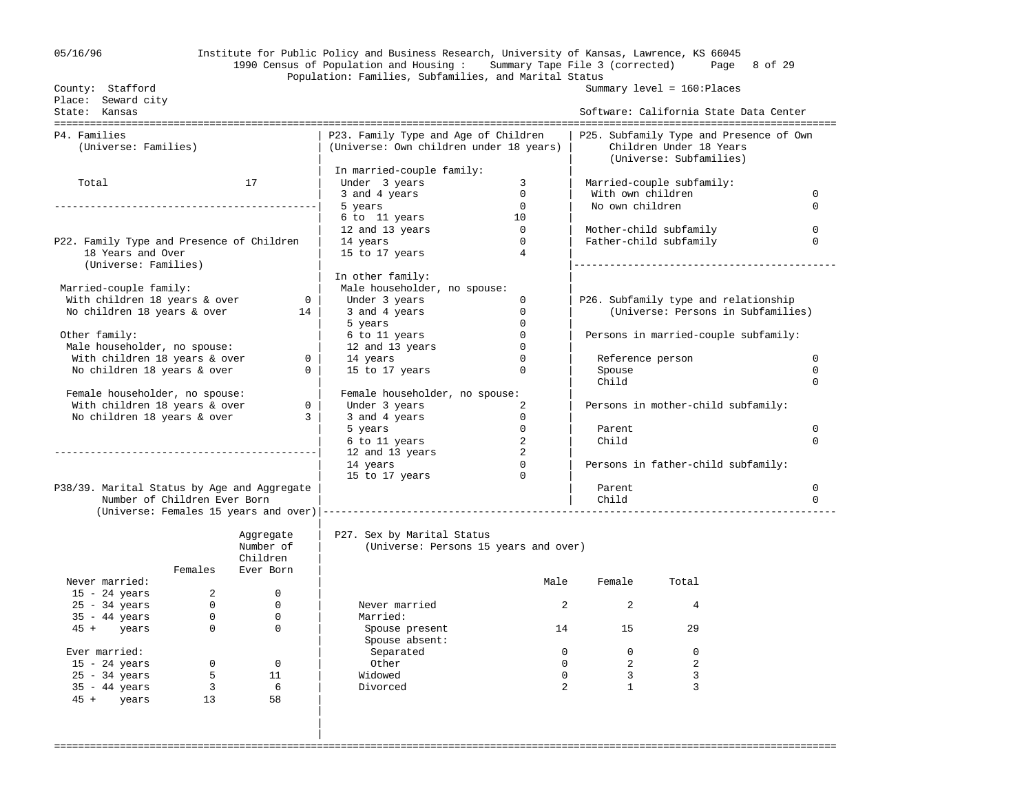## 05/16/96 Institute for Public Policy and Business Research, University of Kansas, Lawrence, KS 66045 1990 Census of Population and Housing : Summary Tape File 3 (corrected) Page 8 of 29 Population: Families, Subfamilies, and Marital Status

| County: Stafford                                              |                         |                  |                                         |                               |                                        | Summary level = 160: Places             |             |
|---------------------------------------------------------------|-------------------------|------------------|-----------------------------------------|-------------------------------|----------------------------------------|-----------------------------------------|-------------|
| Place: Seward city<br>State: Kansas                           |                         |                  |                                         |                               |                                        |                                         |             |
|                                                               |                         |                  |                                         |                               | Software: California State Data Center |                                         |             |
| P4. Families                                                  |                         |                  | P23. Family Type and Age of Children    |                               |                                        | P25. Subfamily Type and Presence of Own |             |
| (Universe: Families)                                          |                         |                  | (Universe: Own children under 18 years) |                               |                                        | Children Under 18 Years                 |             |
|                                                               |                         |                  |                                         |                               |                                        | (Universe: Subfamilies)                 |             |
|                                                               |                         |                  | In married-couple family:               |                               |                                        |                                         |             |
| Total                                                         |                         | 17               | Under 3 years                           | 3                             | Married-couple subfamily:              |                                         |             |
|                                                               |                         |                  | 3 and 4 years                           | $\overline{0}$                | With own children                      |                                         | $\Omega$    |
|                                                               |                         |                  | 5 years                                 | $\overline{0}$                | No own children                        |                                         | $\Omega$    |
|                                                               |                         |                  | 6 to 11 years                           | 10                            |                                        |                                         |             |
|                                                               |                         |                  | 12 and 13 years                         | $\overline{0}$                |                                        | Mother-child subfamily                  | $\Omega$    |
| P22. Family Type and Presence of Children                     |                         |                  | 14 years                                | $\Omega$                      |                                        | Father-child subfamily                  | $\Omega$    |
| 18 Years and Over                                             |                         |                  | 15 to 17 years                          | $\overline{4}$                |                                        |                                         |             |
| (Universe: Families)                                          |                         |                  |                                         |                               |                                        |                                         |             |
|                                                               |                         |                  | In other family:                        |                               |                                        |                                         |             |
| Married-couple family:                                        |                         |                  | Male householder, no spouse:            |                               |                                        |                                         |             |
| With children 18 years & over                                 |                         |                  | 0 <sup>1</sup><br>Under 3 years         | $\mathbf 0$                   |                                        | P26. Subfamily type and relationship    |             |
| No children 18 years & over                                   |                         | 14               | 3 and 4 years                           | $\mathbf 0$                   |                                        | (Universe: Persons in Subfamilies)      |             |
|                                                               |                         |                  | 5 years                                 | $\Omega$                      |                                        |                                         |             |
| Other family:                                                 |                         |                  | 6 to 11 years                           | $\overline{0}$<br>$\mathbf 0$ |                                        | Persons in married-couple subfamily:    |             |
| Male householder, no spouse:<br>With children 18 years & over |                         | $\Omega$         | 12 and 13 years<br>14 years             | $\Omega$                      |                                        | Reference person                        | $\Omega$    |
| No children 18 years & over                                   |                         | $\mathbf{0}$     | 15 to 17 years                          | $\mathbf 0$                   | Spouse                                 |                                         | $\mathbf 0$ |
|                                                               |                         |                  |                                         |                               | Child                                  |                                         | $\Omega$    |
| Female householder, no spouse:                                |                         |                  | Female householder, no spouse:          |                               |                                        |                                         |             |
| With children 18 years & over                                 |                         | $\overline{0}$   | Under 3 years                           | 2                             |                                        | Persons in mother-child subfamily:      |             |
| No children 18 years & over                                   |                         | 3 I              | 3 and 4 years                           | $\overline{0}$                |                                        |                                         |             |
|                                                               |                         |                  | 5 years                                 | $\overline{0}$                | Parent                                 |                                         | $\mathbf 0$ |
|                                                               |                         |                  | 6 to 11 years                           | 2                             | Child                                  |                                         | $\Omega$    |
|                                                               |                         |                  | 12 and 13 years                         | $\sim$ 2                      |                                        |                                         |             |
|                                                               |                         |                  | 14 years                                | $\Omega$                      |                                        | Persons in father-child subfamily:      |             |
|                                                               |                         |                  | 15 to 17 years                          | $\Omega$                      |                                        |                                         |             |
| P38/39. Marital Status by Age and Aggregate                   |                         |                  |                                         |                               | Parent                                 |                                         | $\mathbf 0$ |
| Number of Children Ever Born                                  |                         |                  |                                         |                               | Child                                  |                                         | $\Omega$    |
|                                                               |                         |                  |                                         |                               |                                        |                                         |             |
|                                                               |                         |                  |                                         |                               |                                        |                                         |             |
|                                                               |                         | Aggregate        | P27. Sex by Marital Status              |                               |                                        |                                         |             |
|                                                               |                         | Number of        | (Universe: Persons 15 years and over)   |                               |                                        |                                         |             |
|                                                               |                         | Children         |                                         |                               |                                        |                                         |             |
|                                                               | Females                 | Ever Born        |                                         |                               |                                        |                                         |             |
| Never married:                                                |                         |                  |                                         | Male                          | Female                                 | Total                                   |             |
| $15 - 24$ years                                               | $2^{\circ}$             | $\mathbf 0$      |                                         |                               |                                        |                                         |             |
| $25 - 34$ years                                               | $\overline{0}$          | $\mathbf 0$      | Never married                           | $\overline{2}$                | $\overline{a}$                         | 4                                       |             |
| $35 - 44$ years                                               | $\overline{0}$          | 0<br>$\mathbf 0$ | Married:                                |                               | 15                                     |                                         |             |
| 45 + years                                                    | $\overline{0}$          |                  | Spouse present                          |                               |                                        | 29                                      |             |
| Ever married:                                                 |                         |                  | Spouse absent:<br>Separated             | $\overline{0}$                | $\overline{0}$                         | $\mathbf 0$                             |             |
| $15 - 24$ years                                               | $\overline{0}$          | $\overline{0}$   | Other                                   | $\Omega$                      | $\overline{2}$                         | 2                                       |             |
| $25 - 34$ years                                               | $5^{\circ}$             | 11               | Widowed                                 | $\Omega$                      | $\overline{\mathbf{3}}$                | 3                                       |             |
| $35 - 44$ years                                               | $\overline{\mathbf{3}}$ | 6                | Divorced                                | $\overline{2}$                | $\mathbf{1}$                           | 3                                       |             |
| 45 + years                                                    | 13                      | 58               |                                         |                               |                                        |                                         |             |
|                                                               |                         |                  |                                         |                               |                                        |                                         |             |
|                                                               |                         |                  |                                         |                               |                                        |                                         |             |
|                                                               |                         |                  |                                         |                               |                                        |                                         |             |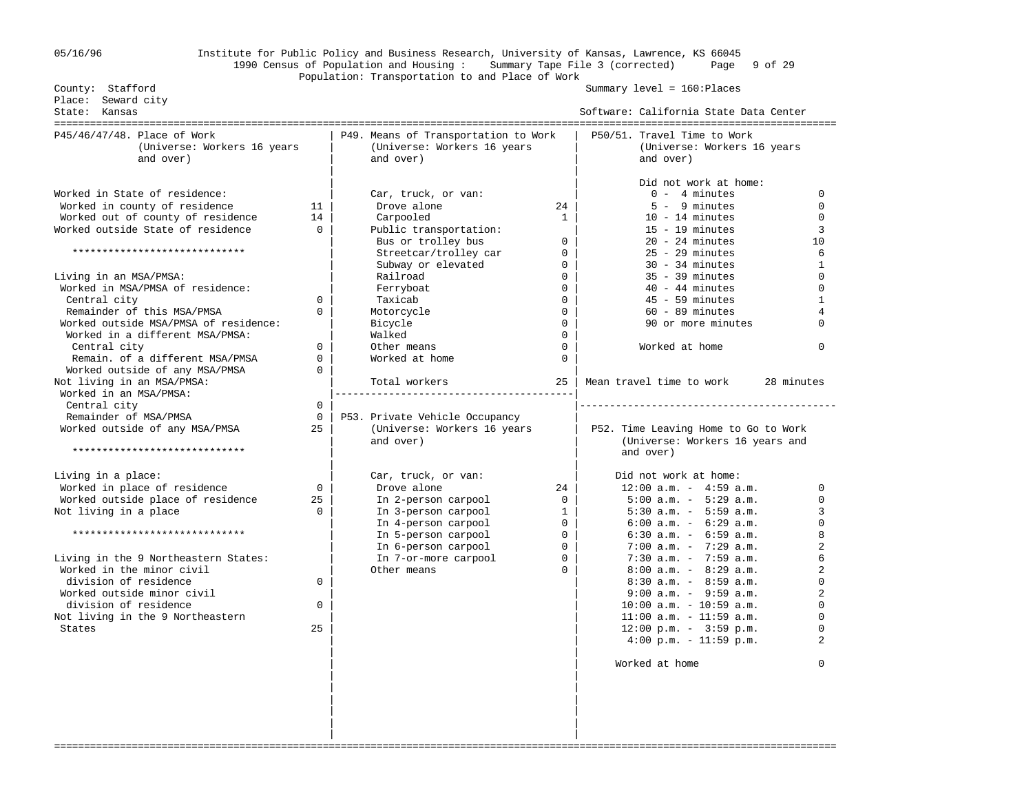## 05/16/96 Institute for Public Policy and Business Research, University of Kansas, Lawrence, KS 66045 1990 Census of Population and Housing : Summary Tape File 3 (corrected) Page 9 of 29 Population: Transportation to and Place of Work

Summary level = 160:Places

| P45/46/47/48. Place of Work<br>P49. Means of Transportation to Work<br>P50/51. Travel Time to Work<br>(Universe: Workers 16 years<br>(Universe: Workers 16 years<br>(Universe: Workers 16 years<br>and over)<br>and over)<br>and over)<br>Did not work at home:<br>Worked in State of residence:<br>$0 - 4$ minutes<br>Car, truck, or van:<br>Worked in county of residence<br>Drove alone<br>$5 - 9$ minutes<br>11<br>$24$  <br>Worked out of county of residence<br>14<br>Carpooled<br>$10 - 14$ minutes<br>1<br>Worked outside State of residence<br>$\Omega$<br>Public transportation:<br>$15 - 19$ minutes<br>Bus or trolley bus<br>$\Omega$<br>$20 - 24$ minutes<br>*****************************<br>Streetcar/trolley car<br>$\overline{0}$<br>$25 - 29$ minutes<br>Subway or elevated<br>$30 - 34$ minutes<br>$\overline{0}$<br>Railroad<br>$\mathbf{0}$<br>$35 - 39$ minutes<br>Living in an MSA/PMSA:<br>Worked in MSA/PMSA of residence:<br>$\Omega$<br>$40 - 44$ minutes<br>Ferryboat<br>Central city<br>Taxicab<br>$\Omega$<br>$45 - 59$ minutes<br>$\Omega$<br>Remainder of this MSA/PMSA<br>$60 - 89$ minutes<br>$\Omega$<br>Motorcycle<br>$\mathbf 0$<br>Worked outside MSA/PMSA of residence:<br>90 or more minutes<br>Bicycle<br>$\Omega$<br>Worked in a different MSA/PMSA:<br>Walked<br>$\Omega$<br>Central city<br>Other means<br>$\Omega$<br>Worked at home<br>$\Omega$<br>$\Omega$<br>Remain. of a different MSA/PMSA<br>Worked at home<br>$\Omega$<br>Worked outside of any MSA/PMSA<br>$\Omega$<br>Not living in an MSA/PMSA:<br>Mean travel time to work<br>Total workers<br>25<br>Worked in an MSA/PMSA:<br>Central city<br>$\mathbf 0$<br>Remainder of MSA/PMSA<br>$\Omega$<br>P53. Private Vehicle Occupancy<br>Worked outside of any MSA/PMSA<br>25<br>(Universe: Workers 16 years<br>P52. Time Leaving Home to Go to Work<br>and over)<br>(Universe: Workers 16 years and<br>*****************************<br>and over)<br>Living in a place:<br>Car, truck, or van:<br>Did not work at home:<br>$12:00$ a.m. - $4:59$ a.m.<br>Worked in place of residence<br>Drove alone<br>$\Omega$<br>24<br>Worked outside place of residence<br>$5:00$ a.m. - $5:29$ a.m.<br>25<br>In 2-person carpool<br>$\Omega$<br>Not living in a place<br>$5:30$ a.m. - $5:59$ a.m.<br>$\Omega$<br>In 3-person carpool<br>$\mathbf{1}$<br>In 4-person carpool<br>$6:00$ a.m. - $6:29$ a.m.<br>$\mathbf{0}$<br>*****************************<br>In 5-person carpool<br>$\mathbf 0$<br>$6:30$ a.m. - $6:59$ a.m.<br>$7:00$ a.m. - $7:29$ a.m.<br>In 6-person carpool<br>$\Omega$<br>Living in the 9 Northeastern States:<br>In 7-or-more carpool<br>$\Omega$<br>$7:30$ a.m. - $7:59$ a.m.<br>Worked in the minor civil<br>$8:00$ a.m. - $8:29$ a.m.<br>Other means<br>$\Omega$<br>division of residence<br>$8:30$ a.m. - $8:59$ a.m.<br>$\mathbf 0$<br>Worked outside minor civil<br>$9:00$ a.m. - $9:59$ a.m.<br>division of residence<br>$10:00$ a.m. - $10:59$ a.m.<br>$\Omega$<br>$11:00$ a.m. - 11:59 a.m.<br>Not living in the 9 Northeastern<br>$12:00 \text{ p.m.} - 3:59 \text{ p.m.}$<br>25<br>States<br>$4:00 \text{ p.m.} - 11:59 \text{ p.m.}$<br>Worked at home | Place: Seward city<br>State: Kansas |  | Software: California State Data Center |                                                                                                                                                                                     |
|--------------------------------------------------------------------------------------------------------------------------------------------------------------------------------------------------------------------------------------------------------------------------------------------------------------------------------------------------------------------------------------------------------------------------------------------------------------------------------------------------------------------------------------------------------------------------------------------------------------------------------------------------------------------------------------------------------------------------------------------------------------------------------------------------------------------------------------------------------------------------------------------------------------------------------------------------------------------------------------------------------------------------------------------------------------------------------------------------------------------------------------------------------------------------------------------------------------------------------------------------------------------------------------------------------------------------------------------------------------------------------------------------------------------------------------------------------------------------------------------------------------------------------------------------------------------------------------------------------------------------------------------------------------------------------------------------------------------------------------------------------------------------------------------------------------------------------------------------------------------------------------------------------------------------------------------------------------------------------------------------------------------------------------------------------------------------------------------------------------------------------------------------------------------------------------------------------------------------------------------------------------------------------------------------------------------------------------------------------------------------------------------------------------------------------------------------------------------------------------------------------------------------------------------------------------------------------------------------------------------------------------------------------------------------------------------------------------------------------------------------------------------------------------------------------------------------------------------------------------------------------------------------------------------------------------------------------------------------------------------------------------------------------------------------------------------------------------------------------------------------------------------------------------------------------------|-------------------------------------|--|----------------------------------------|-------------------------------------------------------------------------------------------------------------------------------------------------------------------------------------|
|                                                                                                                                                                                                                                                                                                                                                                                                                                                                                                                                                                                                                                                                                                                                                                                                                                                                                                                                                                                                                                                                                                                                                                                                                                                                                                                                                                                                                                                                                                                                                                                                                                                                                                                                                                                                                                                                                                                                                                                                                                                                                                                                                                                                                                                                                                                                                                                                                                                                                                                                                                                                                                                                                                                                                                                                                                                                                                                                                                                                                                                                                                                                                                                      |                                     |  |                                        |                                                                                                                                                                                     |
|                                                                                                                                                                                                                                                                                                                                                                                                                                                                                                                                                                                                                                                                                                                                                                                                                                                                                                                                                                                                                                                                                                                                                                                                                                                                                                                                                                                                                                                                                                                                                                                                                                                                                                                                                                                                                                                                                                                                                                                                                                                                                                                                                                                                                                                                                                                                                                                                                                                                                                                                                                                                                                                                                                                                                                                                                                                                                                                                                                                                                                                                                                                                                                                      |                                     |  |                                        | 0<br>$\mathbf 0$<br>$\Omega$<br>3<br>10<br>6<br>1<br>$\Omega$<br>$\Omega$<br>$\mathbf{1}$<br>$\overline{4}$<br>$\Omega$<br>$\Omega$                                                 |
|                                                                                                                                                                                                                                                                                                                                                                                                                                                                                                                                                                                                                                                                                                                                                                                                                                                                                                                                                                                                                                                                                                                                                                                                                                                                                                                                                                                                                                                                                                                                                                                                                                                                                                                                                                                                                                                                                                                                                                                                                                                                                                                                                                                                                                                                                                                                                                                                                                                                                                                                                                                                                                                                                                                                                                                                                                                                                                                                                                                                                                                                                                                                                                                      |                                     |  |                                        | 28 minutes                                                                                                                                                                          |
|                                                                                                                                                                                                                                                                                                                                                                                                                                                                                                                                                                                                                                                                                                                                                                                                                                                                                                                                                                                                                                                                                                                                                                                                                                                                                                                                                                                                                                                                                                                                                                                                                                                                                                                                                                                                                                                                                                                                                                                                                                                                                                                                                                                                                                                                                                                                                                                                                                                                                                                                                                                                                                                                                                                                                                                                                                                                                                                                                                                                                                                                                                                                                                                      |                                     |  |                                        | $\Omega$<br>$\Omega$<br>3<br>$\Omega$<br>8<br>$\overline{a}$<br>6<br>$\overline{2}$<br>$\Omega$<br>$\overline{a}$<br>$\Omega$<br>$\Omega$<br>$\Omega$<br>$\overline{a}$<br>$\Omega$ |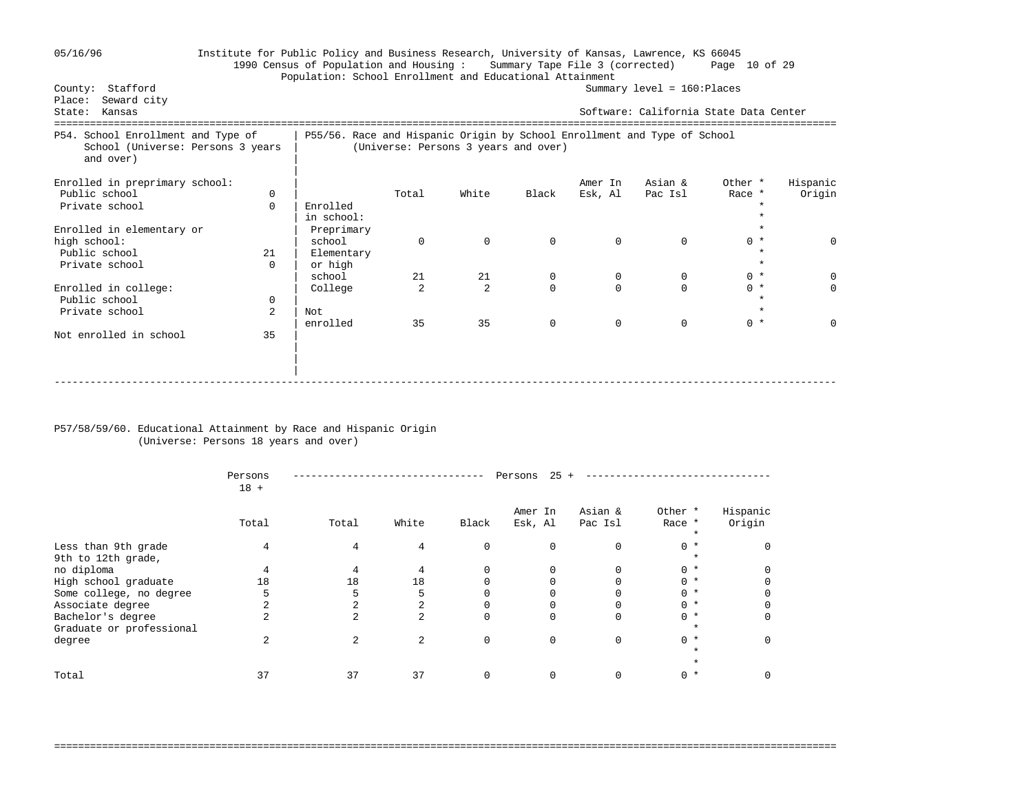| 05/16/96 |  |
|----------|--|
|----------|--|

### 05/16/96 Institute for Public Policy and Business Research, University of Kansas, Lawrence, KS 66045 1990 Census of Population and Housing : Summary Tape File 3 (corrected) Page 10 of 29 Population: School Enrollment and Educational Attainment<br>County: Stafford  $Summarv level = 160:Places$

| Seward city<br>Place:<br>State:<br>Kansas                                            |             |                                                                          |          |                                      |             |              | Software: California State Data Center |         |             |
|--------------------------------------------------------------------------------------|-------------|--------------------------------------------------------------------------|----------|--------------------------------------|-------------|--------------|----------------------------------------|---------|-------------|
| P54. School Enrollment and Type of<br>School (Universe: Persons 3 years<br>and over) |             | P55/56. Race and Hispanic Origin by School Enrollment and Type of School |          | (Universe: Persons 3 years and over) |             |              |                                        |         |             |
| Enrolled in preprimary school:                                                       |             |                                                                          |          |                                      |             | Amer In      | Asian &                                | Other * | Hispanic    |
| Public school                                                                        | $\Omega$    |                                                                          | Total    | White                                | Black       | Esk, Al      | Pac Isl                                | Race *  | Origin      |
| Private school                                                                       | 0           | Enrolled                                                                 |          |                                      |             |              |                                        |         |             |
|                                                                                      |             | in school:                                                               |          |                                      |             |              |                                        |         |             |
| Enrolled in elementary or                                                            |             | Preprimary                                                               |          |                                      |             |              |                                        |         |             |
| high school:                                                                         |             | school                                                                   | $\Omega$ | $\mathbf{0}$                         | $\mathbf 0$ | $\mathbf 0$  | $\mathbf 0$                            | $0 *$   | $\mathbf 0$ |
| Public school                                                                        | 21          | Elementary                                                               |          |                                      |             |              |                                        |         |             |
| Private school                                                                       | $\Omega$    | or high                                                                  |          |                                      |             |              |                                        |         |             |
|                                                                                      |             | school                                                                   | 21       | 21                                   | $\mathbf 0$ | $\mathbf{0}$ | 0                                      | $0 *$   | $\Omega$    |
| Enrolled in college:                                                                 |             | College                                                                  |          | $\overline{a}$                       | $\Omega$    |              | $\Omega$                               | $0 *$   | $\Omega$    |
| Public school                                                                        | $\mathbf 0$ |                                                                          |          |                                      |             |              |                                        |         |             |
| Private school                                                                       | 2           | Not                                                                      |          |                                      |             |              |                                        |         |             |
|                                                                                      |             | enrolled                                                                 | 35       | 35                                   | $\mathbf 0$ | $\mathbf 0$  | $\mathbf 0$                            | $0 *$   | $\Omega$    |
| Not enrolled in school                                                               | 35          |                                                                          |          |                                      |             |              |                                        |         |             |
|                                                                                      |             |                                                                          |          |                                      |             |              |                                        |         |             |
|                                                                                      |             |                                                                          |          |                                      |             |              |                                        |         |             |
|                                                                                      |             |                                                                          |          |                                      |             |              |                                        |         |             |
|                                                                                      |             |                                                                          |          |                                      |             |              |                                        |         |             |

### P57/58/59/60. Educational Attainment by Race and Hispanic Origin (Universe: Persons 18 years and over)

|                                               | Persons<br>$18 +$ |       |                |             | 25<br>Persons      |                    |                   |                    |  |
|-----------------------------------------------|-------------------|-------|----------------|-------------|--------------------|--------------------|-------------------|--------------------|--|
|                                               | Total             | Total | White          | Black       | Amer In<br>Esk, Al | Asian &<br>Pac Isl | Other *<br>Race * | Hispanic<br>Origin |  |
| Less than 9th grade<br>9th to 12th grade,     | 4                 | 4     | 4              | $\Omega$    | $\Omega$           | 0                  | $0 *$             |                    |  |
| no diploma                                    |                   | 4     |                |             |                    |                    | $0 *$             |                    |  |
| High school graduate                          | 18                | 18    | 18             |             |                    |                    | $0 *$             |                    |  |
| Some college, no degree                       |                   | 5     | 5              |             |                    |                    | $0 *$             |                    |  |
| Associate degree                              |                   |       | $\overline{a}$ |             |                    |                    | $0 *$             |                    |  |
| Bachelor's degree<br>Graduate or professional |                   | 2     | $\overline{a}$ | $\Omega$    |                    | 0                  | $0 *$<br>$\star$  |                    |  |
| degree                                        | $\overline{2}$    | 2     | $\overline{a}$ | $\mathbf 0$ | $\Omega$           | $\Omega$           | $0 *$             |                    |  |
| Total                                         | 37                | 37    | 37             | $\Omega$    |                    |                    | $0 *$             |                    |  |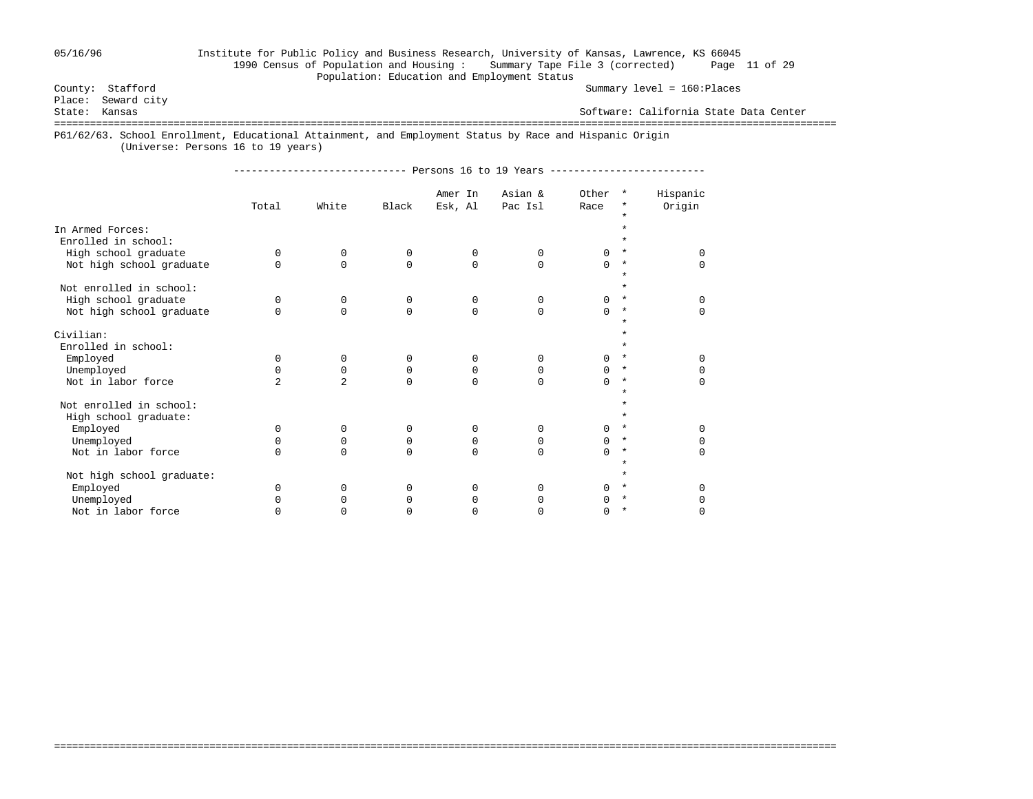## 05/16/96 Institute for Public Policy and Business Research, University of Kansas, Lawrence, KS 66045 1990 Census of Population and Housing : Summary Tape File 3 (corrected) Page 11 of 29 Population: Education and Employment Status<br>County: Stafford

Summary level = 160:Places

Place: Seward city<br>State: Kansas

Software: California State Data Center

===================================================================================================================================

P61/62/63. School Enrollment, Educational Attainment, and Employment Status by Race and Hispanic Origin

(Universe: Persons 16 to 19 years)

----------------------------- Persons 16 to 19 Years --------------------------

|                           |                |                |          | Amer In     | Asian &      | Other    | $\star$  | Hispanic |
|---------------------------|----------------|----------------|----------|-------------|--------------|----------|----------|----------|
|                           | Total          | White          | Black    | Esk, Al     | Pac Isl      | Race     | $^\star$ | Origin   |
|                           |                |                |          |             |              |          | $\star$  |          |
| In Armed Forces:          |                |                |          |             |              |          |          |          |
| Enrolled in school:       |                |                |          |             |              |          |          |          |
| High school graduate      | 0              | 0              | $\Omega$ | 0           | 0            |          | $\star$  | U        |
| Not high school graduate  | $\Omega$       | $\Omega$       | $\Omega$ | 0           | $\Omega$     | $\Omega$ | $\star$  | 0        |
| Not enrolled in school:   |                |                |          |             |              |          | $\star$  |          |
| High school graduate      | <sup>0</sup>   | 0              | 0        | 0           | 0            | 0        | $\ast$   | 0        |
| Not high school graduate  | $\cap$         | $\Omega$       | $\Omega$ | $\mathbf 0$ | $\Omega$     | $\Omega$ | $\star$  | 0        |
|                           |                |                |          |             |              |          |          |          |
| Civilian:                 |                |                |          |             |              |          |          |          |
| Enrolled in school:       |                |                |          |             |              |          |          |          |
| Employed                  | 0              | $\mathbf 0$    | $\Omega$ | 0           | $\Omega$     | 0        | $\star$  | $\Omega$ |
| Unemployed                | $\Omega$       | $\Omega$       | 0        | 0           | $\Omega$     | 0        | $\star$  | 0        |
| Not in labor force        | $\overline{a}$ | $\overline{a}$ | $\Omega$ | $\Omega$    | $\Omega$     | $\Omega$ | $\star$  | $\Omega$ |
|                           |                |                |          |             |              |          |          |          |
| Not enrolled in school:   |                |                |          |             |              |          |          |          |
| High school graduate:     |                |                |          |             |              |          |          |          |
| Employed                  | 0              | $\mathbf 0$    | 0        | $\mathbf 0$ | 0            | $\Omega$ | $\star$  | $\Omega$ |
| Unemployed                | 0              | 0              | 0        | 0           | 0            | 0        | $\star$  | 0        |
| Not in labor force        | $\Omega$       | $\Omega$       | $\Omega$ | $\Omega$    | $\Omega$     | $\Omega$ | $\star$  | $\Omega$ |
| Not high school graduate: |                |                |          |             |              |          |          |          |
| Employed                  | $\Omega$       | $\Omega$       | $\Omega$ | $\Omega$    | $\Omega$     | U        | $\star$  | $\Omega$ |
| Unemployed                |                | $\Omega$       |          | $\Omega$    | $\Omega$     |          | $\star$  | 0        |
| Not in labor force        |                | U              |          | 0           | <sup>0</sup> | O        | $\star$  | 0        |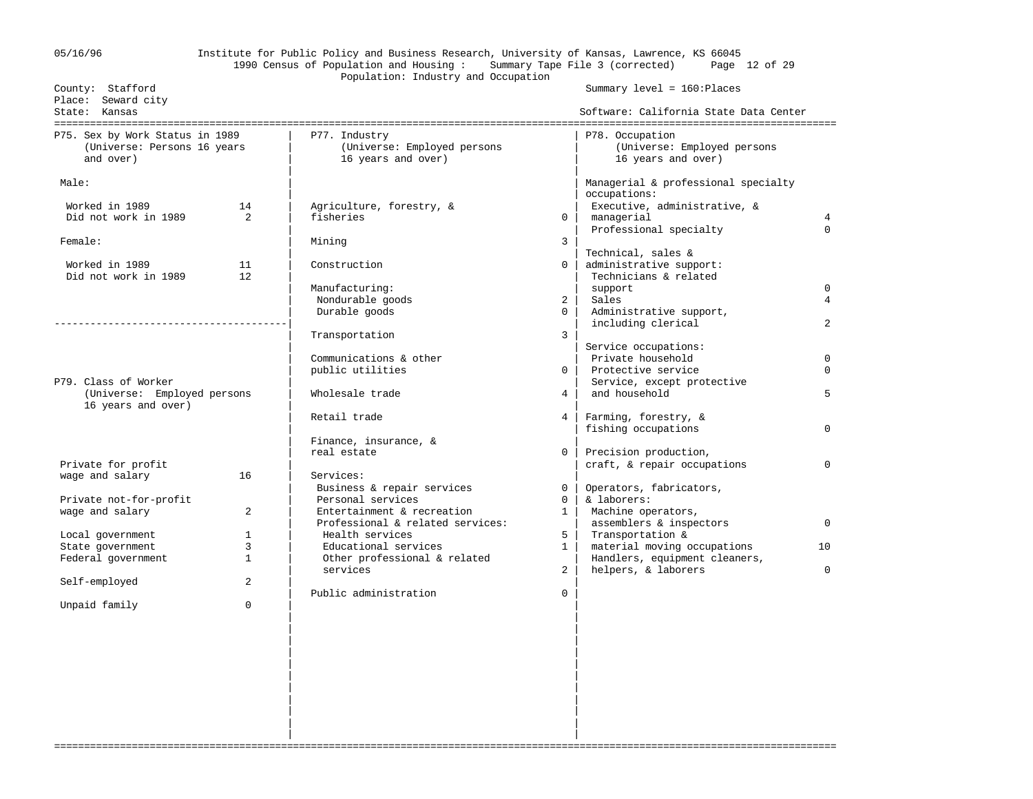| 05/16/96                                                                    |                   | Institute for Public Policy and Business Research, University of Kansas, Lawrence, KS 66045<br>1990 Census of Population and Housing: |                | Summary Tape File 3 (corrected) Page 12 of 29                            |                            |
|-----------------------------------------------------------------------------|-------------------|---------------------------------------------------------------------------------------------------------------------------------------|----------------|--------------------------------------------------------------------------|----------------------------|
|                                                                             |                   | Population: Industry and Occupation                                                                                                   |                |                                                                          |                            |
| County: Stafford<br>Place: Seward city<br>State: Kansas                     |                   |                                                                                                                                       |                | Summary $level = 160:ə$ Places<br>Software: California State Data Center |                            |
|                                                                             |                   |                                                                                                                                       |                |                                                                          |                            |
| P75. Sex by Work Status in 1989<br>(Universe: Persons 16 years<br>and over) |                   | P77. Industry<br>(Universe: Employed persons<br>16 years and over)                                                                    |                | P78. Occupation<br>(Universe: Employed persons<br>16 years and over)     |                            |
| Male:                                                                       |                   |                                                                                                                                       |                | Managerial & professional specialty<br>occupations:                      |                            |
| Worked in 1989                                                              | 14                | Agriculture, forestry, &                                                                                                              |                | Executive, administrative, &                                             |                            |
| Did not work in 1989                                                        | $\overline{2}$    | fisheries                                                                                                                             | 0 <sup>1</sup> | managerial                                                               | 4                          |
| Female:                                                                     |                   | Mining                                                                                                                                | 3              | Professional specialty                                                   | $\Omega$                   |
|                                                                             |                   |                                                                                                                                       |                | Technical, sales &                                                       |                            |
| Worked in 1989                                                              | 11                | Construction                                                                                                                          | $\overline{0}$ | administrative support:                                                  |                            |
| Did not work in 1989                                                        | $12 \overline{ }$ |                                                                                                                                       |                | Technicians & related                                                    |                            |
|                                                                             |                   | Manufacturing:                                                                                                                        |                | support                                                                  | 0                          |
|                                                                             |                   | Nondurable goods                                                                                                                      | $\overline{a}$ | Sales                                                                    | $\overline{4}$             |
|                                                                             |                   | Durable goods                                                                                                                         | $\Omega$       | Administrative support,<br>including clerical                            | $\overline{a}$             |
|                                                                             |                   | Transportation                                                                                                                        | 3              |                                                                          |                            |
|                                                                             |                   |                                                                                                                                       |                | Service occupations:                                                     |                            |
|                                                                             |                   | Communications & other<br>public utilities                                                                                            | $\Omega$       | Private household<br>Protective service                                  | $\mathbf 0$<br>$\mathbf 0$ |
| P79. Class of Worker                                                        |                   |                                                                                                                                       |                | Service, except protective                                               |                            |
| (Universe: Employed persons                                                 |                   | Wholesale trade                                                                                                                       | $\overline{4}$ | and household                                                            | 5                          |
| 16 years and over)                                                          |                   |                                                                                                                                       |                |                                                                          |                            |
|                                                                             |                   | Retail trade                                                                                                                          | 4              | Farming, forestry, &                                                     |                            |
|                                                                             |                   |                                                                                                                                       |                | fishing occupations                                                      | $\Omega$                   |
|                                                                             |                   | Finance, insurance, &<br>real estate                                                                                                  | 0              |                                                                          |                            |
| Private for profit                                                          |                   |                                                                                                                                       |                | Precision production,<br>craft, & repair occupations                     | $\Omega$                   |
| wage and salary                                                             | 16                | Services:                                                                                                                             |                |                                                                          |                            |
|                                                                             |                   | Business & repair services                                                                                                            | 0              | Operators, fabricators,                                                  |                            |
| Private not-for-profit                                                      |                   | Personal services                                                                                                                     | $\Omega$       | & laborers:                                                              |                            |
| wage and salary                                                             | 2                 | Entertainment & recreation                                                                                                            | $1 \mid$       | Machine operators,                                                       |                            |
|                                                                             |                   | Professional & related services:                                                                                                      |                | assemblers & inspectors                                                  | $\mathbf 0$                |
| Local government                                                            | $\mathbf{1}$      | Health services                                                                                                                       | 5              | Transportation &                                                         |                            |
| State government                                                            | 3<br>$\mathbf{1}$ | Educational services                                                                                                                  | $1 \vert$      | material moving occupations                                              | 10 <sup>°</sup>            |
| Federal government                                                          |                   | Other professional & related<br>services                                                                                              | 2              | Handlers, equipment cleaners,<br>helpers, & laborers                     | $\Omega$                   |
| Self-employed                                                               | 2                 |                                                                                                                                       |                |                                                                          |                            |
| Unpaid family                                                               | $\mathbf 0$       | Public administration                                                                                                                 | 0              |                                                                          |                            |
|                                                                             |                   |                                                                                                                                       |                |                                                                          |                            |
|                                                                             |                   |                                                                                                                                       |                |                                                                          |                            |
|                                                                             |                   |                                                                                                                                       |                |                                                                          |                            |
|                                                                             |                   |                                                                                                                                       |                |                                                                          |                            |
|                                                                             |                   |                                                                                                                                       |                |                                                                          |                            |
|                                                                             |                   |                                                                                                                                       |                |                                                                          |                            |
|                                                                             |                   |                                                                                                                                       |                |                                                                          |                            |
|                                                                             |                   |                                                                                                                                       |                |                                                                          |                            |
|                                                                             |                   |                                                                                                                                       |                |                                                                          |                            |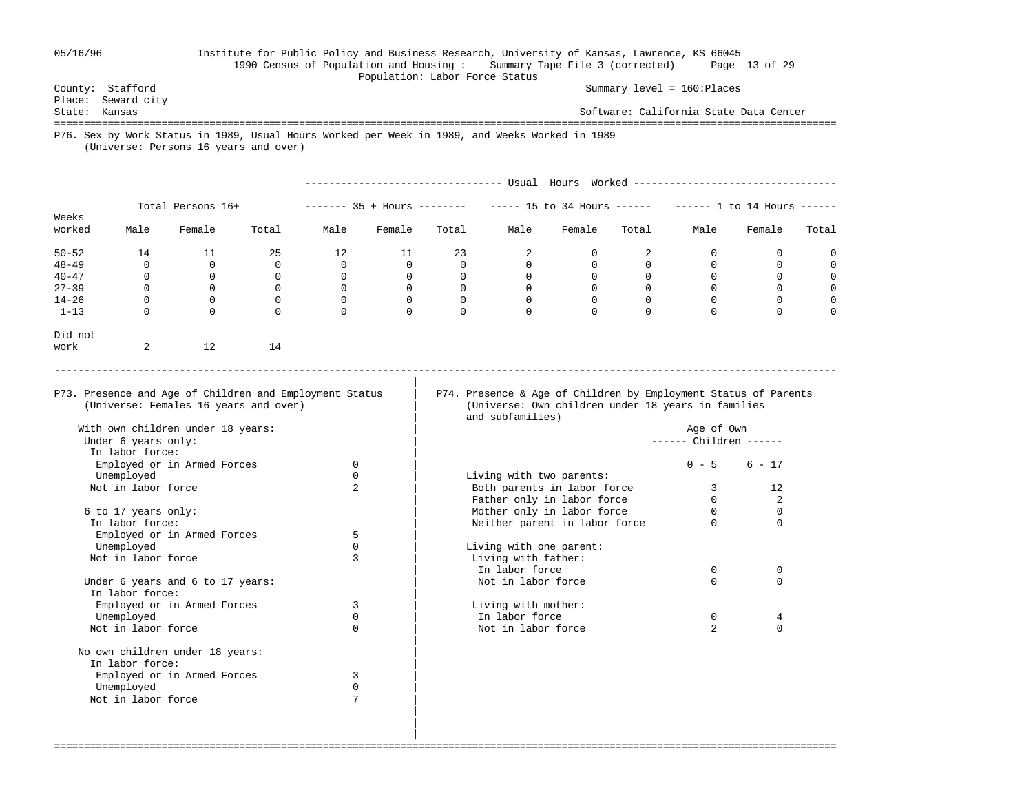## 05/16/96 Institute for Public Policy and Business Research, University of Kansas, Lawrence, KS 66045 1990 Census of Population and Housing : Summary Tape File 3 (corrected) Page 13 of 29

Population: Labor Force Status

County: Stafford Summary level = 160:Places

 Place: Seward city State: Kansas Software: California State Data Center =================================================================================================================================== P76. Sex by Work Status in 1989, Usual Hours Worked per Week in 1989, and Weeks Worked in 1989 (Universe: Persons 16 years and over) --------------------------------- Usual Hours Worked ---------------------------------- Total Persons 16+ ------- 35 + Hours ------- ----- 15 to 34 Hours ------ ----- 1 to 14 Hours -----Weeks<br>worked Male Female Total Male Female Total Male Female Total Male Female Total 50-52 14 11 25 12 11 23 2 0 2 0 0 0 48-49 0 0 0 0 0 0 0 0 0 0 0 0 0 0 40-47 0 0 0 0 0 0 0 0 0 0 0 0 0 0 27-39 0 0 0 0 0 0 0 0 0 0 0 0 14-26 0 0 0 0 0 0 0 0 0 0 0 0 1-13 0 0 0 0 0 0 0 0 0 0 0 0 Did not work 2 12 14 ----------------------------------------------------------------------------------------------------------------------------------- | P73. Presence and Age of Children and Employment Status | P74. Presence & Age of Children by Employment Status of Parents (Universe: Females 16 years and over) | (Universe: Own children under 18 years in families and subfamilies) With own children under 18 years: | Age of Own ------ Children ------In labor force:<br>Employed or in Armed Forces 0 Employed or in Armed Forces  $0 \qquad \qquad$  | 0 - 5 6 - 17 Unemployed 0 0 | Living with two parents:<br>Not in labor force 0 2 | Roth parents in labor form Roth parents in labor force 3 12<br>
Pather only in labor force 0 2 Father only in labor force 6 to 17 years only: | Mother only in labor force 0 0 In In labor force<br>
In labor force<br>  $\frac{1}{2}$ Employed or in Armed Forces Unemployed 0 | Living with one parent:<br>Not in labor force 1 | 3 | Living with father: Living with father:<br>In labor force

===================================================================================================================================

example in the contract of the contract of the contract of  $\alpha$  of  $\alpha$  of  $\alpha$  of  $\alpha$  of  $\alpha$  of  $\alpha$  of  $\alpha$  of  $\alpha$  of  $\alpha$  of  $\alpha$  of  $\alpha$  of  $\alpha$  of  $\alpha$  of  $\alpha$  of  $\alpha$  of  $\alpha$  of  $\alpha$  of  $\alpha$  of  $\alpha$  of  $\alpha$  of  $\alpha$ Under 6 years and 6 to 17 years:  $\qquad \qquad$  Not in labor force 0 0 0 In labor force: Employed or in Armed Forces 3 3 living with mother:<br>
Unemployed 0 1 Living with mother:<br>  $\begin{array}{ccc} 3 & 1 & 1 \\ 0 & 1 & 1 \end{array}$  Unemployed 0 | In labor force 0 4 Not in labor force | No own children under 18 years: In labor force: Employed or in Armed Forces 3 Unemployed 0<br>
Votin labor force 7 Not in labor force

 | | |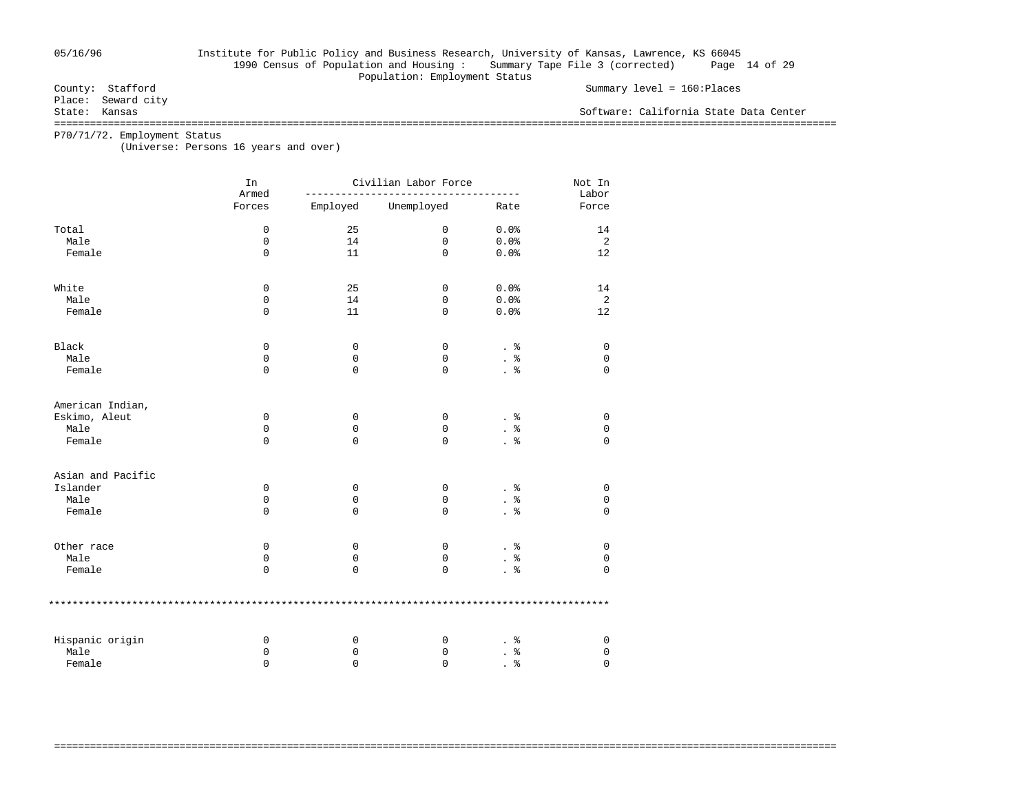## 05/16/96 Institute for Public Policy and Business Research, University of Kansas, Lawrence, KS 66045 1990 Census of Population and Housing : Summary Tape File 3 (corrected) Page 14 of 29

Population: Employment Status<br>County: Stafford

Place: Seward city<br>State: Kansas

Summary level = 160:Places

Software: California State Data Center

===================================================================================================================================

===================================================================================================================================

P70/71/72. Employment Status

(Universe: Persons 16 years and over)

|                   | In<br>Armed |          | Civilian Labor Force |                 |                |  |  |  |
|-------------------|-------------|----------|----------------------|-----------------|----------------|--|--|--|
|                   | Forces      | Employed | Unemployed           | Rate            | Labor<br>Force |  |  |  |
| Total             | $\mathbf 0$ | 25       | $\mathbf 0$          | 0.0%            | 14             |  |  |  |
| Male              | $\mathbf 0$ | 14       | $\mathbf 0$          | 0.0%            | 2              |  |  |  |
| Female            | $\mathbf 0$ | 11       | $\Omega$             | 0.0%            | 12             |  |  |  |
| White             | 0           | 25       | 0                    | 0.0%            | 14             |  |  |  |
| Male              | 0           | 14       | 0                    | 0.0%            | 2              |  |  |  |
| Female            | $\mathbf 0$ | 11       | $\Omega$             | 0.0%            | 12             |  |  |  |
| Black             | 0           | 0        | 0                    | . 응             | 0              |  |  |  |
| Male              | $\mathbf 0$ | 0        | 0                    | . $\frac{6}{6}$ | $\mathsf 0$    |  |  |  |
| Female            | $\Omega$    | $\Omega$ | $\mathbf 0$          | $. \circ$       | $\Omega$       |  |  |  |
| American Indian,  |             |          |                      |                 |                |  |  |  |
| Eskimo, Aleut     | 0           | 0        | 0                    | . 응             | 0              |  |  |  |
| Male              | $\Omega$    | 0        | 0                    | နွ              | $\mathbf 0$    |  |  |  |
| Female            | $\mathbf 0$ | 0        | 0                    | $\frac{8}{6}$   | $\mathbf 0$    |  |  |  |
| Asian and Pacific |             |          |                      |                 |                |  |  |  |
| Islander          | 0           | 0        | 0                    |                 | 0              |  |  |  |
| Male              | $\mathbf 0$ | 0        | $\mathbf 0$          | . 응             | $\mathbf 0$    |  |  |  |
| Female            | $\Omega$    | 0        | $\mathbf 0$          | $\frac{8}{3}$   | $\Omega$       |  |  |  |
| Other race        | 0           | 0        | 0                    | $\frac{8}{6}$   | $\mathbf 0$    |  |  |  |
| Male              | $\mathbf 0$ | 0        | $\mathbf 0$          |                 | 0              |  |  |  |
| Female            | $\mathbf 0$ | 0        | $\mathbf 0$          |                 | $\mathbf{0}$   |  |  |  |
|                   |             |          |                      |                 |                |  |  |  |
| Hispanic origin   | 0           | 0        | 0                    | နွ              | 0              |  |  |  |
| Male              | 0           | 0        | 0                    | န့              | 0              |  |  |  |
| Female            | $\Omega$    | $\Omega$ | $\Omega$             | る               | $\Omega$       |  |  |  |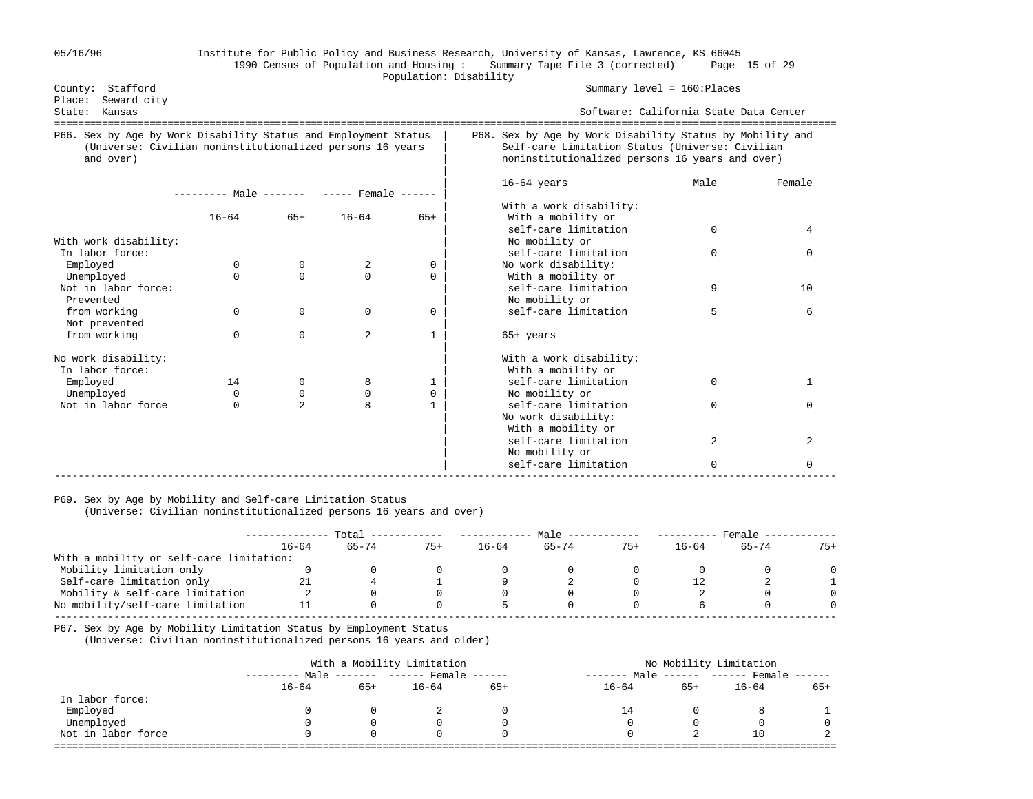### 05/16/96 Institute for Public Policy and Business Research, University of Kansas, Lawrence, KS 66045 1990 Census of Population and Housing : Summary Tape File 3 (corrected) Page 15 of 29 Population: Disability

| Stafford<br>County:<br>Seward city<br>Place:                                                                                              |                                                         |                         |                  |                   | Summary level = $160:$ Places                                                                                                                                   |          |             |  |  |  |  |
|-------------------------------------------------------------------------------------------------------------------------------------------|---------------------------------------------------------|-------------------------|------------------|-------------------|-----------------------------------------------------------------------------------------------------------------------------------------------------------------|----------|-------------|--|--|--|--|
| Kansas<br>State:                                                                                                                          |                                                         |                         |                  |                   | Software: California State Data Center                                                                                                                          |          |             |  |  |  |  |
| P66. Sex by Age by Work Disability Status and Employment Status<br>(Universe: Civilian noninstitutionalized persons 16 years<br>and over) |                                                         |                         |                  |                   | P68. Sex by Age by Work Disability Status by Mobility and<br>Self-care Limitation Status (Universe: Civilian<br>noninstitutionalized persons 16 years and over) |          |             |  |  |  |  |
|                                                                                                                                           | --------- Male ------- ----- Female ------<br>$16 - 64$ | $65+$                   | $16 - 64$        | $65+$             | $16-64$ years<br>With a work disability:<br>With a mobility or                                                                                                  | Male     | Female      |  |  |  |  |
| With work disability:                                                                                                                     |                                                         |                         |                  |                   | self-care limitation<br>No mobility or                                                                                                                          | $\Omega$ | 4           |  |  |  |  |
| In labor force:<br>Employed<br>Unemployed                                                                                                 | $\Omega$<br>$\Omega$                                    | $\Omega$<br>$\Omega$    | 2<br>$\Omega$    | 0<br>$\Omega$     | self-care limitation<br>No work disability:<br>With a mobility or                                                                                               | 0        | $\Omega$    |  |  |  |  |
| Not in labor force:<br>Prevented                                                                                                          |                                                         |                         |                  |                   | self-care limitation<br>No mobility or                                                                                                                          | 9        | 10          |  |  |  |  |
| from working<br>Not prevented<br>from working                                                                                             | $\Omega$<br>$\Omega$                                    | $\Omega$<br>$\Omega$    | $\mathbf 0$<br>2 | 0<br>$\mathbf{1}$ | self-care limitation<br>65+ years                                                                                                                               | 5        | 6           |  |  |  |  |
| No work disability:<br>In labor force:                                                                                                    |                                                         |                         |                  |                   | With a work disability:<br>With a mobility or                                                                                                                   |          |             |  |  |  |  |
| Employed<br>Unemployed                                                                                                                    | 14<br>$\Omega$                                          | $\Omega$<br>$\mathbf 0$ | 8<br>$\mathbf 0$ | $\mathbf{1}$<br>0 | self-care limitation<br>No mobility or                                                                                                                          | 0        | 1           |  |  |  |  |
| Not in labor force                                                                                                                        | $\Omega$                                                | $\overline{2}$          | 8                | $\mathbf{1}$      | self-care limitation<br>No work disability:<br>With a mobility or                                                                                               | $\Omega$ | $\cap$      |  |  |  |  |
|                                                                                                                                           |                                                         |                         |                  |                   | self-care limitation<br>No mobility or                                                                                                                          | 2        | 2           |  |  |  |  |
|                                                                                                                                           |                                                         |                         |                  |                   | self-care limitation                                                                                                                                            | $\Omega$ | $\mathbf 0$ |  |  |  |  |

## P69. Sex by Age by Mobility and Self-care Limitation Status

(Universe: Civilian noninstitutionalized persons 16 years and over)

|                                          | Total     |       |       | Male  |           |       | Female    |       |       |
|------------------------------------------|-----------|-------|-------|-------|-----------|-------|-----------|-------|-------|
|                                          | $16 - 64$ | 65-74 | $75+$ | 16–64 | $65 - 74$ | $75+$ | $16 - 64$ | 65-74 | $75+$ |
| With a mobility or self-care limitation: |           |       |       |       |           |       |           |       |       |
| Mobility limitation only                 |           |       |       |       |           |       |           |       |       |
| Self-care limitation only                |           |       |       |       |           |       |           |       |       |
| Mobility & self-care limitation          |           |       |       |       |           |       |           |       |       |
| No mobility/self-care limitation         |           |       |       |       |           |       |           |       |       |
|                                          |           |       |       |       |           |       |           |       |       |

P67. Sex by Age by Mobility Limitation Status by Employment Status

(Universe: Civilian noninstitutionalized persons 16 years and older)

|                    |           |       | With a Mobility Limitation        | No Mobility Limitation |                  |       |                               |     |
|--------------------|-----------|-------|-----------------------------------|------------------------|------------------|-------|-------------------------------|-----|
|                    |           |       | Male ------- ------ Female ------ |                        | Male<br>-------- |       | $------$ ------ Female ------ |     |
|                    | $16 - 64$ | $65+$ | $16 - 64$                         | $65+$                  | $16 - 64$        | $65+$ | $16 - 64$                     | 65+ |
| In labor force:    |           |       |                                   |                        |                  |       |                               |     |
| Employed           |           |       |                                   |                        |                  |       |                               |     |
| Unemployed         |           |       |                                   |                        |                  |       |                               |     |
| Not in labor force |           |       |                                   |                        |                  |       | 10                            |     |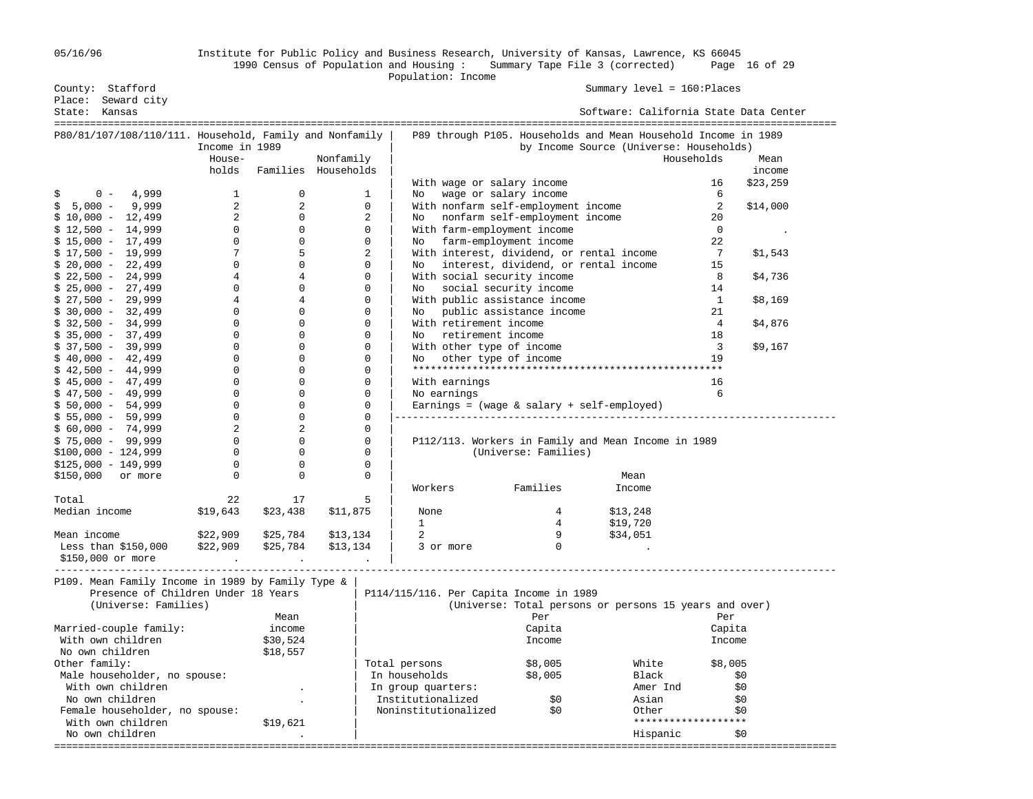## 05/16/96 Institute for Public Policy and Business Research, University of Kansas, Lawrence, KS 66045 1990 Census of Population and Housing : Summary Tape File 3 (corrected) Page 16 of 29

|                                      |                                                         |                |                                  | Population: Income                                                     |                    |          |
|--------------------------------------|---------------------------------------------------------|----------------|----------------------------------|------------------------------------------------------------------------|--------------------|----------|
| County: Stafford                     |                                                         |                |                                  | Summary level = 160: Places                                            |                    |          |
| Place: Seward city                   |                                                         |                |                                  |                                                                        |                    |          |
| State: Kansas                        |                                                         |                |                                  | Software: California State Data Center                                 |                    |          |
|                                      |                                                         |                |                                  |                                                                        |                    |          |
|                                      | P80/81/107/108/110/111. Household, Family and Nonfamily |                |                                  | P89 through P105. Households and Mean Household Income in 1989         |                    |          |
|                                      | Income in 1989                                          |                |                                  | by Income Source (Universe: Households)                                | Households         |          |
|                                      | House-<br>holds                                         |                | Nonfamily<br>Families Households |                                                                        |                    | Mean     |
|                                      |                                                         |                |                                  |                                                                        |                    | income   |
|                                      |                                                         |                |                                  | With wage or salary income                                             | 16<br>6            | \$23,259 |
| \$<br>$0 - 4,999$<br>$5,000 - 9,999$ | 1<br>2                                                  | 0<br>2         | 1                                | No wage or salary income                                               | 2                  |          |
| $$10,000 - 12,499$                   | $\overline{2}$                                          | $\Omega$       | 0                                | With nonfarm self-employment income                                    | 20                 | \$14,000 |
| $$12,500 - 14,999$                   | $\Omega$                                                | $\Omega$       | 2<br>$\Omega$                    | No nonfarm self-employment income<br>With farm-employment income       | $\Omega$           |          |
| $$15,000 - 17,499$                   | $\Omega$                                                | $\Omega$       | $\Omega$                         |                                                                        | 22                 |          |
| $$17,500 - 19,999$                   |                                                         | 5              | 2                                | No farm-employment income<br>With interest, dividend, or rental income | 7                  |          |
| $$20,000 - 22,499$                   | $\Omega$                                                | $\Omega$       | $\Omega$                         | interest, dividend, or rental income<br>$N_{\Omega}$                   | 15                 | \$1,543  |
| $$22,500 - 24,999$                   |                                                         | 4              | $\Omega$                         | With social security income                                            | 8                  |          |
| $$25,000 - 27,499$                   | $\Omega$                                                | $\Omega$       | $\Omega$                         | social security income<br>$N_{\Omega}$                                 |                    | \$4,736  |
| $$27,500 - 29,999$                   |                                                         | 4              | $\Omega$                         | With public assistance income                                          | 14<br>$\mathbf{1}$ |          |
| $$30,000 - 32,499$                   | $\Omega$                                                | $\Omega$       | $\Omega$                         | public assistance income                                               | 21                 | \$8,169  |
| $$32,500 - 34,999$                   |                                                         | $\Omega$       | $\Omega$                         | No<br>With retirement income                                           | $\overline{4}$     | \$4,876  |
| $$35,000 - 37,499$                   |                                                         | $\Omega$       | $\Omega$                         | retirement income<br>No                                                | 18                 |          |
| $$37,500 - 39,999$                   |                                                         | $\Omega$       | $\Omega$                         | With other type of income                                              | $\overline{3}$     | \$9,167  |
| $$40.000 - 42.499$                   | $\Omega$                                                | $\Omega$       | $\Omega$                         | other type of income<br>No                                             | 19                 |          |
| $$42,500 - 44,999$                   | $\Omega$                                                | 0              | $\Omega$                         |                                                                        |                    |          |
| $$45.000 - 47.499$                   | $\Omega$                                                | $\Omega$       | $\Omega$                         | With earnings                                                          | 16                 |          |
| $$47,500 - 49,999$                   | $\Omega$                                                | 0              | $\Omega$                         | No earnings                                                            | 6                  |          |
| $$50,000 - 54,999$                   | $\Omega$                                                | 0              | $\Omega$                         | Earnings = (wage $&$ salary + self-employed)                           |                    |          |
| $$55,000 - 59,999$                   | $\Omega$                                                | $\Omega$       | $\Omega$                         |                                                                        |                    |          |
| $$60,000 - 74,999$                   | 2                                                       | $\overline{a}$ | $\mathbf 0$                      |                                                                        |                    |          |
| $$75,000 - 99,999$                   | $\Omega$                                                | $\Omega$       | $\Omega$                         | P112/113. Workers in Family and Mean Income in 1989                    |                    |          |
| $$100,000 - 124,999$                 | $\Omega$                                                | $\Omega$       | $\Omega$                         | (Universe: Families)                                                   |                    |          |
| $$125,000 - 149,999$                 | $\Omega$                                                | 0              | 0                                |                                                                        |                    |          |
| \$150,000<br>or more                 | $\Omega$                                                | $\Omega$       | $\mathbf 0$                      | Mean                                                                   |                    |          |
|                                      |                                                         |                |                                  | Families<br>Workers<br>Income                                          |                    |          |
| Total                                | 22                                                      | 17             | 5                                |                                                                        |                    |          |

 \$150,000 or more . . . | ----------------------------------------------------------------------------------------------------------------------------------- P109. Mean Family Income in 1989 by Family Type & | Presence of Children Under 18 Years | P114/115/116. Per Capita Income in 1989<br>(Universe: Families) (Universe: Total persons c

Less than \$150,000 \$22,909 \$25,784 \$13,134 | 3 or more

With own children

Median income  $$19,643$   $$23,438$   $$11,875$  None  $$4$   $$13,248$   $$19,720$  $\begin{array}{|c|c|c|c|c|}\n\hline\n&1 & 4 & 1,720 \\
\hline\n\end{array}$ Mean income \$22,909 \$25,784 \$13,134 | 2 9 \$34,051

No own children . | Hispanic \$0

===================================================================================================================================

(Universe: Total persons or persons 15 years and over) Mean | Per Per Married-couple family: income | Capita Capita With own children 530,524 | Income Income Income No own children \$18,557<br>Other family: Total persons  $$8,005$  White  $$8,005$ Male householder, no spouse:  $\begin{vmatrix} \text{In households} & \text{$8,005} \\ \text{In groups quarters:} & \text{Amer Ind} \end{vmatrix}$ With own children  $\begin{array}{ccc} \text{With own children} & \text{Muth own children} & \text{Muth on the second line} \end{array}$ . | Institutionalized Female householder, no spouse:  $\begin{array}{ccc} | & Noninstitutionalized \\ \hline \end{array}$  \$0 Other \$0  $\begin{array}{ccc} 0 & + \end{array}$  \$19,621  $\begin{array}{ccc} | & \hline \end{array}$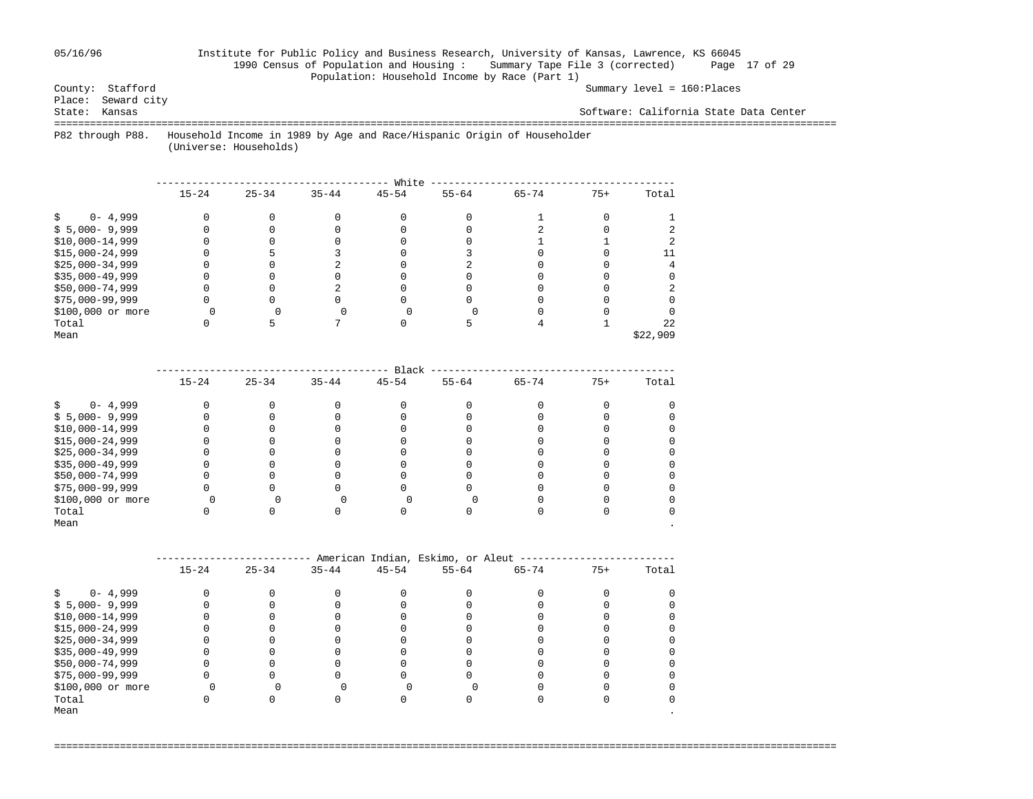## 05/16/96 Institute for Public Policy and Business Research, University of Kansas, Lawrence, KS 66045 1990 Census of Population and Housing : Summary Tape File 3 (corrected) Page 17 of 29 Population: Household Income by Race (Part 1)<br>County: Stafford

Summary level = 160:Places

Place: Seward city<br>State: Kansas

Software: California State Data Center

===================================================================================================================================

 P82 through P88. Household Income in 1989 by Age and Race/Hispanic Origin of Householder (Universe: Households)

|                   |           |           |           | White     |           |           |       |          |
|-------------------|-----------|-----------|-----------|-----------|-----------|-----------|-------|----------|
|                   | $15 - 24$ | $25 - 34$ | $35 - 44$ | $45 - 54$ | $55 - 64$ | $65 - 74$ | $75+$ | Total    |
| $0 - 4,999$       |           |           |           |           |           |           |       |          |
| $$5,000-9,999$    |           |           |           |           |           |           |       |          |
| $$10,000-14,999$  |           |           |           |           |           |           |       |          |
| $$15,000-24,999$  |           |           |           |           |           |           |       |          |
| $$25,000-34,999$  |           |           |           |           |           |           |       |          |
| $$35,000-49,999$  |           |           |           |           |           |           |       |          |
| \$50,000-74,999   |           |           |           |           |           |           |       |          |
| \$75,000-99,999   |           |           |           |           |           |           |       |          |
| \$100,000 or more |           |           |           |           |           |           |       |          |
| Total             |           |           |           |           |           |           |       | 2.2.     |
| Mean              |           |           |           |           |           |           |       | \$22,909 |

|                   |           |           |           | Black     |           |           |       |       |
|-------------------|-----------|-----------|-----------|-----------|-----------|-----------|-------|-------|
|                   | $15 - 24$ | $25 - 34$ | $35 - 44$ | $45 - 54$ | $55 - 64$ | $65 - 74$ | $75+$ | Total |
| $0 - 4,999$       |           |           |           |           |           |           |       |       |
| $$5,000-9,999$    |           |           |           |           |           |           |       |       |
| $$10,000-14,999$  |           |           |           |           |           |           |       |       |
| $$15,000-24,999$  |           |           |           |           |           |           |       |       |
| $$25,000-34,999$  |           |           |           |           |           |           |       |       |
| $$35,000-49,999$  |           |           |           |           |           |           |       |       |
| \$50,000-74,999   |           |           |           |           |           |           |       |       |
| $$75,000-99,999$  |           |           |           |           |           |           |       |       |
| \$100,000 or more |           |           |           |           |           |           |       |       |
| Total             |           |           |           |           |           |           |       |       |
| Mean              |           |           |           |           |           |           |       |       |

|                   | American Indian, Eskimo, or Aleut |           |           |           |           |           |       |       |  |  |  |  |
|-------------------|-----------------------------------|-----------|-----------|-----------|-----------|-----------|-------|-------|--|--|--|--|
|                   | $15 - 24$                         | $25 - 34$ | $35 - 44$ | $45 - 54$ | $55 - 64$ | $65 - 74$ | $75+$ | Total |  |  |  |  |
| $0 - 4,999$       |                                   |           |           |           |           |           |       |       |  |  |  |  |
| $$5,000 - 9,999$  |                                   |           |           |           |           |           |       |       |  |  |  |  |
| $$10,000-14,999$  |                                   |           |           |           |           |           |       |       |  |  |  |  |
| $$15,000-24,999$  |                                   |           |           |           |           |           |       |       |  |  |  |  |
| $$25,000-34,999$  |                                   |           |           |           |           |           |       |       |  |  |  |  |
| $$35,000-49,999$  |                                   |           |           |           |           |           |       |       |  |  |  |  |
| \$50,000-74,999   |                                   |           |           |           |           |           |       |       |  |  |  |  |
| $$75,000-99,999$  |                                   |           |           |           |           |           |       |       |  |  |  |  |
| \$100,000 or more |                                   |           |           |           |           |           |       |       |  |  |  |  |
| Total             |                                   |           |           |           |           |           |       |       |  |  |  |  |
| Mean              |                                   |           |           |           |           |           |       |       |  |  |  |  |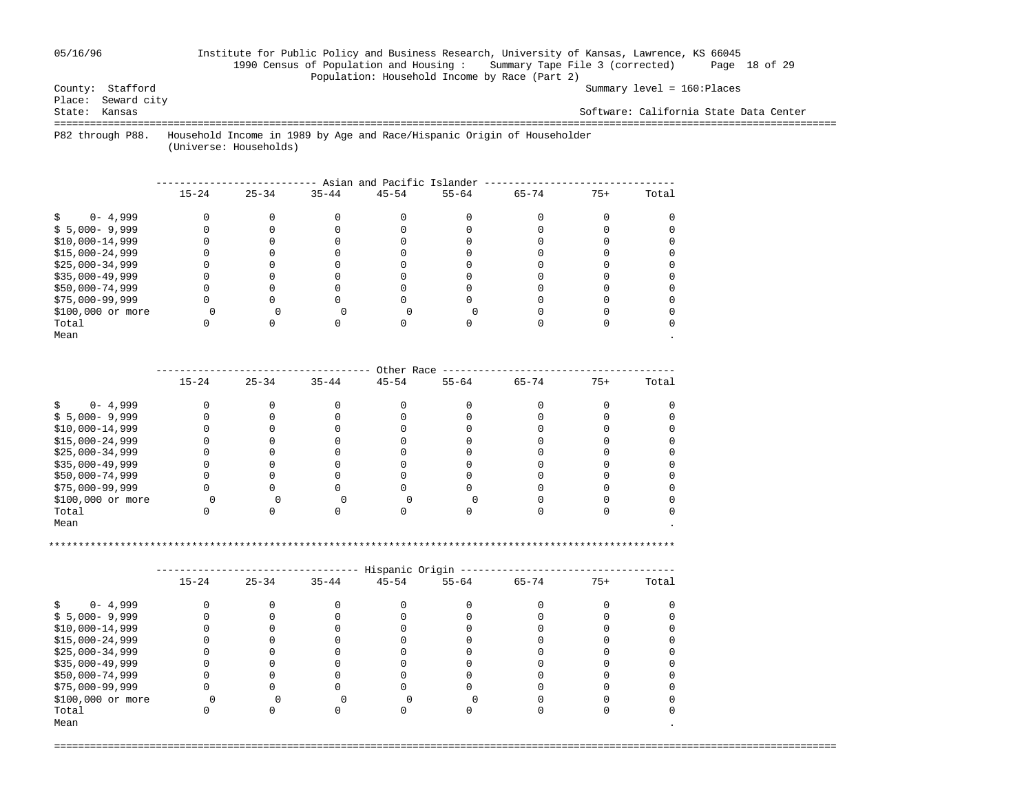## 05/16/96 Institute for Public Policy and Business Research, University of Kansas, Lawrence, KS 66045 1990 Census of Population and Housing : Summary Tape File 3 (corrected) Page 18 of 29 Population: Household Income by Race (Part 2)<br>County: Stafford

Summary level = 160:Places

Place: Seward city<br>State: Kansas

Software: California State Data Center

===================================================================================================================================

 P82 through P88. Household Income in 1989 by Age and Race/Hispanic Origin of Householder (Universe: Households)

|                   | Asian and Pacific Islander |           |           |           |           |           |       |       |  |  |  |  |
|-------------------|----------------------------|-----------|-----------|-----------|-----------|-----------|-------|-------|--|--|--|--|
|                   | $15 - 24$                  | $25 - 34$ | $35 - 44$ | $45 - 54$ | $55 - 64$ | $65 - 74$ | $75+$ | Total |  |  |  |  |
| $0 - 4,999$       |                            |           |           |           |           |           |       |       |  |  |  |  |
| $$5,000-9,999$    |                            |           |           |           |           |           |       |       |  |  |  |  |
| $$10,000-14,999$  |                            |           |           |           |           |           |       |       |  |  |  |  |
| $$15,000-24,999$  |                            |           |           |           |           |           |       |       |  |  |  |  |
| $$25,000-34,999$  |                            |           |           |           |           |           |       |       |  |  |  |  |
| $$35,000-49,999$  |                            |           |           |           |           |           |       |       |  |  |  |  |
| \$50,000-74,999   |                            |           |           |           |           |           |       |       |  |  |  |  |
| \$75,000-99,999   |                            |           |           |           |           |           |       |       |  |  |  |  |
| \$100,000 or more |                            |           |           |           |           |           |       |       |  |  |  |  |
| Total             |                            |           |           |           |           |           |       |       |  |  |  |  |
| Mean              |                            |           |           |           |           |           |       |       |  |  |  |  |

|                   |           |           |           | Other Race |           |           |       |       |
|-------------------|-----------|-----------|-----------|------------|-----------|-----------|-------|-------|
|                   | $15 - 24$ | $25 - 34$ | $35 - 44$ | $45 - 54$  | $55 - 64$ | $65 - 74$ | $75+$ | Total |
| $0 - 4,999$       |           |           |           |            |           |           |       |       |
| $$5,000-9,999$    |           |           |           |            |           |           |       |       |
| $$10,000-14,999$  |           |           |           |            |           |           |       |       |
| $$15,000-24,999$  |           |           |           |            |           |           |       |       |
| $$25,000-34,999$  |           |           |           |            |           |           |       |       |
| $$35,000-49,999$  |           |           |           |            |           |           |       |       |
| \$50,000-74,999   |           |           |           |            |           |           |       |       |
| \$75,000-99,999   |           |           |           |            |           |           |       |       |
| \$100,000 or more |           |           |           |            |           |           |       |       |
| Total             |           |           |           |            |           |           |       |       |
| Mean              |           |           |           |            |           |           |       |       |

\*\*\*\*\*\*\*\*\*\*\*\*\*\*\*\*\*\*\*\*\*\*\*\*\*\*\*\*\*\*\*\*\*\*\*\*\*\*\*\*\*\*\*\*\*\*\*\*\*\*\*\*\*\*\*\*\*\*\*\*\*\*\*\*\*\*\*\*\*\*\*\*\*\*\*\*\*\*\*\*\*\*\*\*\*\*\*\*\*\*\*\*\*\*\*\*\*\*\*\*\*\*\*\*\*

|                   |           |           |           | Hispanic Origin |           |           |       |       |
|-------------------|-----------|-----------|-----------|-----------------|-----------|-----------|-------|-------|
|                   | $15 - 24$ | $25 - 34$ | $35 - 44$ | $45 - 54$       | $55 - 64$ | $65 - 74$ | $75+$ | Total |
| $0 - 4,999$       |           |           |           |                 |           |           |       |       |
| $$5,000-9,999$    |           |           |           |                 |           |           |       |       |
| $$10,000-14,999$  |           |           |           |                 |           |           |       |       |
| $$15,000-24,999$  |           |           |           |                 |           |           |       |       |
| $$25,000-34,999$  |           |           |           |                 |           |           |       |       |
| $$35,000-49,999$  |           |           |           |                 |           |           |       |       |
| \$50,000-74,999   |           |           |           |                 |           |           |       |       |
| \$75,000-99,999   |           |           |           |                 |           |           |       |       |
| \$100,000 or more |           |           |           |                 |           |           |       |       |
| Total             |           |           |           |                 |           |           |       |       |
| Mean              |           |           |           |                 |           |           |       |       |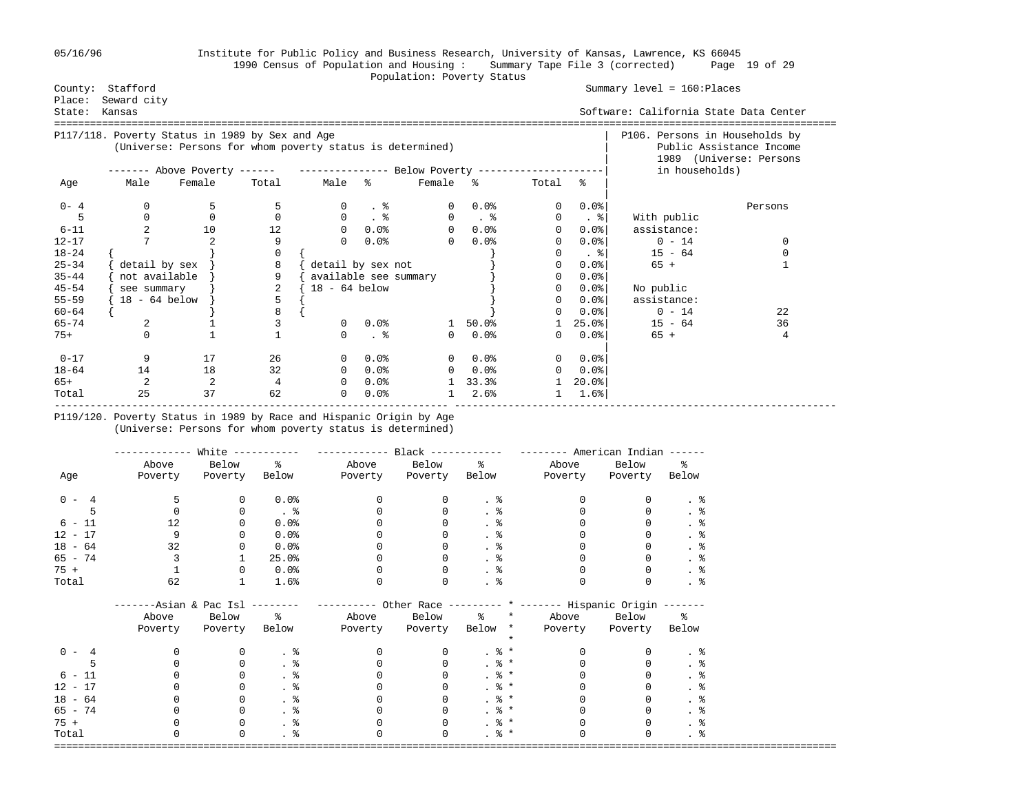### 05/16/96 Institute for Public Policy and Business Research, University of Kansas, Lawrence, KS 66045 1990 Census of Population and Housing : Summary Tape File 3 (corrected) Page 19 of 29 Population: Poverty Status

| County:   | Stafford        |                                                                             |                |                       |                      |              |                      |              |                      | Summary $level = 160:Places$           |                          |
|-----------|-----------------|-----------------------------------------------------------------------------|----------------|-----------------------|----------------------|--------------|----------------------|--------------|----------------------|----------------------------------------|--------------------------|
| Place:    | Seward city     |                                                                             |                |                       |                      |              |                      |              |                      |                                        |                          |
| State:    | Kansas          |                                                                             |                |                       |                      |              |                      |              |                      | Software: California State Data Center |                          |
|           |                 |                                                                             |                |                       |                      |              |                      |              |                      |                                        |                          |
|           |                 | P117/118. Poverty Status in 1989 by Sex and Age                             |                |                       |                      |              |                      |              |                      | P106. Persons in Households by         |                          |
|           |                 | (Universe: Persons for whom poverty status is determined)                   |                |                       |                      |              |                      |              |                      |                                        | Public Assistance Income |
|           |                 |                                                                             |                |                       |                      |              |                      |              |                      | in households)                         | 1989 (Universe: Persons  |
|           |                 | ------- Above Poverty ------ ---------------- Below Poverty --------------- |                |                       |                      |              |                      |              |                      |                                        |                          |
| Age       | Male            | Female                                                                      | Total          | Male %                |                      | Female %     |                      | Total        | ୍ଥ                   |                                        |                          |
| $0 - 4$   | 0               | 5                                                                           |                |                       | - 8                  |              | 0.0%                 | 0            | $0.0$ $ $            |                                        | Persons                  |
|           | $\Omega$        | $\Omega$                                                                    | $\Omega$       | $\Omega$              | $\ddot{\phantom{1}}$ | $\Omega$     | $\ddot{\phantom{1}}$ | $\mathbf{0}$ | $. \,$ $\,$          | With public                            |                          |
| $6 - 11$  | 2               | 10                                                                          | 12             | $\Omega$              | 0.0%                 | 0            | 0.0%                 | $\mathbf 0$  | $0.0$ $ $            | assistance:                            |                          |
| $12 - 17$ |                 |                                                                             | 9              | $\Omega$              | 0.0%                 | $\Omega$     | 0.0%                 | 0            | $0.0$ <sup>8</sup>   | $0 - 14$                               | 0                        |
| $18 - 24$ |                 |                                                                             | $\Omega$       |                       |                      |              |                      | 0            | . 위                  | $15 - 64$                              | 0                        |
| $25 - 34$ | detail by sex   |                                                                             | 8              | detail by sex not     |                      |              |                      | 0            | $0.0$ <sup>8</sup>   | $65 +$                                 |                          |
| $35 - 44$ | not available   |                                                                             | 9              | available see summary |                      |              |                      | 0            | $0.0$ <sup>8</sup>   |                                        |                          |
| $45 - 54$ | see summary     |                                                                             | $\overline{a}$ | $18 - 64$ below       |                      |              |                      | 0            | $0.0$ <sup>8</sup>   | No public                              |                          |
| $55 - 59$ | $18 - 64$ below |                                                                             | 5              |                       |                      |              |                      | 0            | $0.0$ <sup>8</sup>   | assistance:                            |                          |
| $60 - 64$ |                 |                                                                             | 8              |                       |                      |              |                      | 0            | $0.0$ .8             | $0 - 14$                               | 22                       |
| $65 - 74$ | 2               |                                                                             | 3              | $\Omega$              | 0.0%                 | $\mathbf{1}$ | 50.0%                |              | $25.0$ $\frac{8}{1}$ | $15 - 64$                              | 36                       |
| 75+       | $\Omega$        |                                                                             |                | $\Omega$              | $. \circ$            | $\Omega$     | 0.0%                 | 0            | $0.0$ $ $            | $65 +$                                 | 4                        |
| $0 - 17$  | 9               | 17                                                                          | 26             |                       | 0.0%                 | $\Omega$     | 0.0%                 | $\Omega$     | $0.0$ %              |                                        |                          |
| $18 - 64$ | 14              | 18                                                                          | 32             | $\Omega$              | 0.0%                 | $\Omega$     | $0.0\%$              | 0            | $0.0$ %              |                                        |                          |
| 65+       | 2               | 2                                                                           | 4              | $\Omega$              | 0.0%                 |              | 33.3%                |              | $20.0$ <sup>8</sup>  |                                        |                          |
| Total     | 25              | 37                                                                          | 62             | $\Omega$              | 0.0%                 |              | 2.6%                 |              | 1.6%                 |                                        |                          |

## P119/120. Poverty Status in 1989 by Race and Hispanic Origin by Age (Universe: Persons for whom poverty status is determined)

|           | ---------                       | White $------$ |               |          |          |                   | $------$ American Indian $---$                                   |               |                 |
|-----------|---------------------------------|----------------|---------------|----------|----------|-------------------|------------------------------------------------------------------|---------------|-----------------|
|           | Above                           | Below          | နွ            | Above    | Below    | ိင                | Above                                                            | Below         | ႜ               |
| Age       | Poverty                         | Poverty        | Below         | Poverty  | Poverty  | Below             | Poverty                                                          | Poverty Below |                 |
| $0 - 4$   | 5                               | 0              | 0.0%          | $\Omega$ | 0        | $\frac{8}{10}$    |                                                                  |               | $. \circ$       |
|           |                                 | $\Omega$       | $\frac{8}{3}$ |          |          | . $\frac{6}{6}$   |                                                                  |               | . $\frac{6}{6}$ |
| $6 - 11$  | 12                              | <sup>0</sup>   | 0.0%          |          |          | . 응               |                                                                  |               | . 응             |
| $12 - 17$ | 9                               | $\Omega$       | 0.0%          |          |          |                   |                                                                  |               | . 응             |
| $18 - 64$ | 32                              |                | 0.0%          |          |          | . 응               |                                                                  |               |                 |
| $65 - 74$ |                                 |                | 25.0%         |          |          | . 응               |                                                                  |               |                 |
| $75 +$    |                                 | 0              | $0.0\%$       |          | 0        | $\frac{8}{10}$    |                                                                  |               | . $\frac{6}{6}$ |
| Total     | 62                              |                | 1.6%          |          | 0        | . 응               |                                                                  |               | $. \circ$       |
|           | -------Asian & Pac Isl -------- |                |               |          |          |                   | --------- Other Race --------- * ------- Hispanic Origin ------- |               |                 |
|           | Above                           | Below          | $\epsilon$    | Above    | Below    | ႜၟ<br>$\star$     | Above                                                            | Below         | ዱ               |
|           | Poverty                         | Poverty        | Below         | Poverty  | Poverty  | Below *           | Poverty                                                          | Poverty Below |                 |
|           |                                 |                |               |          |          |                   |                                                                  |               |                 |
| $0 - 4$   |                                 |                | $\cdot$ %     |          | $\Omega$ | $. \circ$ *       |                                                                  |               | . 응             |
|           |                                 | $\Omega$       | $\cdot$ %     |          |          | . $\frac{6}{6}$ * |                                                                  |               | . 응             |
| $6 - 11$  |                                 |                | $\cdot$ %     |          |          | $. \circ$ *       |                                                                  |               | . 응             |
| $12 - 17$ |                                 | 0              | . 응           |          |          | $. \circ$ *       |                                                                  |               | . 응             |
| $18 - 64$ |                                 | 0              |               |          |          | . $\frac{6}{6}$ * |                                                                  |               | . $\frac{6}{6}$ |
| $65 - 74$ |                                 | $\Omega$       |               |          |          | $. \circ$ *       |                                                                  |               | . 응             |
| $75 +$    |                                 | $\Omega$       |               |          |          | . $\frac{6}{6}$ * |                                                                  |               | . $\frac{6}{6}$ |
| Total     |                                 | $\Omega$       | . 응           |          | U        | . $\frac{6}{9}$ * |                                                                  |               | . 응             |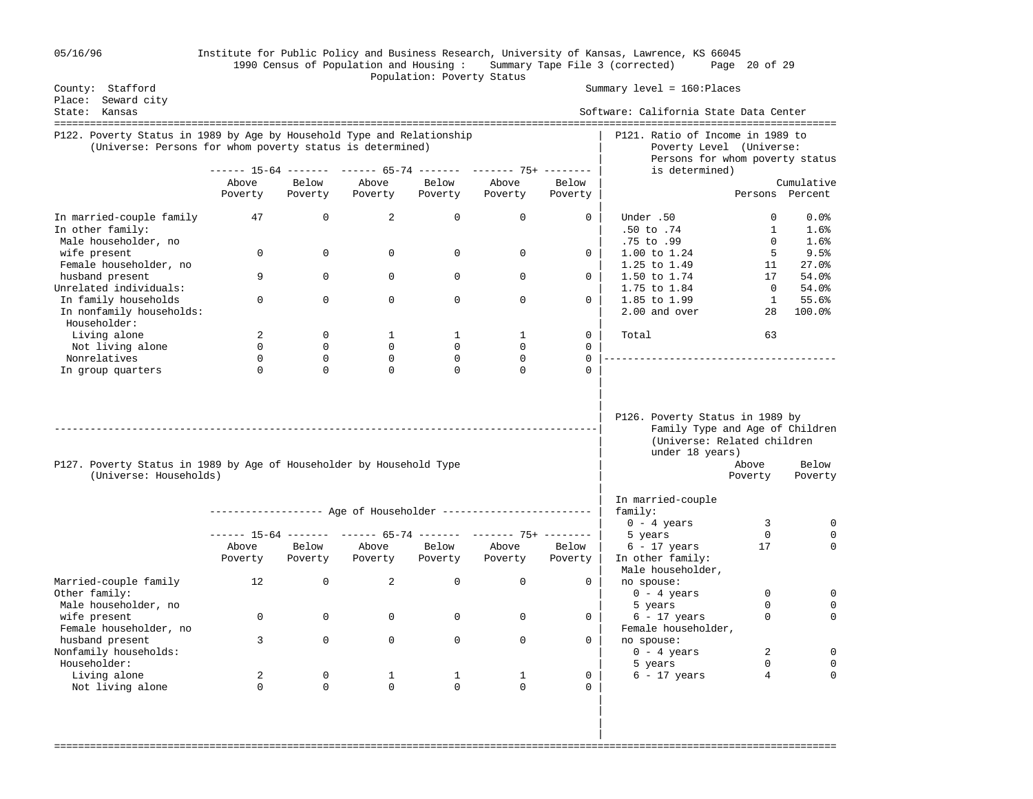| 05/16/96 |  |  |  |  |
|----------|--|--|--|--|
|----------|--|--|--|--|

## 05/16/96 Institute for Public Policy and Business Research, University of Kansas, Lawrence, KS 66045 1990 Census of Population and Housing : Summary Tape File 3 (corrected) Page 20 of 29 Population: Poverty Status

| County: Stafford                                                                                                                    |                  |                  |                              |                              |                                                                |                            | Summary level = 160: Places                                                                                          |                    |                 |
|-------------------------------------------------------------------------------------------------------------------------------------|------------------|------------------|------------------------------|------------------------------|----------------------------------------------------------------|----------------------------|----------------------------------------------------------------------------------------------------------------------|--------------------|-----------------|
| Place: Seward city<br>State: Kansas                                                                                                 |                  |                  |                              |                              |                                                                |                            | Software: California State Data Center                                                                               |                    |                 |
|                                                                                                                                     |                  |                  |                              |                              |                                                                |                            |                                                                                                                      |                    |                 |
| P122. Poverty Status in 1989 by Age by Household Type and Relationship<br>(Universe: Persons for whom poverty status is determined) |                  |                  |                              |                              |                                                                |                            | P121. Ratio of Income in 1989 to<br>Poverty Level (Universe:                                                         |                    |                 |
|                                                                                                                                     |                  |                  |                              |                              | ------ 15-64 ------- ------ 65-74 ------- ------- 75+ -------  |                            | Persons for whom poverty status<br>is determined)                                                                    |                    |                 |
|                                                                                                                                     | Above            | Below            | Above                        | Below                        | Above                                                          | Below                      |                                                                                                                      |                    | Cumulative      |
|                                                                                                                                     | Poverty          | Poverty          | Poverty                      | Poverty                      | Poverty                                                        | Poverty                    |                                                                                                                      |                    | Persons Percent |
| In married-couple family<br>In other family:                                                                                        | 47               | 0                | 2                            | $\mathbf 0$                  | $\mathbf 0$                                                    | 0                          | Under .50<br>$.50$ to $.74$                                                                                          | 0<br>1             | 0.0%<br>1.6%    |
| Male householder, no                                                                                                                |                  |                  |                              |                              |                                                                |                            | .75 to .99                                                                                                           | 0                  | 1.6%            |
| wife present                                                                                                                        | $\Omega$         | $\Omega$         | $\Omega$                     | $\Omega$                     | $\Omega$                                                       | 0                          | 1.00 to 1.24                                                                                                         | 5                  | 9.5%            |
| Female householder, no                                                                                                              |                  |                  |                              |                              |                                                                |                            | 1.25 to 1.49                                                                                                         | 11                 | 27.0%           |
| husband present                                                                                                                     | 9                | $\Omega$         | $\Omega$                     | 0                            | $\mathbf 0$                                                    | 0                          | 1.50 to 1.74                                                                                                         | 17                 | 54.0%           |
| Unrelated individuals:                                                                                                              |                  |                  |                              |                              |                                                                |                            | 1.75 to 1.84                                                                                                         | $\overline{0}$     | 54.0%           |
| In family households<br>In nonfamily households:                                                                                    | $\Omega$         | $\Omega$         | $\Omega$                     | $\Omega$                     | $\Omega$                                                       | $\Omega$                   | 1.85 to 1.99<br>2.00 and over                                                                                        | $\mathbf{1}$<br>28 | 55.6%<br>100.0% |
| Householder:                                                                                                                        |                  |                  |                              |                              |                                                                |                            |                                                                                                                      |                    |                 |
| Living alone                                                                                                                        | 2<br>$\mathbf 0$ | 0<br>$\mathbf 0$ | $\mathbf{1}$<br>$\mathbf{0}$ | $\mathbf{1}$<br>$\mathbf{0}$ | $\mathbf{1}$<br>$\Omega$                                       | $\mathbf 0$<br>$\mathbf 0$ | Total                                                                                                                | 63                 |                 |
| Not living alone<br>Nonrelatives                                                                                                    | $\Omega$         | $\Omega$         | $\Omega$                     | $\mathbf 0$                  | $\Omega$                                                       | $\Omega$                   |                                                                                                                      |                    |                 |
| In group quarters                                                                                                                   | $\Omega$         | $\mathbf 0$      | $\Omega$                     | $\Omega$                     | $\Omega$                                                       | $\Omega$                   |                                                                                                                      |                    |                 |
|                                                                                                                                     |                  |                  |                              |                              |                                                                |                            | P126. Poverty Status in 1989 by<br>Family Type and Age of Children<br>(Universe: Related children<br>under 18 years) |                    |                 |
| P127. Poverty Status in 1989 by Age of Householder by Household Type                                                                |                  |                  |                              |                              |                                                                |                            |                                                                                                                      | Above              | Below           |
| (Universe: Households)                                                                                                              |                  |                  |                              |                              |                                                                |                            |                                                                                                                      | Poverty            | Poverty         |
|                                                                                                                                     |                  |                  |                              |                              |                                                                |                            | In married-couple<br>family:                                                                                         |                    |                 |
|                                                                                                                                     |                  |                  |                              |                              |                                                                |                            | $0 - 4$ years                                                                                                        | 3                  | 0               |
|                                                                                                                                     |                  |                  |                              |                              | ------ 15-64 ------- ------ 65-74 ------- ------- 75+ -------- |                            | 5 years                                                                                                              | $\Omega$<br>17     | $\Omega$        |
|                                                                                                                                     | Above<br>Poverty | Below<br>Poverty | Above<br>Poverty             | Below<br>Poverty             | Above<br>Poverty                                               | Below<br>Poverty           | $6 - 17$ years<br>In other family:<br>Male householder,                                                              |                    |                 |
| Married-couple family<br>Other family:                                                                                              | 12               | $\Omega$         | $\overline{2}$               | $\mathsf 0$                  | $\Omega$                                                       | $\Omega$                   | no spouse:<br>$0 - 4$ years                                                                                          | $\Omega$           | $\Omega$        |
| Male householder, no                                                                                                                |                  |                  |                              |                              |                                                                |                            | 5 years                                                                                                              | $\Omega$           | $\Omega$        |
| wife present<br>Female householder, no                                                                                              | 0                | $\mathbf 0$      | $\mathbf{0}$                 | $\mathbf 0$                  | $\mathbf 0$                                                    | 0                          | $6 - 17$ years<br>Female householder,                                                                                | 0                  | $\Omega$        |
| husband present<br>Nonfamily households:<br>Householder:                                                                            | 3                | $\Omega$         | $\Omega$                     | $\Omega$                     | $\Omega$                                                       | $\Omega$                   | no spouse:<br>$0 - 4 \text{ years}$                                                                                  | 2<br>$\Omega$      | 0<br>$\Omega$   |
|                                                                                                                                     |                  | $\Omega$         |                              |                              |                                                                |                            | 5 years                                                                                                              | 4                  | $\Omega$        |
| Living alone<br>Not living alone                                                                                                    | 2<br>$\Omega$    | $\Omega$         | 1<br>$\Omega$                | 1<br>$\Omega$                | 1<br>$\Omega$                                                  | 0<br>$\mathbf 0$           | $6 - 17$ years                                                                                                       |                    |                 |
|                                                                                                                                     |                  |                  |                              |                              |                                                                |                            |                                                                                                                      |                    |                 |

===================================================================================================================================

 | | |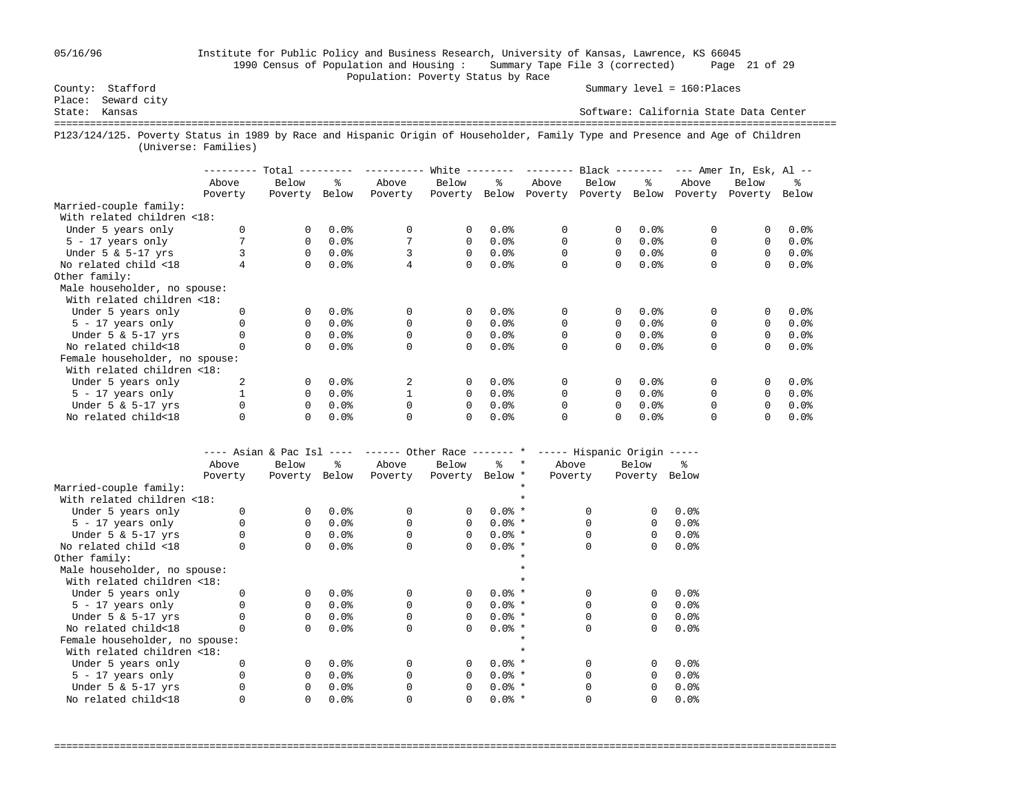## 05/16/96 Institute for Public Policy and Business Research, University of Kansas, Lawrence, KS 66045 1990 Census of Population and Housing : Summary Tape File 3 (corrected) Page 21 of 29 Population: Poverty Status by Race<br>
County: Stafford 
Population: Poverty Status by Race

Summary level = 160:Places

Place: Seward city<br>State: Kansas Software: California State Data Center =================================================================================================================================== P123/124/125. Poverty Status in 1989 by Race and Hispanic Origin of Householder, Family Type and Presence and Age of Children (Universe: Families)

|                                | --------- | Total    | ---------- | --------- | White $------$ |         | --------- | $Black$ -------- |         |          | $---$ Amer In, Esk, Al $--$ |         |
|--------------------------------|-----------|----------|------------|-----------|----------------|---------|-----------|------------------|---------|----------|-----------------------------|---------|
|                                | Above     | Below    | ⊱          | Above     | Below          | °≈      | Above     | Below            | ៖       | Above    | Below                       | °≈      |
|                                | Poverty   | Poverty  | Below      | Poverty   | Poverty        | Below   | Poverty   | Poverty          | Below   | Poverty  | Poverty                     | Below   |
| Married-couple family:         |           |          |            |           |                |         |           |                  |         |          |                             |         |
| With related children <18:     |           |          |            |           |                |         |           |                  |         |          |                             |         |
| Under 5 years only             |           | 0        | 0.0%       | 0         | $\mathbf{0}$   | 0.0%    | 0         | 0                | 0.0%    | $\Omega$ |                             | $0.0$ % |
| $5 - 17$ years only            |           | $\Omega$ | 0.0%       |           | $\Omega$       | $0.0$ % | 0         | 0                | 0.0%    |          | $\Omega$                    | $0.0$ % |
| Under $5 \& 5-17$ yrs          |           | $\Omega$ | 0.0%       |           | $\Omega$       | $0.0$ % |           | 0                | $0.0$ % |          | $\Omega$                    | $0.0$ % |
| No related child <18           |           | $\Omega$ | 0.0%       |           | $\Omega$       | 0.0%    | $\Omega$  | 0                | $0.0$ % | 0        | 0                           | 0.0%    |
| Other family:                  |           |          |            |           |                |         |           |                  |         |          |                             |         |
| Male householder, no spouse:   |           |          |            |           |                |         |           |                  |         |          |                             |         |
| With related children <18:     |           |          |            |           |                |         |           |                  |         |          |                             |         |
| Under 5 years only             |           | 0        | 0.0%       | 0         | $\Omega$       | 0.0%    | 0         | 0                | 0.0%    | $\Omega$ |                             | $0.0$ % |
| $5 - 17$ years only            |           | 0        | 0.0%       |           | $\Omega$       | 0.0%    | 0         | 0                | 0.0%    | $\Omega$ | $\Omega$                    | $0.0$ % |
| Under $5 \& 5-17$ yrs          |           | $\Omega$ | 0.0%       |           | $\Omega$       | $0.0$ % |           | 0                | $0.0$ % |          | $\Omega$                    | $0.0$ % |
| No related child<18            |           | $\Omega$ | 0.0%       |           | $\Omega$       | 0.0%    | $\Omega$  | 0                | $0.0$ % | $\Omega$ | $\Omega$                    | 0.0%    |
| Female householder, no spouse: |           |          |            |           |                |         |           |                  |         |          |                             |         |
| With related children <18:     |           |          |            |           |                |         |           |                  |         |          |                             |         |
| Under 5 years only             | 2         | $\Omega$ | 0.0%       |           | $\Omega$       | 0.0%    | $\Omega$  | 0                | 0.0%    | $\Omega$ |                             | $0.0$ % |
| $5 - 17$ years only            |           | $\Omega$ | 0.0%       |           | $\Omega$       | 0.0%    |           | 0                | 0.0%    |          | $\Omega$                    | 0.0%    |
| Under $5 \& 5-17$ yrs          |           | $\Omega$ | 0.0%       |           | $\Omega$       | $0.0$ % |           | 0                | 0.0%    | 0        |                             | $0.0$ % |
| No related child<18            |           | 0        | 0.0%       |           | 0              | 0.0%    |           | 0                | 0.0%    |          |                             | $0.0$ % |

|                                |         |          |           |          |                 |          |         | ---- Asian & Pac Isl ---- ------ Other Race ------- * ----- Hispanic Origin ----- |          |       |
|--------------------------------|---------|----------|-----------|----------|-----------------|----------|---------|-----------------------------------------------------------------------------------|----------|-------|
|                                | Above   | Below    | $\approx$ | Above    | Below           | ွေ       | $\star$ | Above                                                                             | Below    | ፠     |
|                                | Poverty | Poverty  | Below     | Poverty  | Poverty Below * |          |         | Poverty                                                                           | Poverty  | Below |
| Married-couple family:         |         |          |           |          |                 |          |         |                                                                                   |          |       |
| With related children <18:     |         |          |           |          |                 |          |         |                                                                                   |          |       |
| Under 5 years only             |         | $\Omega$ | 0.0%      | $\Omega$ | 0               | $0.0%$ * |         |                                                                                   | $\Omega$ | 0.0%  |
| $5 - 17$ years only            |         | $\Omega$ | 0.0%      |          | $\Omega$        | $0.0%$ * |         |                                                                                   | $\Omega$ | 0.0%  |
| Under $5 \& 5-17$ yrs          |         | $\Omega$ | 0.0%      |          | $\Omega$        | $0.0%$ * |         |                                                                                   | $\Omega$ | 0.0%  |
| No related child <18           |         | $\Omega$ | 0.0%      |          | $\Omega$        | $0.0%$ * |         |                                                                                   | 0        | 0.0%  |
| Other family:                  |         |          |           |          |                 |          |         |                                                                                   |          |       |
| Male householder, no spouse:   |         |          |           |          |                 |          |         |                                                                                   |          |       |
| With related children <18:     |         |          |           |          |                 |          |         |                                                                                   |          |       |
| Under 5 years only             |         | $\Omega$ | 0.0%      | $\Omega$ | $\Omega$        | $0.0%$ * |         |                                                                                   | $\Omega$ | 0.0%  |
| $5 - 17$ years only            |         | $\Omega$ | 0.0%      |          | $\Omega$        | $0.0%$ * |         |                                                                                   | $\Omega$ | 0.0%  |
| Under $5 \& 5-17$ yrs          |         | $\Omega$ | 0.0%      |          | $\Omega$        | $0.0%$ * |         |                                                                                   | $\Omega$ | 0.0%  |
| No related child<18            |         | $\Omega$ | 0.0%      | $\Omega$ | $\Omega$        | $0.0%$ * |         |                                                                                   | 0        | 0.0%  |
| Female householder, no spouse: |         |          |           |          |                 |          |         |                                                                                   |          |       |
| With related children <18:     |         |          |           |          |                 |          |         |                                                                                   |          |       |
| Under 5 years only             |         | $\Omega$ | 0.0%      | $\Omega$ | 0               | $0.0%$ * |         |                                                                                   | $\Omega$ | 0.0%  |
| $5 - 17$ years only            |         | $\Omega$ | 0.0%      |          | $\Omega$        | $0.0%$ * |         |                                                                                   | $\Omega$ | 0.0%  |
| Under $5 \& 5-17$ yrs          |         | 0        | 0.0%      |          | $\Omega$        | $0.0%$ * |         |                                                                                   | $\Omega$ | 0.0%  |
| No related child<18            |         | 0        | 0.0%      |          | 0               | $0.0%$ * |         |                                                                                   | 0        | 0.0%  |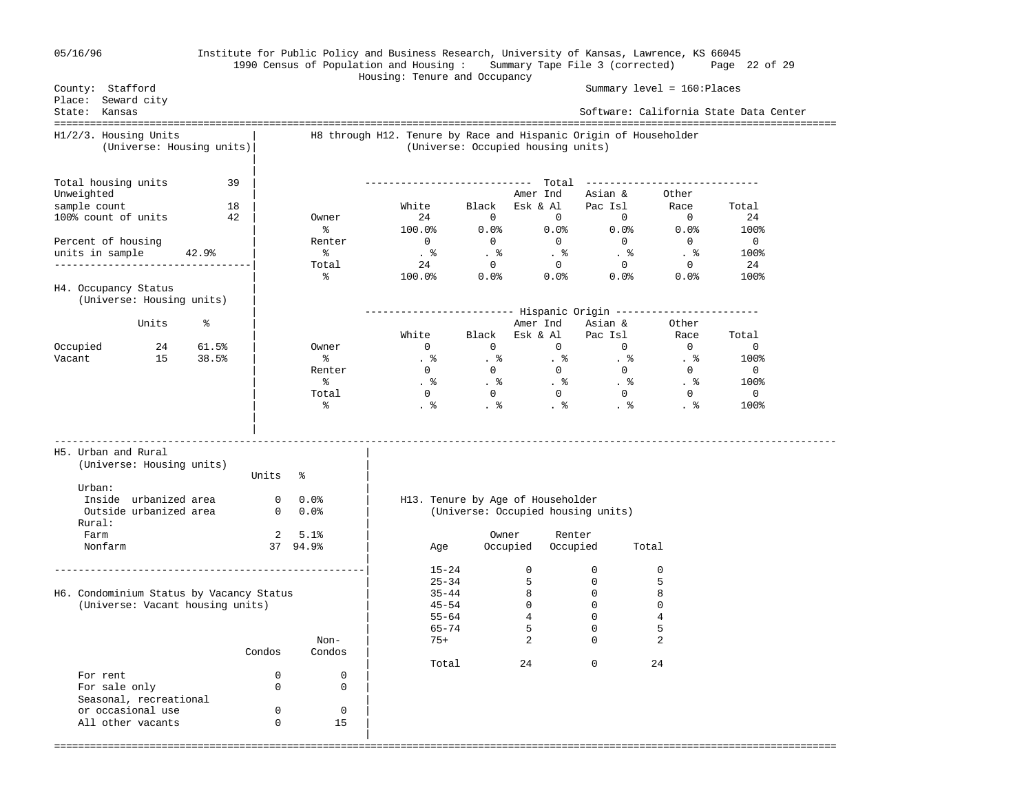| 05/16/96 |  |
|----------|--|
|----------|--|

## 05/16/96 Institute for Public Policy and Business Research, University of Kansas, Lawrence, KS 66045 1990 Census of Population and Housing : Summary Tape File 3 (corrected) Page 22 of 29

 Housing: Tenure and Occupancy Summary level = 160:Places Place: Seward city State: Kansas Software: California State Data Center =================================================================================================================================== H1/2/3. Housing Units | H8 through H12. Tenure by Race and Hispanic Origin of Householder (Universe: Housing units)| (Universe: Occupied housing units) | | Total housing units 39 | ---------------------------- Total ----------------------------- Unweighted | Amer Ind Asian & Other sample count 18 | White Black Esk & Al Pac Isl Race Total 100% count of units  $\begin{array}{ccccccc} 42 & | & 0$  wner  $\end{array}$  24 0 0 0 0 0 24  $\sim$  8  $100.0$  0.0%  $0.0$  0.0%  $0.0$  0.0%  $100$  Percent of housing | Renter 0 0 0 0 0 0 units in sample 42.9% | % . % . % . % . % . % 100% ---------------------------------| Total 24 0 0 0 0 24  $\sim$  8  $100.0$  0.0%  $0.0$  0.0%  $0.0$  0.0%  $100$ H4. Occupancy Status (Universe: Housing units) | | ------------------------- Hispanic Origin ------------------------ Units % | Amer Ind Asian & Other | White Black Esk & Al Pac Isl Race Total Occupied 24 61.5% | Owner 0 0 0 0 0 0 0 Vacant 15 38.5% | % . % . % . % . % . % 100% | Renter 0 0 0 0 0 0  $\sim$  .  $\sim$  .  $\sim$  .  $\sim$  .  $\sim$  .  $\sim$  .  $\sim$  .  $\sim$  .  $\sim$  .  $\sim$  .  $\sim$  .  $\sim$  .  $\sim$  .  $\sim$  .  $\sim$  .  $\sim$  .  $\sim$  .  $\sim$  .  $\sim$  .  $\sim$  .  $\sim$  .  $\sim$  .  $\sim$  .  $\sim$  .  $\sim$  .  $\sim$  .  $\sim$  .  $\sim$  .  $\sim$  .  $\sim$  .  $\sim$  .  $\sim$  | Total 0 0 0 0 0 0  $\sim$  .  $\sim$  .  $\sim$  .  $\sim$  .  $\sim$  .  $\sim$  .  $\sim$  .  $\sim$  .  $\sim$  .  $\sim$  .  $\sim$  .  $\sim$  .  $\sim$  .  $\sim$  .  $\sim$  .  $\sim$  .  $\sim$  .  $\sim$  .  $\sim$  .  $\sim$  .  $\sim$  .  $\sim$  .  $\sim$  .  $\sim$  .  $\sim$  .  $\sim$  .  $\sim$  .  $\sim$  .  $\sim$  .  $\sim$  .  $\sim$  .  $\sim$  | | ----------------------------------------------------------------------------------------------------------------------------------- H5. Urban and Rural | (Universe: Housing units) | Units % Urban:  $\qquad \qquad \blacksquare$  Inside urbanized area 0 0.0% | H13. Tenure by Age of Householder Outside urbanized area 0 0.0% | (Universe: Occupied housing units) Rural: Farm 2 5.1% | Owner Renter Nonfarm 37 94.9% | Age Occupied Occupied Total | ----------------------------------------------------| 15-24 0 0 0  $\begin{array}{cccc} 15-24 & & & 0 & & 0 & & 0 \\ 25-34 & & & 5 & & 0 & & 5 \\ 35-44 & & & 8 & & 0 & & 8 \\ 45-54 & & & 0 & & 0 & & 0 \end{array}$ H6. Condominium Status by Vacancy Status  $\begin{array}{ccc} | & 35-44 & 8 & 0 \\ | & 35-44 & 8 & 0 \\ | & 45-54 & 0 & 0 \end{array}$ (Universe: Vacant housing units)  $\begin{array}{cccc} | & 45-54 & 0 & 0 & 0 \\ | & 55-64 & 4 & 0 & 4 \end{array}$  $\begin{array}{|c|c|c|c|c|}\n\hline\n\text{55-64} & \text{4} & \text{0} & \text{4}\n\end{array}$ | 65-74 5 0 5

===================================================================================================================================

|                        |        | Non-   | $75+$ | ∠  | $\sim$ |
|------------------------|--------|--------|-------|----|--------|
|                        | Condos | Condos |       |    |        |
|                        |        |        | Total | 24 | 24     |
| For rent               |        |        |       |    |        |
| For sale only          |        |        |       |    |        |
| Seasonal, recreational |        |        |       |    |        |
| or occasional use      |        |        |       |    |        |
| All other vacants      |        | 15     |       |    |        |
|                        |        |        |       |    |        |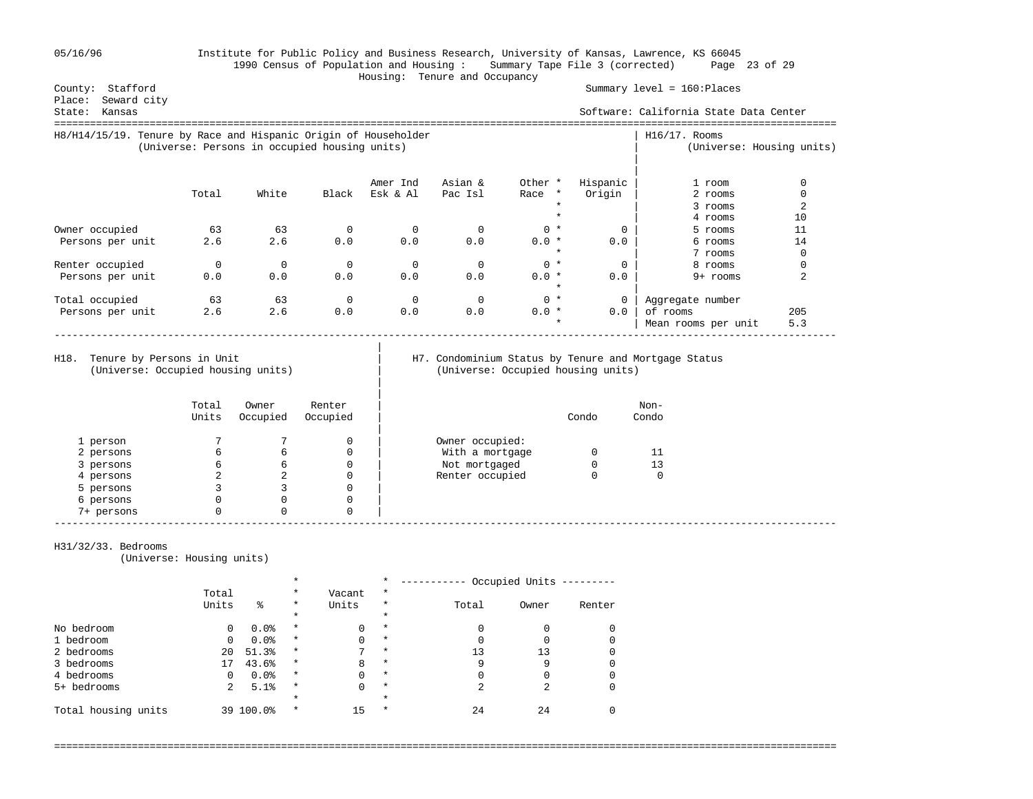05/16/96 Institute for Public Policy and Business Research, University of Kansas, Lawrence, KS 66045 1990 Census of Population and Housing : Summary Tape File 3 (corrected) Page 23 of 29

# Housing: Tenure and Occupancy

Summary level = 160:Places

| Seward city<br>Place:<br>Kansas<br>State:                       |          |                                               |             |          |          |                    |          | Software: California State Data Center |                           |
|-----------------------------------------------------------------|----------|-----------------------------------------------|-------------|----------|----------|--------------------|----------|----------------------------------------|---------------------------|
| H8/H14/15/19. Tenure by Race and Hispanic Origin of Householder |          | (Universe: Persons in occupied housing units) |             |          |          |                    |          | $H16/17$ . Rooms                       | (Universe: Housing units) |
|                                                                 |          |                                               |             | Amer Ind | Asian &  | Other *            | Hispanic | 1 room                                 |                           |
|                                                                 | Total    | White                                         | Black       | Esk & Al | Pac Isl  | Race *             | Origin   | 2 rooms                                |                           |
|                                                                 |          |                                               |             |          |          |                    |          | 3 rooms                                |                           |
|                                                                 |          |                                               |             |          |          |                    |          | 4 rooms                                | 10                        |
| Owner occupied                                                  | 63       | 63                                            |             |          |          | $0 *$              | $\Omega$ | 5 rooms                                | 11                        |
| Persons per unit                                                | 2.6      | 2.6                                           | 0.0         | 0.0      | 0.0      | $0.0 *$            | 0.0      | 6 rooms                                | 14                        |
|                                                                 |          |                                               |             |          |          | $\star$            |          | 7 rooms                                |                           |
| Renter occupied                                                 | $\Omega$ | $\mathbf 0$                                   | $\mathbf 0$ | $\Omega$ | $\Omega$ | $0 *$              | $\Omega$ | 8 rooms                                | 0                         |
| Persons per unit                                                | 0.0      | 0.0                                           | 0.0         | 0.0      | 0.0      | $0.0 *$<br>$\star$ | 0.0      | 9+ rooms                               |                           |
| Total occupied                                                  | 63       | 63                                            | 0           | $\Omega$ | 0        | $0 *$              | 0        | Aggregate number                       |                           |
| Persons per unit                                                | 2.6      | 2.6                                           | 0.0         | 0.0      | 0.0      | $0.0 *$            | 0.0      | of rooms                               | 205                       |
|                                                                 |          |                                               |             |          |          | $\star$            |          | Mean rooms per unit                    | 5.3                       |

|

|

### H18. Tenure by Persons in Unit | H7. Condominium Status by Tenure and Mortgage Status (Universe: Occupied housing units) (Universe: Occupied housing units) | (Universe: Occupied housing units)

|            | Total<br>Units | Owner<br>Occupied | Renter<br>Occupied |                 | Condo | Non-<br>Condo |
|------------|----------------|-------------------|--------------------|-----------------|-------|---------------|
| 1 person   |                |                   | 0                  | Owner occupied: |       |               |
| 2 persons  | 6              | 6                 | 0                  | With a mortgage |       | 11            |
| 3 persons  | 6              | 6                 | 0                  | Not mortgaged   |       | 13            |
| 4 persons  |                | 4                 | 0                  | Renter occupied |       | 0             |
| 5 persons  |                |                   | 0                  |                 |       |               |
| 6 persons  | 0              |                   | $\Omega$           |                 |       |               |
| 7+ persons | 0              |                   | 0                  |                 |       |               |

### H31/32/33. Bedrooms

(Universe: Housing units)

|                     |          | $\star$   |          |        | $\star$  | -------- | Occupied Units |        |  |
|---------------------|----------|-----------|----------|--------|----------|----------|----------------|--------|--|
|                     | Total    |           | $\star$  | Vacant | $\star$  |          |                |        |  |
|                     | Units    | る         | $\star$  | Units  | $^\star$ | Total    | Owner          | Renter |  |
|                     |          |           | $^\star$ |        | $\star$  |          |                |        |  |
| No bedroom          | 0        | 0.0%      | $\star$  |        | $\star$  | 0        |                |        |  |
| 1 bedroom           | $\Omega$ | 0.0%      | $\star$  |        | $\star$  |          |                |        |  |
| 2 bedrooms          | 20       | 51.3%     | $\star$  |        | $\star$  | 13       | 13             |        |  |
| 3 bedrooms          |          | 43.6%     | $\star$  | 8      | $\star$  | 9        | 9              |        |  |
| 4 bedrooms          |          | 0.0%      | $\star$  |        | $\star$  | 0        |                |        |  |
| 5+ bedrooms         | 2        | 5.1%      | $\star$  | 0      | $\star$  | 2        | ◠              |        |  |
|                     |          |           | $\star$  |        | $\star$  |          |                |        |  |
| Total housing units |          | 39 100.0% | $\ast$   | 15     | $\ast$   | 24       | 24             |        |  |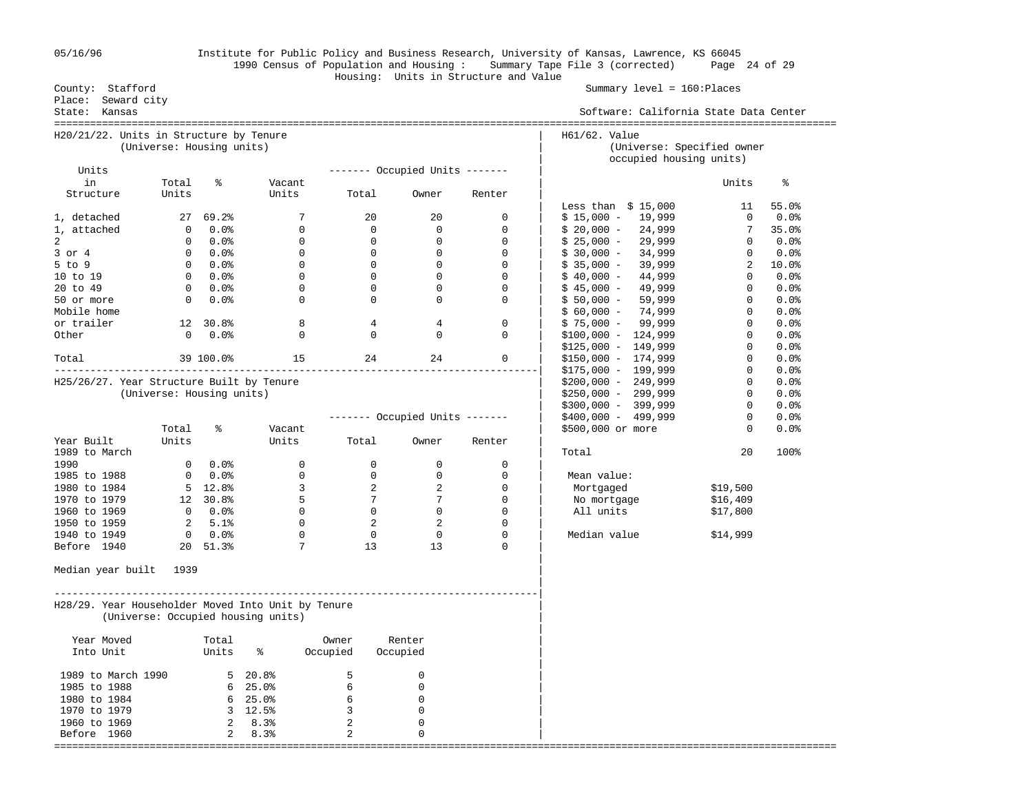|                                                    |                           |                  |                                    |                | Housing: Units in Structure and Value |                 |                | 1990 Census of Population and Housing: Summary Tape File 3 (corrected) | Page 24 of 29 |         |
|----------------------------------------------------|---------------------------|------------------|------------------------------------|----------------|---------------------------------------|-----------------|----------------|------------------------------------------------------------------------|---------------|---------|
| County: Stafford<br>Place: Seward city             |                           |                  |                                    |                |                                       |                 |                | Summary $level = 160:Places$                                           |               |         |
| State: Kansas                                      |                           |                  |                                    |                |                                       |                 |                | Software: California State Data Center                                 |               |         |
| H20/21/22. Units in Structure by Tenure            | (Universe: Housing units) |                  |                                    |                |                                       |                 |                | H61/62. Value<br>(Universe: Specified owner                            |               |         |
| Units                                              |                           |                  |                                    |                | $------$ Occupied Units $------$      |                 |                | occupied housing units)                                                |               |         |
| in                                                 | Total                     | ႜ                | Vacant                             |                |                                       |                 |                |                                                                        | Units         | ႜ       |
| Structure                                          | Units                     |                  | Units                              |                | Total                                 | Owner           | Renter         |                                                                        |               |         |
|                                                    |                           |                  |                                    |                |                                       |                 |                | Less than $$15,000$                                                    | 11            | 55.0%   |
| 1, detached                                        | 27                        | 69.2%            | 7                                  |                | 20                                    | 20              | 0              | $$15,000 -$<br>19,999                                                  | 0             | $0.0\%$ |
| 1, attached                                        | $\overline{0}$            | $0.0$ %          | $\mathbf 0$                        |                | $\mathbf 0$                           | $\mathbf 0$     | $\mathbf 0$    | $$20,000 -$<br>24,999                                                  | 7             | 35.0%   |
| 2                                                  | $\overline{0}$            | 0.0%             | 0                                  |                | $\mathbf 0$                           | $\mathbf{0}$    | $\mathbf 0$    | 29,999<br>$$25,000 -$                                                  | 0             | $0.0\%$ |
| $3$ or $4$                                         | $\overline{0}$            | 0.0%             | $\overline{0}$                     |                | $\mathbf 0$                           | $\mathbf{0}$    | $\overline{0}$ | 34,999<br>$$30,000 -$                                                  | 0             | 0.0%    |
| 5 to 9                                             |                           | $0.0$ %          | $\overline{0}$                     |                | $\overline{0}$                        | $\mathbf{0}$    | $\mathbf 0$    | 39,999<br>$$35,000 -$                                                  | 2             | 10.0%   |
| 10 to 19                                           | $\overline{0}$            | 0.0%             | $\overline{0}$                     |                | $\mathbf 0$                           | $\mathbf{0}$    | $\mathbf 0$    | 44,999<br>$$40,000 -$                                                  | $\Omega$      | $0.0$ % |
| 20 to 49                                           | $\circ$                   | $0.0\%$          | 0                                  |                | $\mathbf{0}$                          | $\mathbf{0}$    | $\mathbf 0$    | 49,999<br>$$45,000 -$                                                  | $\mathbf{0}$  | 0.0%    |
| 50 or more                                         | $\overline{0}$            | $0.0$ %          | $\mathbf 0$                        |                | $\mathbf 0$                           | $\mathbf{0}$    | $\mathbf 0$    | 59,999<br>$$50,000 -$                                                  | $\mathbf{0}$  | 0.0%    |
| Mobile home                                        |                           |                  |                                    |                |                                       |                 |                | 74,999<br>$$60,000 -$                                                  | $\mathbf{0}$  | 0.0%    |
| or trailer                                         |                           | 12 30.8%         | 8                                  |                | 4                                     | 4               | $\mathbf 0$    | 99,999<br>$$75,000 -$                                                  | $\mathbf 0$   | 0.0%    |
| Other                                              | $\overline{0}$            | $0.0$ %          | $\mathbf 0$                        |                | $\mathbf 0$                           | $\mathbf{0}$    | $\mathbf 0$    | $$100,000 - 124,999$                                                   | 0             | 0.0     |
|                                                    |                           |                  |                                    |                |                                       |                 |                | $$125,000 - 149,999$                                                   | $\mathbf 0$   | 0.0     |
| Total                                              |                           | 39 100.0%        | 15                                 |                | 24                                    | 24              | 0              | $$150,000 - 174,999$                                                   | 0             | 0.0     |
|                                                    |                           |                  |                                    |                |                                       |                 |                | $$175,000 - 199,999$                                                   | $\mathbf 0$   | 0.0     |
| H25/26/27. Year Structure Built by Tenure          |                           |                  |                                    |                |                                       |                 |                | $$200,000 - 249,999$                                                   | 0             | 0.0     |
|                                                    | (Universe: Housing units) |                  |                                    |                |                                       |                 |                | $$250,000 - 299,999$                                                   | $\mathbf 0$   | 0.0     |
|                                                    |                           |                  |                                    |                |                                       |                 |                | $$300,000 - 399,999$                                                   | $\mathbf{0}$  | 0.0     |
|                                                    |                           |                  |                                    |                | ------- Occupied Units -------        |                 |                | $$400,000 - 499,999$                                                   | $\mathbf 0$   | 0.0     |
|                                                    | Total                     | ႜ                | Vacant                             |                |                                       |                 |                | \$500,000 or more                                                      | 0             | 0.0     |
| Year Built                                         | Units                     |                  | Units                              |                | Total                                 | Owner           | Renter         |                                                                        |               |         |
| 1989 to March                                      |                           |                  |                                    |                |                                       |                 |                | Total                                                                  | 20            | 100%    |
| 1990                                               | $\mathbf{0}$              | $0.0$ %          | 0                                  |                | $\mathbf 0$                           | 0               | 0              |                                                                        |               |         |
| 1985 to 1988                                       | $\circ$                   | 0.0%             | $\mathbf{0}$                       |                | $\overline{0}$                        | $\mathbf{0}$    | 0              | Mean value:                                                            |               |         |
| 1980 to 1984                                       |                           | $5 \quad 12.8$   | $\overline{3}$                     |                | 2                                     | $\overline{2}$  | 0              | Mortgaged                                                              | \$19,500      |         |
| 1970 to 1979                                       |                           | 12 30.8%         | 5                                  |                | 7                                     | $7\phantom{.0}$ | $\mathbf 0$    | No mortgage                                                            | \$16,409      |         |
| 1960 to 1969                                       | $\overline{0}$            | $0.0$ %          | $\overline{0}$                     |                | $\mathbf 0$                           | $\overline{0}$  | $\mathbf 0$    | All units                                                              | \$17,800      |         |
|                                                    | 2                         | 5.1%             | $\overline{0}$                     |                | 2                                     | 2               | $\mathbf 0$    |                                                                        |               |         |
| 1950 to 1959                                       |                           |                  | $\overline{0}$                     |                | $\mathbf 0$                           | $\overline{0}$  | $\mathbf 0$    | Median value                                                           |               |         |
| 1940 to 1949                                       | $\overline{0}$            | 0.0%<br>20 51.3% | 7                                  |                | 13                                    | 13              | 0              |                                                                        | \$14,999      |         |
| Before 1940<br>Median year built                   | 1939                      |                  |                                    |                |                                       |                 |                |                                                                        |               |         |
| H28/29. Year Householder Moved Into Unit by Tenure |                           |                  |                                    |                |                                       |                 |                |                                                                        |               |         |
|                                                    |                           |                  | (Universe: Occupied housing units) |                |                                       |                 |                |                                                                        |               |         |
| Year Moved                                         |                           | Total            |                                    | Owner          | Renter                                |                 |                |                                                                        |               |         |
| Into Unit                                          |                           | Units            | ႜ                                  | Occupied       | Occupied                              |                 |                |                                                                        |               |         |
| 1989 to March 1990                                 |                           | 5                | 20.8%                              | 5              | 0                                     |                 |                |                                                                        |               |         |
| 1985 to 1988                                       |                           | 6                | 25.0%                              | 6              | 0                                     |                 |                |                                                                        |               |         |
| 1980 to 1984                                       |                           |                  | $6, 25.0$ <sup>2</sup>             | 6              | 0                                     |                 |                |                                                                        |               |         |
| 1970 to 1979                                       |                           |                  | $3, 12.5$ <sup>2</sup>             | 3              | $\Omega$                              |                 |                |                                                                        |               |         |
| 1960 to 1969                                       |                           | 2                | 8.3%                               | 2              | 0                                     |                 |                |                                                                        |               |         |
| Before 1960                                        |                           | 2                | 8.3%                               | $\overline{c}$ | $\Omega$                              |                 |                |                                                                        |               |         |
| ===========                                        |                           |                  |                                    |                |                                       |                 |                |                                                                        |               |         |

05/16/96 Institute for Public Policy and Business Research, University of Kansas, Lawrence, KS 66045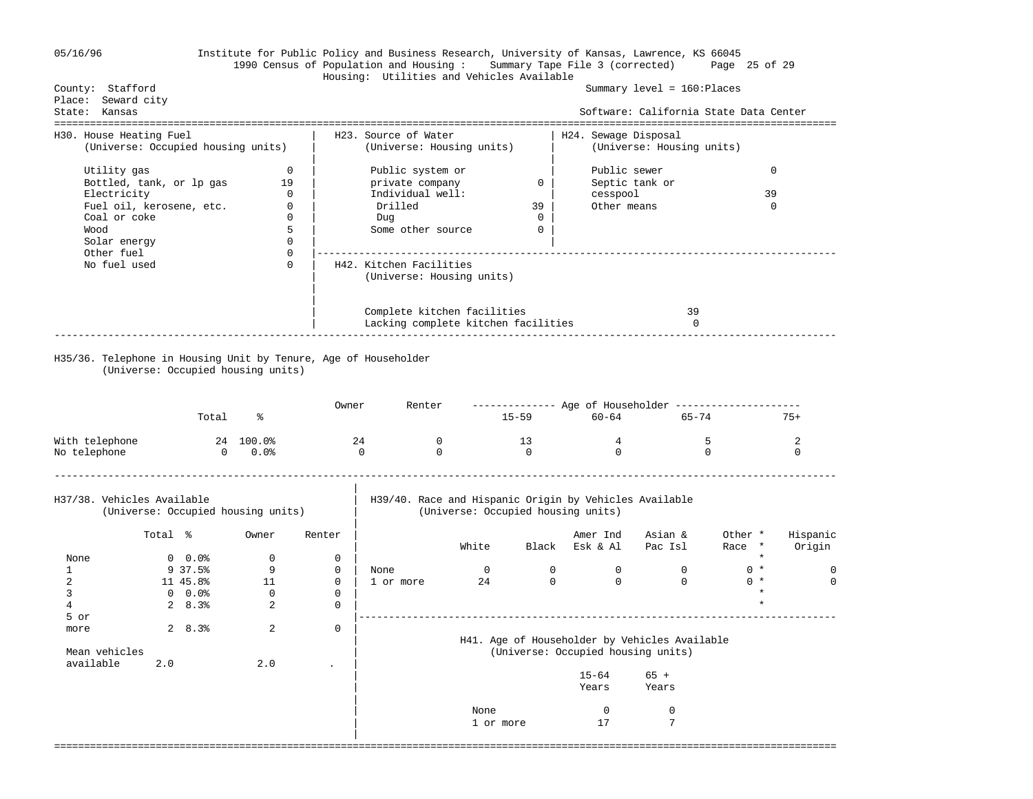| 05/16/96                                                                                                                                                 |         |            |                                                             |              | Institute for Public Policy and Business Research, University of Kansas, Lawrence, KS 66045<br>1990 Census of Population and Housing: Summary Tape File 3 (corrected) |              |                          |                                                                                              |                                        | Page 25 of 29                |                    |
|----------------------------------------------------------------------------------------------------------------------------------------------------------|---------|------------|-------------------------------------------------------------|--------------|-----------------------------------------------------------------------------------------------------------------------------------------------------------------------|--------------|--------------------------|----------------------------------------------------------------------------------------------|----------------------------------------|------------------------------|--------------------|
| County: Stafford<br>Place: Seward city                                                                                                                   |         |            |                                                             |              | Housing: Utilities and Vehicles Available                                                                                                                             |              |                          |                                                                                              | Summary level = 160: Places            |                              |                    |
| State: Kansas                                                                                                                                            |         |            |                                                             |              |                                                                                                                                                                       |              |                          |                                                                                              | Software: California State Data Center |                              |                    |
| H30. House Heating Fuel<br>(Universe: Occupied housing units)                                                                                            |         |            |                                                             |              | H23. Source of Water<br>(Universe: Housing units)                                                                                                                     |              |                          | H24. Sewage Disposal                                                                         | (Universe: Housing units)              |                              |                    |
| Utility gas<br>Bottled, tank, or lp gas<br>Electricity<br>Fuel oil, kerosene, etc.<br>Coal or coke<br>Wood<br>Solar energy<br>Other fuel<br>No fuel used |         |            | $\mathbf 0$<br>19<br>0<br>0<br>0<br>5<br>0<br>0<br>$\Omega$ |              | Public system or<br>private company<br>Individual well:<br>Drilled<br>Dug<br>Some other source<br>H42. Kitchen Facilities                                             |              | 0<br>39<br>0<br>$\Omega$ | Public sewer<br>cesspool<br>Other means                                                      | Septic tank or                         | 39                           | 0<br>$\Omega$      |
|                                                                                                                                                          |         |            |                                                             |              | (Universe: Housing units)<br>Complete kitchen facilities<br>Lacking complete kitchen facilities                                                                       |              |                          |                                                                                              | 39<br>$\Omega$                         |                              |                    |
|                                                                                                                                                          |         | Total      | (Universe: Occupied housing units)<br>ႜ                     | Owner        | Renter                                                                                                                                                                |              | $15 - 59$                | $60 - 64$                                                                                    | 65-74                                  |                              | $75+$              |
| With telephone<br>No telephone                                                                                                                           |         |            | 24 100.0%<br>$\overline{0}$<br>$0.0$ %                      |              | 24<br>0<br>$\Omega$<br>$\mathbf{0}$                                                                                                                                   |              | 13<br>$\Omega$           | 4<br>$\mathbf 0$                                                                             |                                        | 5<br>$\Omega$                | 2<br>$\Omega$      |
| H37/38. Vehicles Available                                                                                                                               |         |            | (Universe: Occupied housing units)                          |              |                                                                                                                                                                       |              |                          | H39/40. Race and Hispanic Origin by Vehicles Available<br>(Universe: Occupied housing units) |                                        |                              |                    |
|                                                                                                                                                          | Total % |            | Owner                                                       | Renter       |                                                                                                                                                                       | White        |                          | Amer Ind<br>Black Esk & Al                                                                   | Asian &<br>Pac Isl                     | Other *<br>Race *<br>$\star$ | Hispanic<br>Origin |
| None                                                                                                                                                     |         | $0.0$ %    | 0                                                           | 0            |                                                                                                                                                                       |              |                          |                                                                                              | $\overline{0}$                         | $0 *$                        |                    |
| 1                                                                                                                                                        |         | $9\ 37.5%$ | 9                                                           | $\mathbf{0}$ | None                                                                                                                                                                  | $\mathbf{0}$ | $\mathbf 0$              | $\mathbf 0$<br>$\Omega$                                                                      |                                        |                              | $\mathbf{0}$       |
| 2                                                                                                                                                        |         | 11 45.8%   | 11                                                          | $\mathbf{0}$ | 1 or more                                                                                                                                                             | 24           | $\mathbf 0$              |                                                                                              | $\overline{0}$                         | $0 *$<br>$\star$             | $\mathbf{0}$       |
| 3                                                                                                                                                        |         | $0.0$ %    | $\mathbf 0$                                                 | $\mathbf{0}$ |                                                                                                                                                                       |              |                          |                                                                                              |                                        |                              |                    |
| 4                                                                                                                                                        |         | 28.3%      | 2                                                           | $\Omega$     |                                                                                                                                                                       |              |                          |                                                                                              |                                        |                              |                    |
| 5 or                                                                                                                                                     |         |            | 2                                                           |              |                                                                                                                                                                       |              |                          |                                                                                              |                                        |                              |                    |
| more<br>Mean vehicles<br>available                                                                                                                       | 2.0     | 28.3%      | 2.0                                                         | $\Omega$     |                                                                                                                                                                       |              |                          | H41. Age of Householder by Vehicles Available<br>(Universe: Occupied housing units)          |                                        |                              |                    |
|                                                                                                                                                          |         |            |                                                             |              |                                                                                                                                                                       |              |                          | $15 - 64$<br>Years                                                                           | $65 +$<br>Years                        |                              |                    |
|                                                                                                                                                          |         |            |                                                             |              |                                                                                                                                                                       | None         |                          | 0                                                                                            | $\mathsf 0$                            |                              |                    |
|                                                                                                                                                          |         |            |                                                             |              |                                                                                                                                                                       | 1 or more    |                          | 17                                                                                           | 7                                      |                              |                    |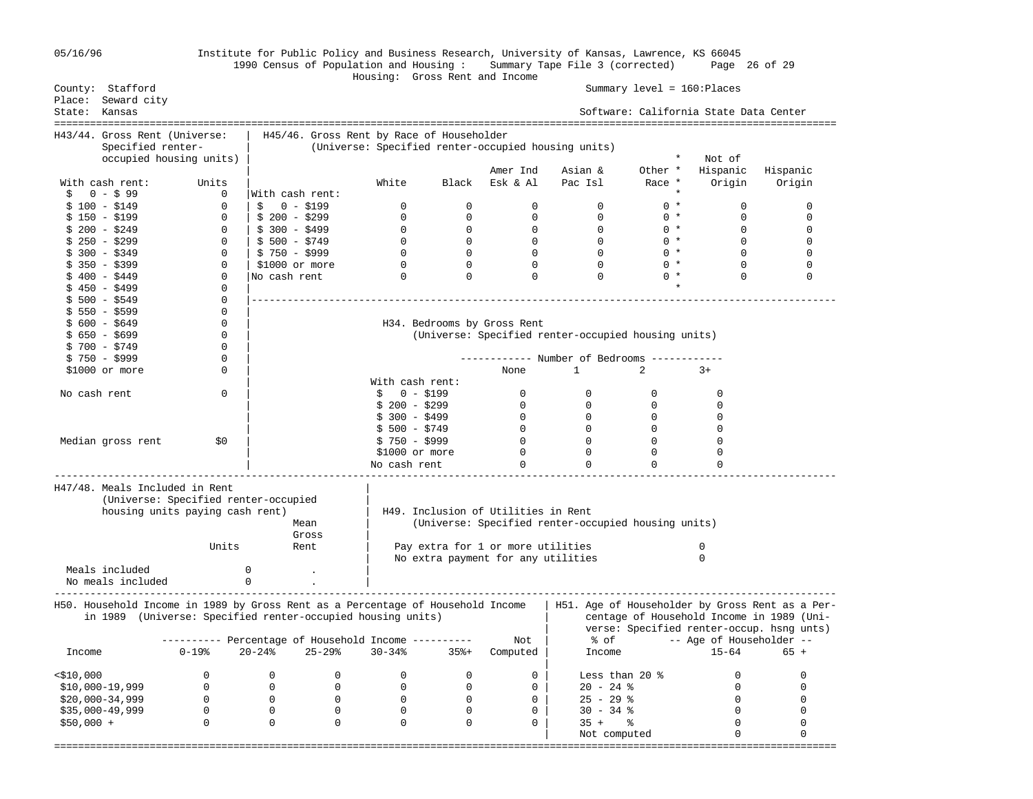| 05/16/96      |                                              |                   | Institute for Public Policy and Business Research, University of Kansas, Lawrence, KS 66045<br>1990 Census of Population and Housing : Summary Tape File 3 (corrected) | Housing: Gross Rent and Income                      |                   |                                     |                                                     |                             | Page 26 of 29                          |                                                 |
|---------------|----------------------------------------------|-------------------|------------------------------------------------------------------------------------------------------------------------------------------------------------------------|-----------------------------------------------------|-------------------|-------------------------------------|-----------------------------------------------------|-----------------------------|----------------------------------------|-------------------------------------------------|
|               | County: Stafford                             |                   |                                                                                                                                                                        |                                                     |                   |                                     |                                                     | Summary level = 160: Places |                                        |                                                 |
| State: Kansas | Place: Seward city                           |                   |                                                                                                                                                                        |                                                     |                   |                                     |                                                     |                             | Software: California State Data Center |                                                 |
|               | H43/44. Gross Rent (Universe:                |                   |                                                                                                                                                                        | H45/46. Gross Rent by Race of Householder           |                   |                                     |                                                     |                             |                                        |                                                 |
|               | Specified renter-<br>occupied housing units) |                   |                                                                                                                                                                        | (Universe: Specified renter-occupied housing units) |                   |                                     |                                                     | $^\star$                    | Not of                                 |                                                 |
|               |                                              |                   |                                                                                                                                                                        |                                                     |                   | Amer Ind                            | Asian &                                             | Other *                     | Hispanic                               | Hispanic                                        |
|               | With cash rent:                              | Units             |                                                                                                                                                                        | White                                               | Black             | Esk & Al                            | Pac Isl                                             | Race *                      | Origin                                 | Origin                                          |
| \$            | $0 - $99$                                    | 0                 | With cash rent:                                                                                                                                                        |                                                     |                   |                                     |                                                     | $\star$                     |                                        |                                                 |
|               | $$100 - $149$                                | $\mathbf{0}$      | 0 - \$199<br>\$                                                                                                                                                        | $\mathbf{0}$                                        | $\mathbf{0}$      | $\mathbf{0}$                        | $\mathbf{0}$                                        | $0 *$                       | $\mathbf 0$                            | 0                                               |
|               | \$ 150 - \$199                               | $\mathbf{0}$      | $$200 - $299$                                                                                                                                                          | 0                                                   | $\mathbf{0}$      | $\mathbf{0}$                        | $\overline{0}$                                      | $0 *$                       | $\mathbf{0}$                           | 0                                               |
|               | \$ 200 - \$249                               | $\mathbf{0}$      | $$300 - $499$                                                                                                                                                          | $\circ$                                             | $\mathbf{0}$      | $\mathbf{0}$                        | $\mathbf{0}$                                        | $0 *$                       | $\Omega$                               | 0                                               |
|               | \$ 250 - \$299                               | $\overline{0}$    | $$500 - $749$                                                                                                                                                          | $\overline{0}$                                      | $0 \qquad \qquad$ | $0 \qquad \qquad$                   | $\overline{0}$                                      | $0 *$                       | $\mathbf{0}$                           | 0                                               |
|               | \$ 300 - \$349                               | $\mathbf{0}$      | $$750 - $999$                                                                                                                                                          | $\Omega$                                            | $\Omega$          | $\Omega$                            | $\Omega$                                            | $0 *$                       | $\Omega$                               | $\Omega$                                        |
|               | \$ 350 - \$399                               | $\mathbf{0}$      | \$1000 or more                                                                                                                                                         | $\mathbf{0}$                                        | $\mathbf 0$       | $\mathbf{0}$                        | $\mathbf{0}$                                        | $0 *$                       | $\mathbf 0$                            | 0                                               |
|               | \$ 400 - \$449                               | $\mathbf{0}$      | No cash rent                                                                                                                                                           | $\Omega$                                            | $\Omega$          | $\Omega$                            | $\Omega$                                            | $0 *$<br>$\star$            | $\Omega$                               | $\mathbf 0$                                     |
|               | \$ 450 - \$499                               | $\mathbf{0}$      |                                                                                                                                                                        |                                                     |                   |                                     |                                                     |                             |                                        |                                                 |
|               | \$ 500 - \$549                               | $\mathbf{0}$<br>0 |                                                                                                                                                                        |                                                     |                   |                                     |                                                     |                             |                                        |                                                 |
|               | \$ 550 - \$599<br>\$ 600 - \$649             | $\mathbf{0}$      |                                                                                                                                                                        |                                                     |                   | H34. Bedrooms by Gross Rent         |                                                     |                             |                                        |                                                 |
|               | \$ 650 - \$699                               | 0                 |                                                                                                                                                                        |                                                     |                   |                                     | (Universe: Specified renter-occupied housing units) |                             |                                        |                                                 |
|               | \$ 700 - \$749                               | 0                 |                                                                                                                                                                        |                                                     |                   |                                     |                                                     |                             |                                        |                                                 |
|               | \$ 750 - \$999                               | 0                 |                                                                                                                                                                        |                                                     |                   |                                     |                                                     |                             |                                        |                                                 |
|               | \$1000 or more                               | $\Omega$          |                                                                                                                                                                        |                                                     |                   | None                                | $\mathbf{1}$                                        | 2                           | $3+$                                   |                                                 |
|               |                                              |                   |                                                                                                                                                                        | With cash rent:                                     |                   |                                     |                                                     |                             |                                        |                                                 |
| No cash rent  |                                              | $\mathbf 0$       |                                                                                                                                                                        | $0 - $199$<br>S.                                    |                   | $\overline{0}$                      | $\mathbf{0}$                                        | 0                           | 0                                      |                                                 |
|               |                                              |                   |                                                                                                                                                                        | $$200 - $299$                                       |                   | $\overline{0}$                      | $\overline{0}$                                      | $\overline{0}$              | 0                                      |                                                 |
|               |                                              |                   |                                                                                                                                                                        | $$300 - $499$                                       |                   | $\overline{0}$                      | $\overline{0}$                                      | $\mathbf{0}$                | $\mathbf 0$                            |                                                 |
|               |                                              |                   |                                                                                                                                                                        | $$500 - $749$                                       |                   | $\overline{0}$                      | $\overline{0}$                                      | $\overline{0}$              | $\mathbf 0$                            |                                                 |
|               | Median gross rent                            | \$0               |                                                                                                                                                                        | \$750 - \$999                                       |                   | $\overline{0}$                      | $\overline{0}$                                      | $\Omega$                    | $\mathbf 0$                            |                                                 |
|               |                                              |                   |                                                                                                                                                                        | \$1000 or more                                      |                   | $\overline{0}$                      | $\overline{0}$                                      | 0                           | $\mathbf 0$                            |                                                 |
|               |                                              |                   |                                                                                                                                                                        | No cash rent                                        |                   | $\Omega$                            | $\Omega$                                            | $\Omega$                    | $\Omega$                               |                                                 |
|               | H47/48. Meals Included in Rent               |                   | (Universe: Specified renter-occupied                                                                                                                                   |                                                     |                   |                                     |                                                     |                             |                                        |                                                 |
|               | housing units paying cash rent)              |                   |                                                                                                                                                                        |                                                     |                   | H49. Inclusion of Utilities in Rent |                                                     |                             |                                        |                                                 |
|               |                                              |                   | Mean                                                                                                                                                                   |                                                     |                   |                                     | (Universe: Specified renter-occupied housing units) |                             |                                        |                                                 |
|               |                                              |                   | Gross                                                                                                                                                                  |                                                     |                   |                                     |                                                     |                             |                                        |                                                 |
|               |                                              | Units             | Rent                                                                                                                                                                   |                                                     |                   | Pay extra for 1 or more utilities   |                                                     |                             | 0                                      |                                                 |
|               |                                              |                   |                                                                                                                                                                        |                                                     |                   | No extra payment for any utilities  |                                                     |                             | 0                                      |                                                 |
|               | Meals included<br>No meals included          |                   | 0<br>0                                                                                                                                                                 |                                                     |                   |                                     |                                                     |                             |                                        |                                                 |
|               |                                              |                   | H50. Household Income in 1989 by Gross Rent as a Percentage of Household Income                                                                                        |                                                     |                   |                                     |                                                     |                             |                                        | H51. Age of Householder by Gross Rent as a Per- |
|               |                                              |                   | in 1989 (Universe: Specified renter-occupied housing units)                                                                                                            |                                                     |                   |                                     |                                                     |                             |                                        | centage of Household Income in 1989 (Uni-       |
|               |                                              |                   | ---------- Percentage of Household Income ----------                                                                                                                   |                                                     |                   | Not                                 | %of                                                 |                             | -- Age of Householder --               | verse: Specified renter-occup. hsng unts)       |
| Income        |                                              | $0 - 19$ %        | $20 - 24$ %<br>$25 - 29$ %                                                                                                                                             | $30 - 34$                                           | $35% +$           | Computed                            | Income                                              |                             | $15 - 64$                              | $65 +$                                          |
| $<$ \$10,000  |                                              | 0                 | 0<br>0                                                                                                                                                                 | 0                                                   | 0                 | 0                                   | Less than 20 $\textdegree$                          |                             | 0                                      | 0                                               |
|               | $$10,000-19,999$                             | 0                 | 0<br>0                                                                                                                                                                 | 0                                                   | 0                 | 0                                   | $20 - 24$ %                                         |                             | $\Omega$                               | 0                                               |
|               | $$20,000-34,999$                             | 0                 | $\Omega$<br>$\Omega$                                                                                                                                                   | $\Omega$                                            | 0                 | 0                                   | $25 - 29$ %                                         |                             |                                        | $\Omega$                                        |
|               | $$35,000-49,999$                             | 0                 | 0<br>$\Omega$                                                                                                                                                          | 0                                                   | 0                 | 0                                   | $30 - 34$ %                                         |                             |                                        | $\Omega$                                        |
| $$50,000 +$   |                                              | $\Omega$          | $\Omega$<br>$\Omega$                                                                                                                                                   | $\Omega$                                            | $\Omega$          | $\Omega$                            | $35 +$ $\frac{6}{3}$                                |                             |                                        | 0                                               |
|               |                                              |                   |                                                                                                                                                                        |                                                     |                   |                                     | Not computed                                        |                             |                                        | 0                                               |
|               |                                              |                   |                                                                                                                                                                        |                                                     |                   |                                     |                                                     |                             |                                        |                                                 |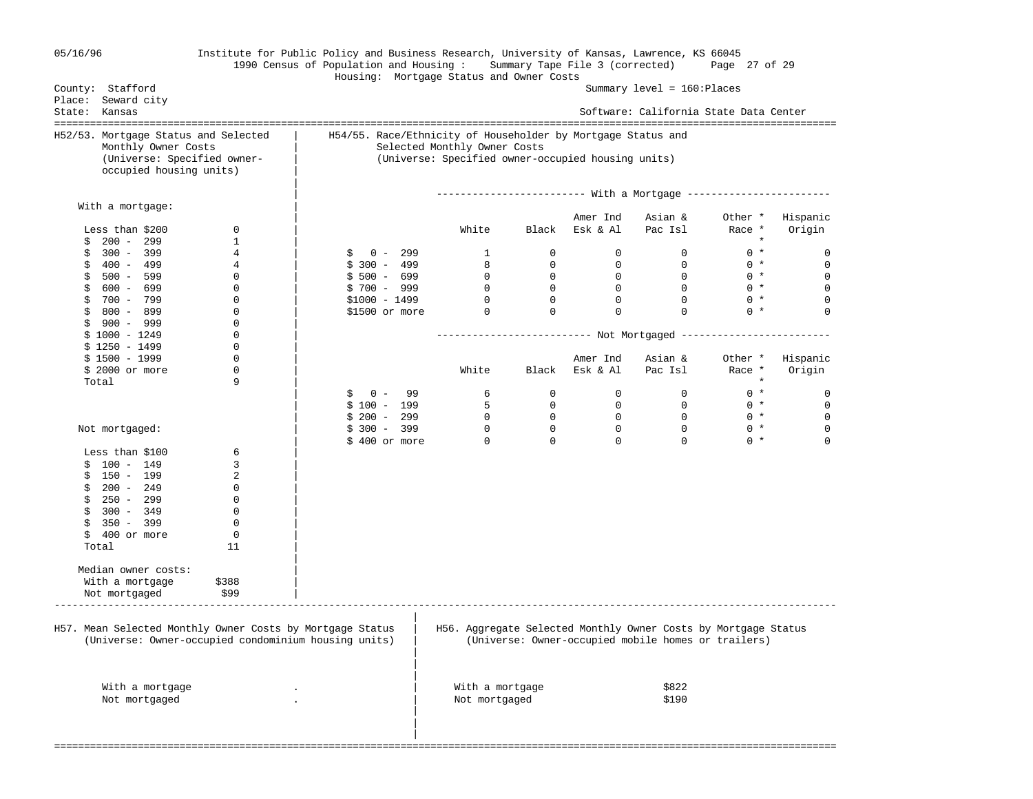| 05/16/96                                                                                                                                                 |                                                                       | Institute for Public Policy and Business Research, University of Kansas, Lawrence, KS 66045<br>1990 Census of Population and Housing: Summary Tape File 3 (corrected)<br>Housing: Mortgage Status and Owner Costs |                                                                                                    |                                |                               |                                                                       | Page 27 of 29     |                         |
|----------------------------------------------------------------------------------------------------------------------------------------------------------|-----------------------------------------------------------------------|-------------------------------------------------------------------------------------------------------------------------------------------------------------------------------------------------------------------|----------------------------------------------------------------------------------------------------|--------------------------------|-------------------------------|-----------------------------------------------------------------------|-------------------|-------------------------|
| County: Stafford                                                                                                                                         |                                                                       |                                                                                                                                                                                                                   |                                                                                                    |                                |                               | Summary $level = 160:ə$ Places                                        |                   |                         |
| Place: Seward city<br>State: Kansas                                                                                                                      |                                                                       |                                                                                                                                                                                                                   |                                                                                                    |                                |                               | Software: California State Data Center                                |                   |                         |
| H52/53. Mortgage Status and Selected<br>Monthly Owner Costs<br>(Universe: Specified owner-<br>occupied housing units)                                    |                                                                       | H54/55. Race/Ethnicity of Householder by Mortgage Status and                                                                                                                                                      | Selected Monthly Owner Costs<br>(Universe: Specified owner-occupied housing units)                 |                                |                               |                                                                       |                   |                         |
| With a mortgage:                                                                                                                                         |                                                                       |                                                                                                                                                                                                                   |                                                                                                    |                                |                               |                                                                       |                   |                         |
|                                                                                                                                                          |                                                                       |                                                                                                                                                                                                                   |                                                                                                    |                                | Amer Ind                      | Asian &                                                               | Other *           | Hispanic                |
| Less than $$200$                                                                                                                                         | 0                                                                     |                                                                                                                                                                                                                   | White                                                                                              | Black                          | Esk & Al                      | Pac Isl                                                               | Race *            | Origin                  |
| $200 - 299$<br>\$                                                                                                                                        | $\mathbf{1}$                                                          |                                                                                                                                                                                                                   |                                                                                                    |                                |                               |                                                                       | $\star$           |                         |
| $300 - 399$<br>\$<br>\$<br>400 - 499                                                                                                                     | 4<br>4                                                                | $0 - 299$<br>S<br>$$300 - 499$                                                                                                                                                                                    | $\mathbf{1}$<br>8                                                                                  | $\mathbf{0}$<br>$\overline{0}$ | $\mathbf 0$<br>$\overline{0}$ | $\mathbf{0}$<br>$\mathbf{0}$                                          | $0 *$<br>$0 *$    | 0<br>$\mathbf 0$        |
| \$<br>500 - 599                                                                                                                                          | 0                                                                     | $$500 - 699$                                                                                                                                                                                                      | $\mathbf 0$                                                                                        | $\mathbf{0}$                   | $\mathbf{0}$                  | $\mathbf{0}$                                                          | $0 *$             | $\mathbf 0$             |
| \$<br>600 - 699                                                                                                                                          | 0                                                                     | $$700 - 999$                                                                                                                                                                                                      | $\overline{0}$                                                                                     | $\overline{0}$                 | $\overline{0}$                | $\mathbf 0$                                                           | $0 *$             | $\mathbf 0$             |
| \$<br>700 - 799                                                                                                                                          | 0                                                                     | $$1000 - 1499$                                                                                                                                                                                                    | $\overline{0}$                                                                                     | $\overline{0}$                 | $\mathbf 0$                   | $\mathbf 0$                                                           | $0 *$             | $\mathbf 0$             |
| \$<br>800 - 899                                                                                                                                          | 0                                                                     | $$1500$ or more                                                                                                                                                                                                   | $\overline{0}$                                                                                     | $\mathbf 0$                    | $\mathbf 0$                   | $\Omega$                                                              | $0 *$             | $\Omega$                |
| \$<br>900 - 999                                                                                                                                          | 0                                                                     |                                                                                                                                                                                                                   |                                                                                                    |                                |                               |                                                                       |                   |                         |
| $$1000 - 1249$                                                                                                                                           | 0                                                                     |                                                                                                                                                                                                                   | -------------------------            Not Mortgaged ------------------------                        |                                |                               |                                                                       |                   |                         |
| $$1250 - 1499$                                                                                                                                           | 0                                                                     |                                                                                                                                                                                                                   |                                                                                                    |                                |                               |                                                                       |                   |                         |
| $$1500 - 1999$                                                                                                                                           | 0                                                                     |                                                                                                                                                                                                                   |                                                                                                    |                                | Amer Ind                      | Asian &                                                               | Other *           | Hispanic                |
| $$2000$ or more                                                                                                                                          | 0<br>9                                                                |                                                                                                                                                                                                                   | White                                                                                              | Black                          | Esk & Al                      | Pac Isl                                                               | Race *<br>$\star$ | Origin                  |
| Total                                                                                                                                                    |                                                                       | $0 -$<br>99<br>\$                                                                                                                                                                                                 | 6                                                                                                  | $\mathbf{0}$                   | $\mathbf 0$                   | $\mathbf{0}$                                                          | $0 *$             | 0                       |
|                                                                                                                                                          |                                                                       | $$100 - 199$                                                                                                                                                                                                      | 5                                                                                                  | $\overline{0}$                 | $\overline{0}$                | $\overline{0}$                                                        | $0 *$             | $\mathbf 0$             |
|                                                                                                                                                          |                                                                       | $$200 - 299$                                                                                                                                                                                                      | $\mathbf 0$                                                                                        | $\mathbf{0}$                   | $\mathbf{0}$                  | $\mathbf{0}$                                                          | $0 *$             | $\mathbf 0$             |
| Not mortgaged:                                                                                                                                           |                                                                       | $$300 - 399$<br>$$400$ or more                                                                                                                                                                                    | $\mathbf 0$<br>$\mathbf 0$                                                                         | $\mathbf 0$<br>$\Omega$        | $\mathbf 0$<br>$\Omega$       | $\mathbf 0$<br>$\Omega$                                               | $0 *$<br>$0 *$    | $\mathbf 0$<br>$\Omega$ |
| Less than \$100                                                                                                                                          | 6                                                                     |                                                                                                                                                                                                                   |                                                                                                    |                                |                               |                                                                       |                   |                         |
| $$100 - 149$                                                                                                                                             | 3                                                                     |                                                                                                                                                                                                                   |                                                                                                    |                                |                               |                                                                       |                   |                         |
| 150 - 199<br>\$                                                                                                                                          | 2                                                                     |                                                                                                                                                                                                                   |                                                                                                    |                                |                               |                                                                       |                   |                         |
| 200 - 249<br>\$                                                                                                                                          | 0                                                                     |                                                                                                                                                                                                                   |                                                                                                    |                                |                               |                                                                       |                   |                         |
| \$<br>250 - 299                                                                                                                                          | 0                                                                     |                                                                                                                                                                                                                   |                                                                                                    |                                |                               |                                                                       |                   |                         |
| \$<br>$300 - 349$                                                                                                                                        | 0                                                                     |                                                                                                                                                                                                                   |                                                                                                    |                                |                               |                                                                       |                   |                         |
| \$<br>350 - 399                                                                                                                                          | 0                                                                     |                                                                                                                                                                                                                   |                                                                                                    |                                |                               |                                                                       |                   |                         |
| \$<br>400 or more                                                                                                                                        | 0                                                                     |                                                                                                                                                                                                                   |                                                                                                    |                                |                               |                                                                       |                   |                         |
| Total                                                                                                                                                    | 11                                                                    |                                                                                                                                                                                                                   |                                                                                                    |                                |                               |                                                                       |                   |                         |
|                                                                                                                                                          |                                                                       |                                                                                                                                                                                                                   |                                                                                                    |                                |                               |                                                                       |                   |                         |
|                                                                                                                                                          |                                                                       |                                                                                                                                                                                                                   |                                                                                                    |                                |                               |                                                                       |                   |                         |
|                                                                                                                                                          |                                                                       |                                                                                                                                                                                                                   |                                                                                                    |                                |                               |                                                                       |                   |                         |
| Median owner costs:<br>With a mortgage<br>Not mortgaged<br>H57. Mean Selected Monthly Owner Costs by Mortgage Status<br>With a mortgage<br>Not mortgaged | \$388<br>\$99<br>(Universe: Owner-occupied condominium housing units) |                                                                                                                                                                                                                   | H56. Aggregate Selected Monthly Owner Costs by Mortgage Status<br>With a mortgage<br>Not mortgaged |                                |                               | (Universe: Owner-occupied mobile homes or trailers)<br>\$822<br>\$190 |                   |                         |
|                                                                                                                                                          |                                                                       |                                                                                                                                                                                                                   |                                                                                                    |                                |                               |                                                                       |                   |                         |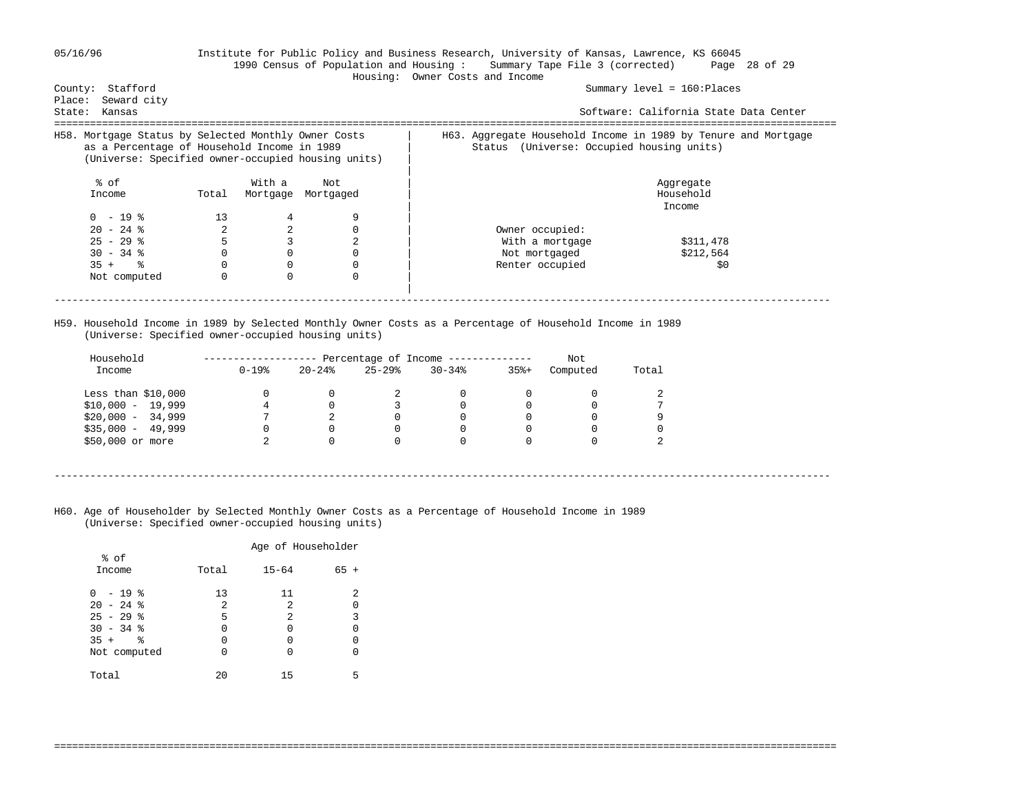| County: Stafford<br>Seward city<br>Place:                                                                                                                 |          |          |                                                    | Housing: Owner Costs and Income                                                                             | Summary $level = 160:Places$           |
|-----------------------------------------------------------------------------------------------------------------------------------------------------------|----------|----------|----------------------------------------------------|-------------------------------------------------------------------------------------------------------------|----------------------------------------|
| State:<br>Kansas                                                                                                                                          |          |          |                                                    |                                                                                                             | Software: California State Data Center |
| H58. Mortgage Status by Selected Monthly Owner Costs<br>as a Percentage of Household Income in 1989<br>(Universe: Specified owner-occupied housing units) |          |          |                                                    | H63. Aggregate Household Income in 1989 by Tenure and Mortgage<br>Status (Universe: Occupied housing units) |                                        |
| % of                                                                                                                                                      |          | With a   | Not                                                |                                                                                                             | Aggregate                              |
| Income                                                                                                                                                    | Total    | Mortgage | Mortgaged                                          |                                                                                                             | Household<br>Income                    |
| $0 - 19$ %                                                                                                                                                | 13       | 4        |                                                    |                                                                                                             |                                        |
| $20 - 24$ %                                                                                                                                               | 2        | 2        |                                                    | Owner occupied:                                                                                             |                                        |
| $25 - 29$ %                                                                                                                                               | 5        | 3        | 2                                                  | With a mortgage                                                                                             | \$311,478                              |
| $30 - 34$ %                                                                                                                                               | 0        |          |                                                    | Not mortgaged                                                                                               | \$212,564                              |
| $35 +$ $\frac{6}{3}$                                                                                                                                      | $\Omega$ | $\Omega$ |                                                    | Renter occupied                                                                                             | \$0                                    |
| Not computed                                                                                                                                              | $\Omega$ | $\Omega$ |                                                    |                                                                                                             |                                        |
|                                                                                                                                                           |          |          |                                                    |                                                                                                             |                                        |
|                                                                                                                                                           |          |          | (Universe: Specified owner-occupied housing units) | H59. Household Income in 1989 by Selected Monthly Owner Costs as a Percentage of Household Income in 1989   |                                        |

----------------------------------------------------------------------------------------------------------------------------------

===================================================================================================================================

 H60. Age of Householder by Selected Monthly Owner Costs as a Percentage of Household Income in 1989 (Universe: Specified owner-occupied housing units)

 $\begin{matrix}0&0\cr 2&0\end{matrix}$ 

 Income 0-19% 20-24% 25-29% 30-34% 35%+ Computed Total Less than \$10,000 0 0 2 0 0 0 2 \$10,000 - 19,999 4 0 3 0 0 0 7  $\frac{1}{2}$  \$20,000 - 34,999  $\begin{array}{cccccccc} 7 & 2 & 0 & 0 & 0 & 0 & 9 \\ 535,000 & - & 49,999 & 0 & 0 & 0 & 0 & 0 \end{array}$ \$35,000 - 49,999 0 0 0 0 0 0 0

|                                                                                     |                        | Age of Householder          |        |
|-------------------------------------------------------------------------------------|------------------------|-----------------------------|--------|
| % of<br>Income                                                                      | Total                  | $15 - 64$                   | $65 +$ |
| $0 - 19$ %<br>$20 - 24$ %<br>$25 - 29$ %<br>$30 - 34$ %<br>$35 +$ %<br>Not computed | 13<br>2<br>5<br>0<br>O | 11<br>2<br>2<br>0<br>0<br>0 | 2<br>3 |
| Total                                                                               | 20                     | 15                          | 5      |